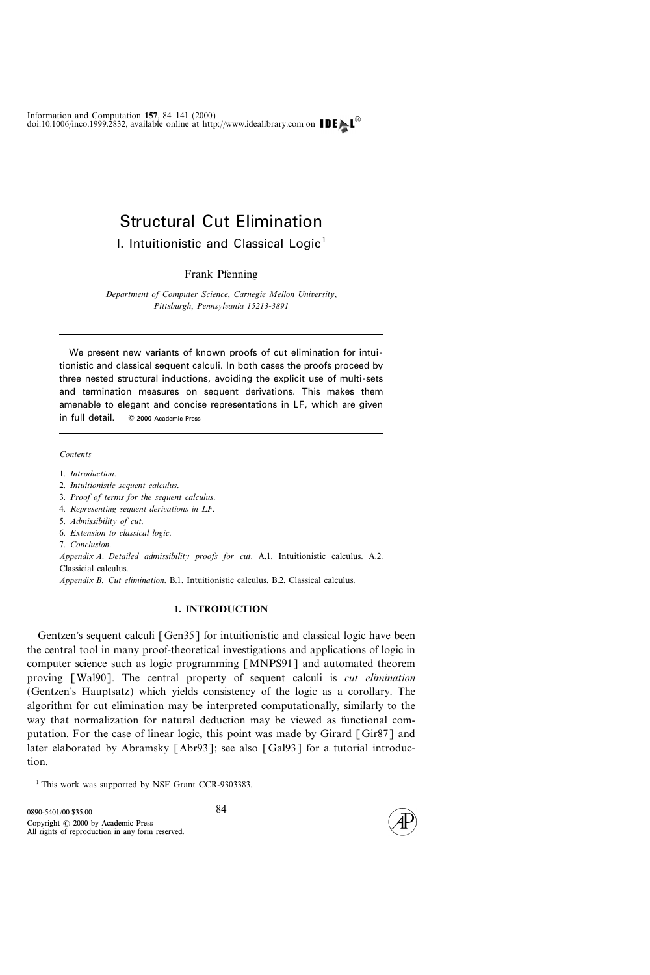# Structural Cut Elimination

## I. Intuitionistic and Classical Logic $<sup>1</sup>$ </sup>

Frank Pfenning

Department of Computer Science, Carnegie Mellon University, Pittsburgh, Pennsylvania 15213-3891

We present new variants of known proofs of cut elimination for intuitionistic and classical sequent calculi. In both cases the proofs proceed by three nested structural inductions, avoiding the explicit use of multi-sets and termination measures on sequent derivations. This makes them amenable to elegant and concise representations in LF, which are given in full detail. © 2000 Academic Press

#### **Contents**

- 1. Introduction.
- 2. Intuitionistic sequent calculus.
- 3. Proof of terms for the sequent calculus.
- 4. Representing sequent derivations in LF.
- 5. Admissibility of cut.
- 6. Extension to classical logic.
- 7. Conclusion.

Appendix A. Detailed admissibility proofs for cut. A.1. Intuitionistic calculus. A.2. Classicial calculus.

Appendix B. Cut elimination. B.1. Intuitionistic calculus. B.2. Classical calculus.

#### 1. INTRODUCTION

Gentzen's sequent calculi [Gen35] for intuitionistic and classical logic have been the central tool in many proof-theoretical investigations and applications of logic in computer science such as logic programming [MNPS91] and automated theorem proving [Wal90]. The central property of sequent calculi is *cut elimination* (Gentzen's Hauptsatz) which yields consistency of the logic as a corollary. The algorithm for cut elimination may be interpreted computationally, similarly to the way that normalization for natural deduction may be viewed as functional computation. For the case of linear logic, this point was made by Girard [Gir87] and later elaborated by Abramsky [Abr93]; see also [Gal93] for a tutorial introduction.

<sup>1</sup> This work was supported by NSF Grant CCR-9303383.

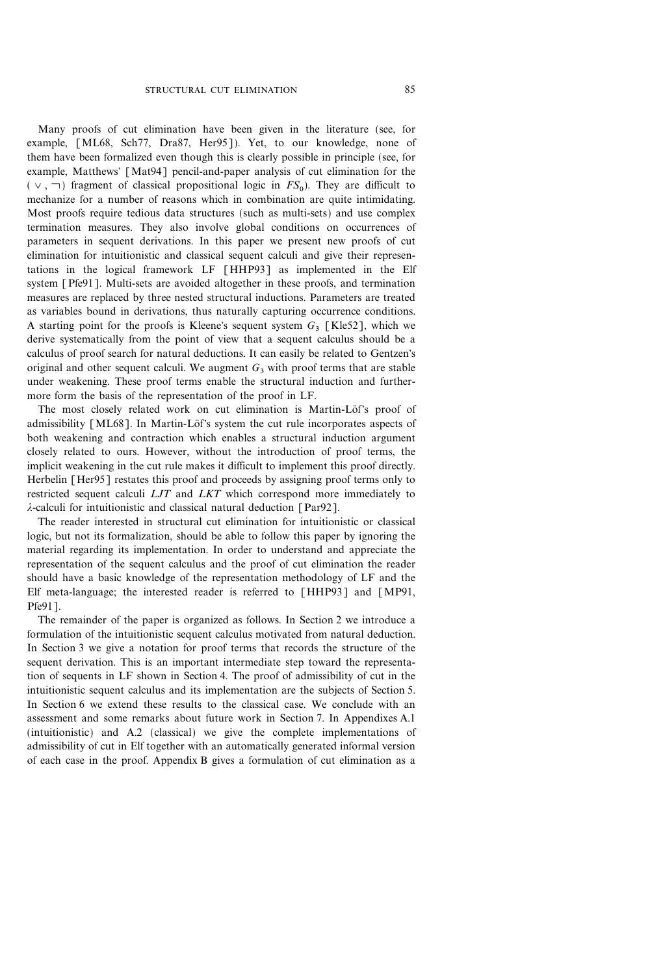Many proofs of cut elimination have been given in the literature (see, for example, [ML68, Sch77, Dra87, Her95]). Yet, to our knowledge, none of them have been formalized even though this is clearly possible in principle (see, for example, Matthews' [Mat94] pencil-and-paper analysis of cut elimination for the  $(\vee, \neg)$  fragment of classical propositional logic in FS<sub>0</sub>). They are difficult to mechanize for a number of reasons which in combination are quite intimidating. Most proofs require tedious data structures (such as multi-sets) and use complex termination measures. They also involve global conditions on occurrences of parameters in sequent derivations. In this paper we present new proofs of cut elimination for intuitionistic and classical sequent calculi and give their representations in the logical framework LF [HHP93] as implemented in the Elf system [Pfe91]. Multi-sets are avoided altogether in these proofs, and termination measures are replaced by three nested structural inductions. Parameters are treated as variables bound in derivations, thus naturally capturing occurrence conditions. A starting point for the proofs is Kleene's sequent system  $G_3$  [Kle52], which we derive systematically from the point of view that a sequent calculus should be a calculus of proof search for natural deductions. It can easily be related to Gentzen's original and other sequent calculi. We augment  $G_3$  with proof terms that are stable under weakening. These proof terms enable the structural induction and furthermore form the basis of the representation of the proof in LF.

The most closely related work on cut elimination is Martin-Löf's proof of admissibility [ML68]. In Martin-Löf's system the cut rule incorporates aspects of both weakening and contraction which enables a structural induction argument closely related to ours. However, without the introduction of proof terms, the implicit weakening in the cut rule makes it difficult to implement this proof directly. Herbelin [Her95] restates this proof and proceeds by assigning proof terms only to restricted sequent calculi LJT and LKT which correspond more immediately to  $\lambda$ -calculi for intuitionistic and classical natural deduction [Par92].

The reader interested in structural cut elimination for intuitionistic or classical logic, but not its formalization, should be able to follow this paper by ignoring the material regarding its implementation. In order to understand and appreciate the representation of the sequent calculus and the proof of cut elimination the reader should have a basic knowledge of the representation methodology of LF and the Elf meta-language; the interested reader is referred to [HHP93] and [MP91, Pfe91].

The remainder of the paper is organized as follows. In Section 2 we introduce a formulation of the intuitionistic sequent calculus motivated from natural deduction. In Section 3 we give a notation for proof terms that records the structure of the sequent derivation. This is an important intermediate step toward the representation of sequents in LF shown in Section 4. The proof of admissibility of cut in the intuitionistic sequent calculus and its implementation are the subjects of Section 5. In Section 6 we extend these results to the classical case. We conclude with an assessment and some remarks about future work in Section 7. In Appendixes A.1 (intuitionistic) and A.2 (classical) we give the complete implementations of admissibility of cut in Elf together with an automatically generated informal version of each case in the proof. Appendix B gives a formulation of cut elimination as a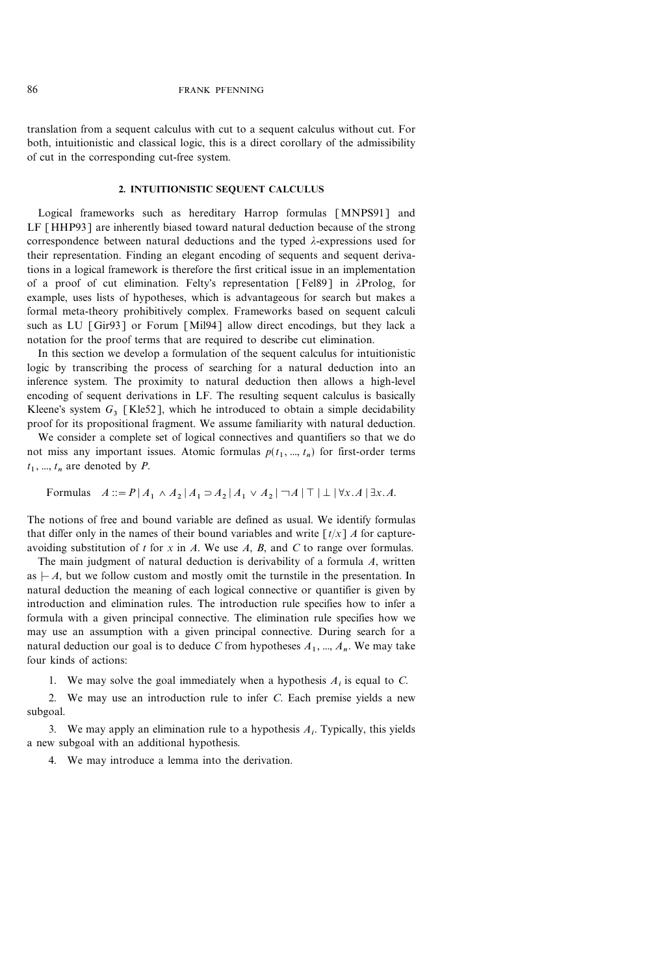translation from a sequent calculus with cut to a sequent calculus without cut. For both, intuitionistic and classical logic, this is a direct corollary of the admissibility of cut in the corresponding cut-free system.

## 2. INTUITIONISTIC SEQUENT CALCULUS

Logical frameworks such as hereditary Harrop formulas [MNPS91] and LF [HHP93] are inherently biased toward natural deduction because of the strong correspondence between natural deductions and the typed  $\lambda$ -expressions used for their representation. Finding an elegant encoding of sequents and sequent derivations in a logical framework is therefore the first critical issue in an implementation of a proof of cut elimination. Felty's representation [Fel89] in  $\lambda$ Prolog, for example, uses lists of hypotheses, which is advantageous for search but makes a formal meta-theory prohibitively complex. Frameworks based on sequent calculi such as LU [Gir93] or Forum [Mil94] allow direct encodings, but they lack a notation for the proof terms that are required to describe cut elimination.

In this section we develop a formulation of the sequent calculus for intuitionistic logic by transcribing the process of searching for a natural deduction into an inference system. The proximity to natural deduction then allows a high-level encoding of sequent derivations in LF. The resulting sequent calculus is basically Kleene's system  $G_3$  [Kle52], which he introduced to obtain a simple decidability proof for its propositional fragment. We assume familiarity with natural deduction.

We consider a complete set of logical connectives and quantifiers so that we do not miss any important issues. Atomic formulas  $p(t_1, ..., t_n)$  for first-order terms  $t_1$ , ...,  $t_n$  are denoted by P.

Formulas 
$$
A ::= P | A_1 \wedge A_2 | A_1 \supset A_2 | A_1 \vee A_2 | \neg A | \top | \bot | \forall x.A | \exists x.A.
$$

The notions of free and bound variable are defined as usual. We identify formulas that differ only in the names of their bound variables and write  $\lceil t/x \rceil$  *A* for captureavoiding substitution of t for x in A. We use A, B, and C to range over formulas.

The main judgment of natural deduction is derivability of a formula A, written as  $\vdash A$ , but we follow custom and mostly omit the turnstile in the presentation. In natural deduction the meaning of each logical connective or quantifier is given by introduction and elimination rules. The introduction rule specifies how to infer a formula with a given principal connective. The elimination rule specifies how we may use an assumption with a given principal connective. During search for a natural deduction our goal is to deduce C from hypotheses  $A_1$ , ...,  $A_n$ . We may take four kinds of actions:

1. We may solve the goal immediately when a hypothesis  $A_i$  is equal to C.

2. We may use an introduction rule to infer C. Each premise yields a new subgoal.

3. We may apply an elimination rule to a hypothesis  $A_i$ . Typically, this yields a new subgoal with an additional hypothesis.

4. We may introduce a lemma into the derivation.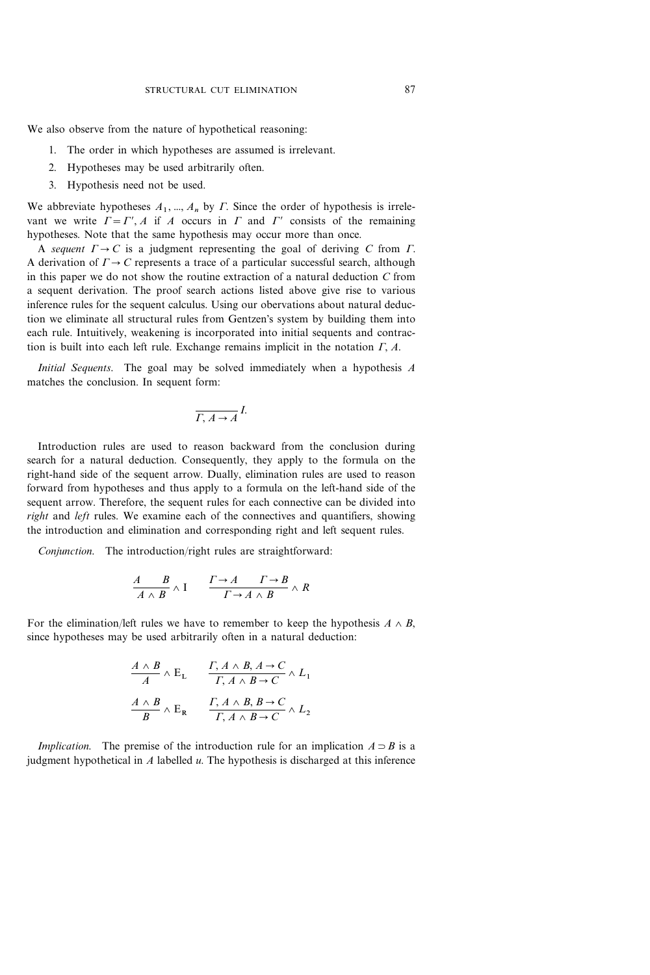We also observe from the nature of hypothetical reasoning:

- 1. The order in which hypotheses are assumed is irrelevant.
- 2. Hypotheses may be used arbitrarily often.
- 3. Hypothesis need not be used.

We abbreviate hypotheses  $A_1$ , ...,  $A_n$  by  $\Gamma$ . Since the order of hypothesis is irrelevant we write  $\Gamma = \Gamma'$ , A if A occurs in  $\Gamma$  and  $\Gamma'$  consists of the remaining hypotheses. Note that the same hypothesis may occur more than once.

A sequent  $\Gamma \rightarrow C$  is a judgment representing the goal of deriving C from  $\Gamma$ . A derivation of  $\Gamma \rightarrow C$  represents a trace of a particular successful search, although in this paper we do not show the routine extraction of a natural deduction C from a sequent derivation. The proof search actions listed above give rise to various inference rules for the sequent calculus. Using our obervations about natural deduction we eliminate all structural rules from Gentzen's system by building them into each rule. Intuitively, weakening is incorporated into initial sequents and contraction is built into each left rule. Exchange remains implicit in the notation  $\Gamma$ , A.

Initial Sequents. The goal may be solved immediately when a hypothesis A matches the conclusion. In sequent form:

$$
\overline{\Gamma, A \to A}^{\, I.}
$$

Introduction rules are used to reason backward from the conclusion during search for a natural deduction. Consequently, they apply to the formula on the right-hand side of the sequent arrow. Dually, elimination rules are used to reason forward from hypotheses and thus apply to a formula on the left-hand side of the sequent arrow. Therefore, the sequent rules for each connective can be divided into right and left rules. We examine each of the connectives and quantifiers, showing the introduction and elimination and corresponding right and left sequent rules.

Conjunction. The introduction/right rules are straightforward:

$$
\frac{A}{A \wedge B} \wedge I \qquad \frac{\Gamma \to A \qquad \Gamma \to B}{\Gamma \to A \wedge B} \wedge R
$$

For the elimination/left rules we have to remember to keep the hypothesis  $A \wedge B$ , since hypotheses may be used arbitrarily often in a natural deduction:

$$
\frac{A \wedge B}{A} \wedge E_{L} \qquad \frac{\Gamma, A \wedge B, A \rightarrow C}{\Gamma, A \wedge B \rightarrow C} \wedge L_{1}
$$

$$
\frac{A \wedge B}{B} \wedge E_{R} \qquad \frac{\Gamma, A \wedge B, B \rightarrow C}{\Gamma, A \wedge B \rightarrow C} \wedge L_{2}
$$

*Implication*. The premise of the introduction rule for an implication  $A \supset B$  is a judgment hypothetical in  $A$  labelled  $u$ . The hypothesis is discharged at this inference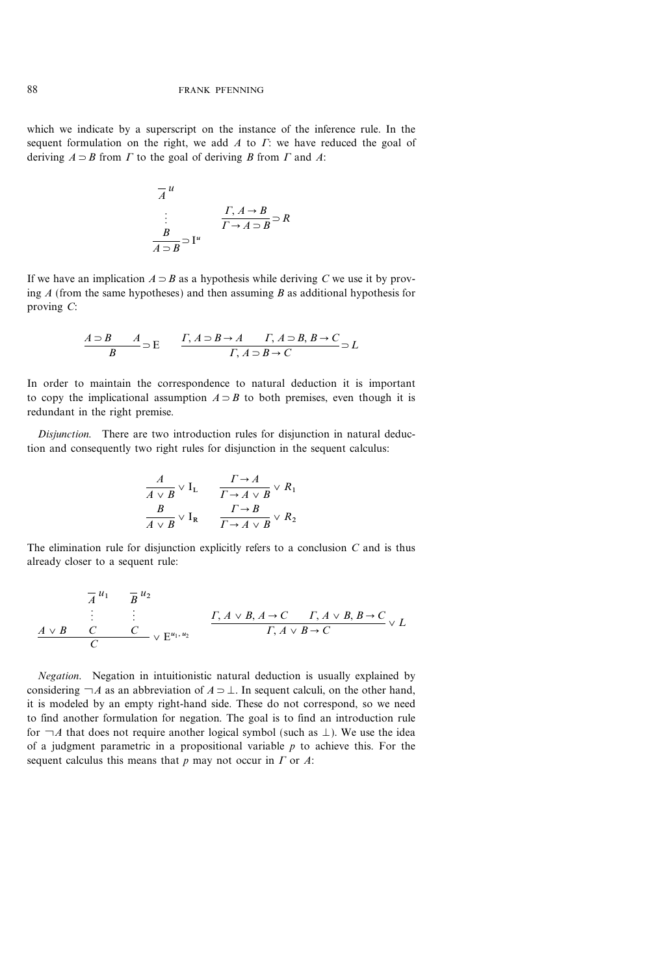which we indicate by a superscript on the instance of the inference rule. In the sequent formulation on the right, we add  $A$  to  $\Gamma$ : we have reduced the goal of deriving  $A \supset B$  from  $\Gamma$  to the goal of deriving B from  $\Gamma$  and A:

$$
\overline{A}^{u}
$$
\n
$$
\vdots \qquad \qquad \frac{\Gamma, A \to B}{\Gamma \to A \supset B} \supset R
$$
\n
$$
\frac{B}{A \supset B} \supset \mathbf{I}^{u}
$$

If we have an implication  $A \supset B$  as a hypothesis while deriving C we use it by proving  $A$  (from the same hypotheses) and then assuming  $B$  as additional hypothesis for proving C:

$$
\frac{A \supset B \qquad A}{B} \supset E \qquad \frac{\Gamma, A \supset B \to A \qquad \Gamma, A \supset B, B \to C}{\Gamma, A \supset B \to C} \supset L
$$

In order to maintain the correspondence to natural deduction it is important to copy the implicational assumption  $A \supset B$  to both premises, even though it is redundant in the right premise.

Disjunction. There are two introduction rules for disjunction in natural deduction and consequently two right rules for disjunction in the sequent calculus:

$$
\frac{A}{A \vee B} \vee I_{L} \qquad \frac{\Gamma \to A}{\Gamma \to A \vee B} \vee R_{1}
$$
\n
$$
\frac{B}{A \vee B} \vee I_{R} \qquad \frac{\Gamma \to B}{\Gamma \to A \vee B} \vee R_{2}
$$

The elimination rule for disjunction explicitly refers to a conclusion  $C$  and is thus already closer to a sequent rule:

$$
\begin{array}{ccc}\nA^{u_1} & B^{u_2} \\
\vdots & \vdots \\
A \vee B & C \\
\hline\nC & & \vee E^{u_1, u_2}\n\end{array}\n\qquad\n\begin{array}{ccc}\nT, A \vee B, A \to C & T, A \vee B, B \to C \\
T, A \vee B \to C & & \vee L\n\end{array}
$$

Negation. Negation in intuitionistic natural deduction is usually explained by considering  $\neg A$  as an abbreviation of  $A \supset \bot$ . In sequent calculi, on the other hand, it is modeled by an empty right-hand side. These do not correspond, so we need to find another formulation for negation. The goal is to find an introduction rule for  $\neg A$  that does not require another logical symbol (such as  $\bot$ ). We use the idea of a judgment parametric in a propositional variable  $p$  to achieve this. For the sequent calculus this means that  $p$  may not occur in  $\Gamma$  or  $\Lambda$ :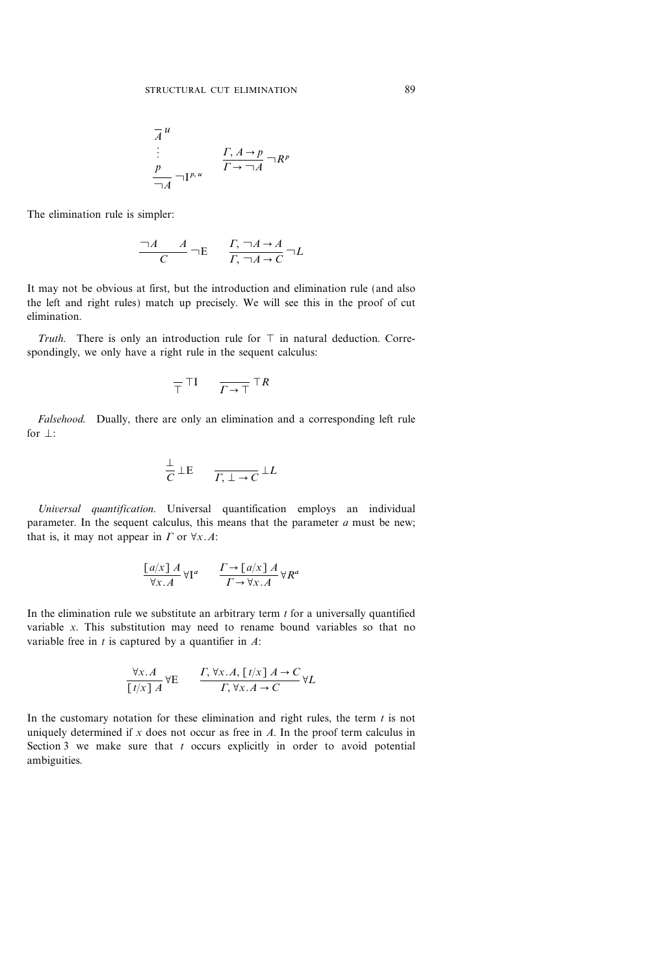$$
\overline{A}^{u}
$$
\n
$$
\vdots
$$
\n
$$
\frac{P}{\overline{A}} \neg I^{p,u}
$$
\n
$$
\overline{I^{p,u}}^{n}
$$
\n
$$
\overline{I^{p,u}}
$$
\n
$$
\overline{I^{p,u}}
$$

The elimination rule is simpler:

$$
\frac{\neg A \qquad A}{C} \neg E \qquad \frac{\Gamma, \neg A \to A}{\Gamma, \neg A \to C} \neg L
$$

It may not be obvious at first, but the introduction and elimination rule (and also the left and right rules) match up precisely. We will see this in the proof of cut elimination.

Truth. There is only an introduction rule for  $\top$  in natural deduction. Correspondingly, we only have a right rule in the sequent calculus:

$$
\overline{\top} \hspace{0.1cm} \overline{\top} \hspace{0.1cm} \overline{\top} \hspace{0.1cm} \overline{\top} \hspace{0.1cm} \overline{\top} \hspace{0.1cm} \overline{\top} \hspace{0.1cm} R
$$

Falsehood. Dually, there are only an elimination and a corresponding left rule for  $\perp$ :

$$
\frac{\perp}{C} \perp E \qquad \frac{\perp}{\varGamma, \perp \to C} \perp L
$$

Universal quantification. Universal quantification employs an individual parameter. In the sequent calculus, this means that the parameter  $a$  must be new; that is, it may not appear in  $\Gamma$  or  $\forall x.A$ :

$$
\frac{[a/x] A}{\forall x.A} \forall I^a \qquad \frac{\Gamma \to [a/x] A}{\Gamma \to \forall x.A} \forall R^a
$$

In the elimination rule we substitute an arbitrary term  $t$  for a universally quantified variable x. This substitution may need to rename bound variables so that no variable free in  $t$  is captured by a quantifier in  $A$ :

$$
\frac{\forall x. A}{[t/x] A} \forall E \qquad \frac{\Gamma, \forall x. A, [t/x] A \rightarrow C}{\Gamma, \forall x. A \rightarrow C} \forall L
$$

In the customary notation for these elimination and right rules, the term  $t$  is not uniquely determined if  $x$  does not occur as free in  $A$ . In the proof term calculus in Section 3 we make sure that  $t$  occurs explicitly in order to avoid potential ambiguities.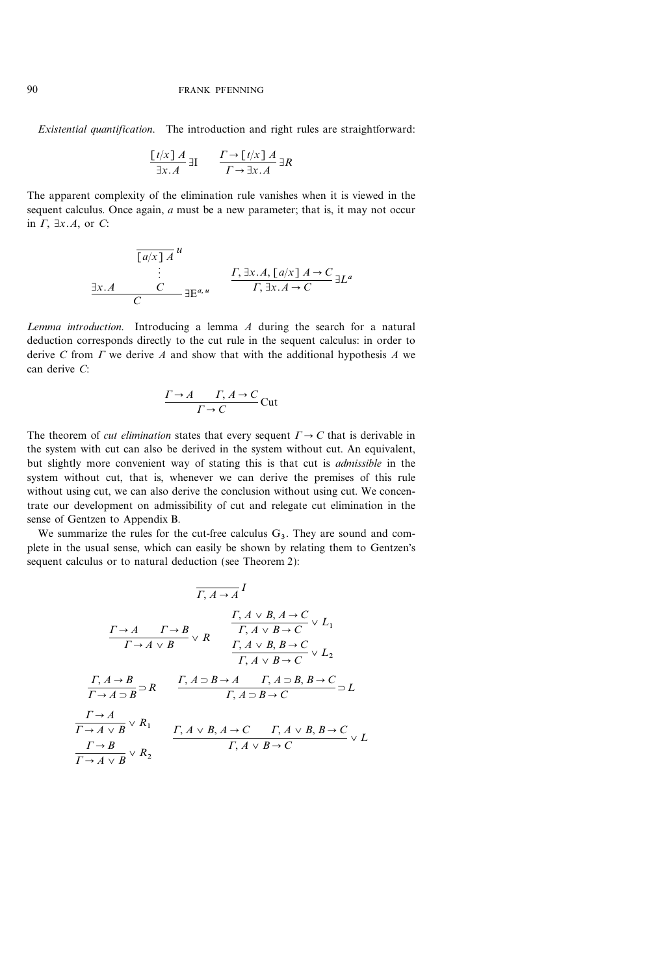Existential quantification. The introduction and right rules are straightforward:

$$
\frac{\left[t/x\right]A}{\exists x.A} \exists I \qquad \frac{\Gamma \to \left[t/x\right]A}{\Gamma \to \exists x.A} \exists R
$$

The apparent complexity of the elimination rule vanishes when it is viewed in the sequent calculus. Once again, *a* must be a new parameter; that is, it may not occur in  $\Gamma$ ,  $\exists x.A$ , or C:

$$
\frac{\overline{[a/x]A}^{u}}{C} \n\begin{array}{c}\n\vdots \\
\frac{1}{C} \\
\frac{1}{C}\n\end{array}\n\qquad\n\frac{\Gamma, \exists x.A, \left[\frac{a}{x}\right]A \to C}{T, \exists x.A \to C} \exists L^{a}
$$

Lemma introduction. Introducing a lemma  $A$  during the search for a natural deduction corresponds directly to the cut rule in the sequent calculus: in order to derive C from  $\Gamma$  we derive  $\Lambda$  and show that with the additional hypothesis  $\Lambda$  we can derive C:

$$
\frac{\Gamma \to A \qquad \Gamma, A \to C}{\Gamma \to C}
$$
Cut

The theorem of *cut elimination* states that every sequent  $\Gamma \rightarrow C$  that is derivable in the system with cut can also be derived in the system without cut. An equivalent, but slightly more convenient way of stating this is that cut is *admissible* in the system without cut, that is, whenever we can derive the premises of this rule without using cut, we can also derive the conclusion without using cut. We concentrate our development on admissibility of cut and relegate cut elimination in the sense of Gentzen to Appendix B.

We summarize the rules for the cut-free calculus  $G_3$ . They are sound and complete in the usual sense, which can easily be shown by relating them to Gentzen's sequent calculus or to natural deduction (see Theorem 2):

$$
\frac{\Gamma \to A \qquad \Gamma \to B}{\Gamma, A \to A} I
$$
\n
$$
\frac{\Gamma \to A \qquad \Gamma \to B}{\Gamma \to A \lor B} \lor R \qquad \frac{\Gamma, A \lor B \to C}{\Gamma, A \lor B \to C} \lor L_1
$$
\n
$$
\frac{\Gamma, A \to B}{\Gamma, A \lor B \to C} \lor L_2
$$
\n
$$
\frac{\Gamma, A \to B}{\Gamma \to A \to B} \supset R \qquad \frac{\Gamma, A \supset B \to A \qquad \Gamma, A \supset B, B \to C}{\Gamma, A \supset B \to C} \supset L
$$
\n
$$
\frac{\Gamma \to A}{\Gamma \to A \lor B} \lor R_1 \qquad \frac{\Gamma, A \lor B, A \to C \qquad \Gamma, A \lor B, B \to C}{\Gamma, A \lor B \to C} \lor L
$$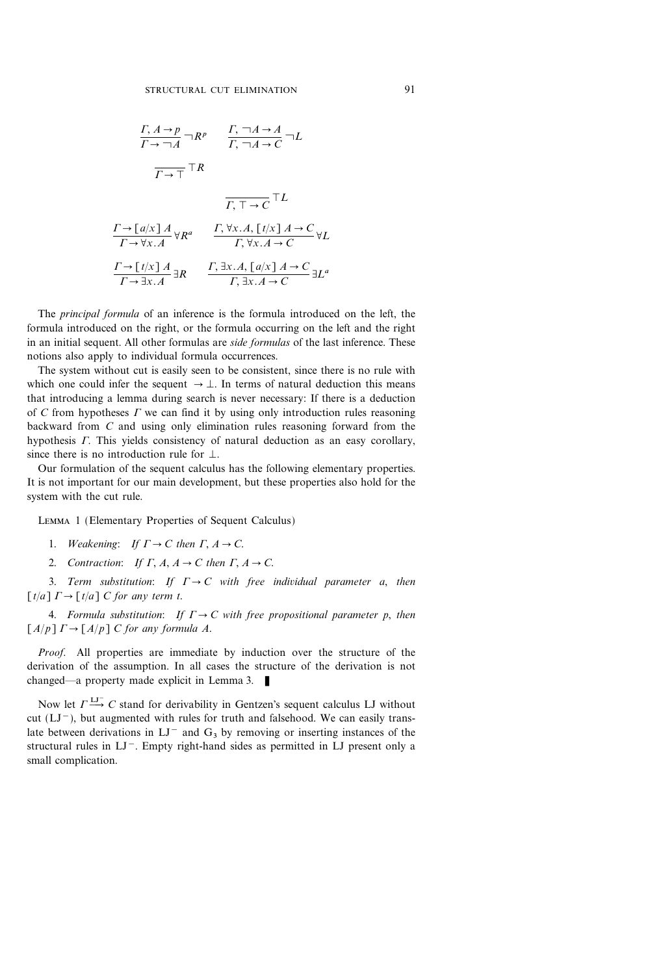

The principal formula of an inference is the formula introduced on the left, the formula introduced on the right, or the formula occurring on the left and the right in an initial sequent. All other formulas are *side formulas* of the last inference. These notions also apply to individual formula occurrences.

The system without cut is easily seen to be consistent, since there is no rule with which one could infer the sequent  $\rightarrow \perp$ . In terms of natural deduction this means that introducing a lemma during search is never necessary: If there is a deduction of  $C$  from hypotheses  $\Gamma$  we can find it by using only introduction rules reasoning backward from C and using only elimination rules reasoning forward from the hypothesis  $\Gamma$ . This yields consistency of natural deduction as an easy corollary, since there is no introduction rule for  $\perp$ .

Our formulation of the sequent calculus has the following elementary properties. It is not important for our main development, but these properties also hold for the system with the cut rule.

Lemma 1 (Elementary Properties of Sequent Calculus)

1. Weakening: If  $\Gamma \rightarrow C$  then  $\Gamma$ ,  $A \rightarrow C$ .

2. Contraction: If  $\Gamma$ ,  $A$ ,  $A \rightarrow C$  then  $\Gamma$ ,  $A \rightarrow C$ .

3. Term substitution: If  $\Gamma \rightarrow C$  with free individual parameter a, then  $\lbrack t/a \rbrack$   $\Gamma \rightarrow \lbrack t/a \rbrack$  C for any term t.

4. Formula substitution: If  $\Gamma \rightarrow C$  with free propositional parameter p, then  $[A/p] \Gamma \rightarrow [A/p] \ C$  for any formula A.

Proof. All properties are immediate by induction over the structure of the derivation of the assumption. In all cases the structure of the derivation is not changed—a property made explicit in Lemma 3.  $\blacksquare$ 

Now let  $\Gamma \longrightarrow^{\mathbf{LJ}^-} C$  stand for derivability in Gentzen's sequent calculus LJ without cut  $(LJ^{-})$ , but augmented with rules for truth and falsehood. We can easily translate between derivations in  $LI^-$  and  $G_3$  by removing or inserting instances of the structural rules in  $LJ^-$ . Empty right-hand sides as permitted in LJ present only a small complication.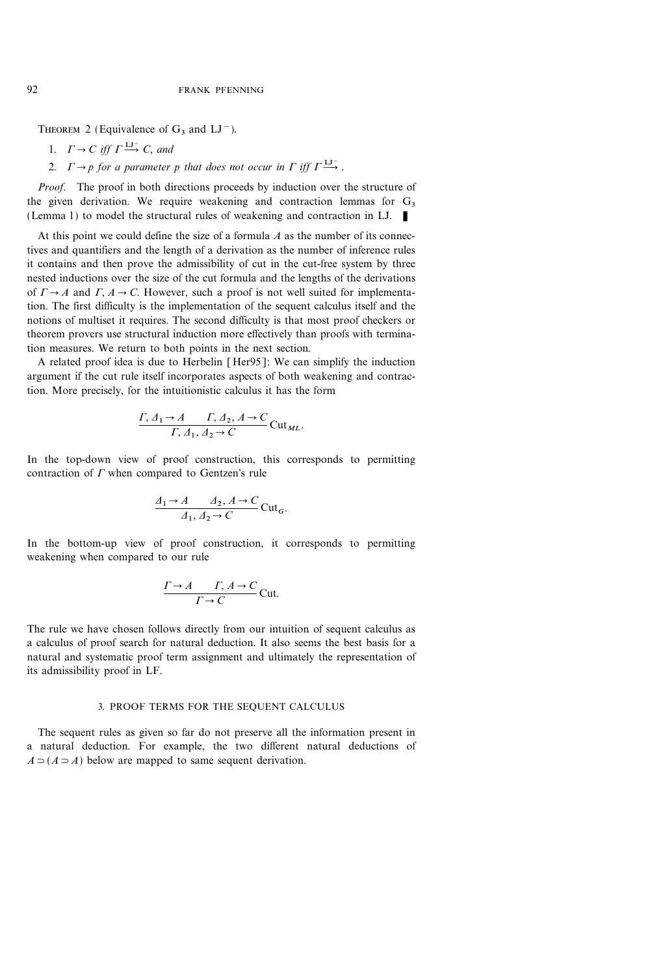THEOREM 2 (Equivalence of  $G_3$  and  $LJ^-$ ).

- 1.  $\Gamma \to C$  iff  $\Gamma \xrightarrow{\text{LI}^-} C$ , and
- 2.  $\Gamma \rightarrow p$  for a parameter p that does not occur in  $\Gamma$  iff  $\Gamma \stackrel{\text{LJ}-}{\longrightarrow}$ .

Proof. The proof in both directions proceeds by induction over the structure of the given derivation. We require weakening and contraction lemmas for  $G_3$ (Lemma 1) to model the structural rules of weakening and contraction in LJ.

At this point we could define the size of a formula  $A$  as the number of its connectives and quantifiers and the length of a derivation as the number of inference rules it contains and then prove the admissibility of cut in the cut-free system by three nested inductions over the size of the cut formula and the lengths of the derivations of  $\Gamma \rightarrow A$  and  $\Gamma$ ,  $A \rightarrow C$ . However, such a proof is not well suited for implementation. The first difficulty is the implementation of the sequent calculus itself and the notions of multiset it requires. The second difficulty is that most proof checkers or theorem provers use structural induction more effectively than proofs with termination measures. We return to both points in the next section.

A related proof idea is due to Herbelin [Her95]: We can simplify the induction argument if the cut rule itself incorporates aspects of both weakening and contraction. More precisely, for the intuitionistic calculus it has the form

$$
\frac{\Gamma, A_1 \to A \qquad \Gamma, A_2, A \to C}{\Gamma, A_1, A_2 \to C} \text{Cut}_{ML}.
$$

In the top-down view of proof construction, this corresponds to permitting contraction of  $\Gamma$  when compared to Gentzen's rule

$$
\frac{A_1 \rightarrow A \qquad A_2, A \rightarrow C}{A_1, A_2 \rightarrow C}
$$
Cut<sub>G</sub>.

In the bottom-up view of proof construction, it corresponds to permitting weakening when compared to our rule

$$
\frac{\Gamma \to A \qquad \Gamma, A \to C}{\Gamma \to C}
$$
Cut.

The rule we have chosen follows directly from our intuition of sequent calculus as a calculus of proof search for natural deduction. It also seems the best basis for a natural and systematic proof term assignment and ultimately the representation of its admissibility proof in LF.

## 3. PROOF TERMS FOR THE SEQUENT CALCULUS

The sequent rules as given so far do not preserve all the information present in a natural deduction. For example, the two different natural deductions of  $A \supset (A \supset A)$  below are mapped to same sequent derivation.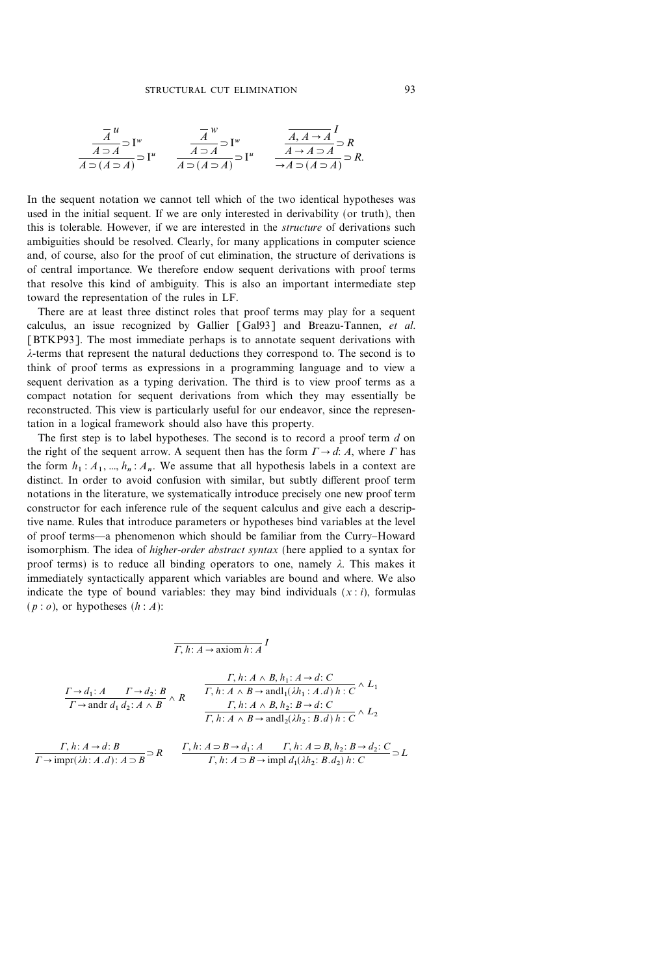$$
\frac{\frac{1}{A}u}{A \supseteq A} \supseteq I^w
$$
\n
$$
\frac{\frac{1}{A}w}{A \supseteq (A \supseteq A)} \supseteq I^u
$$
\n
$$
\frac{\frac{1}{A}w}{A \supseteq (A \supseteq A)} \supseteq I^w
$$
\n
$$
\frac{\frac{1}{A}A \rightarrow A}{A \supseteq (A \supseteq A)} \supseteq I^u
$$
\n
$$
\frac{\frac{1}{A}A \rightarrow A}{A \supseteq (A \supseteq A)} \supseteq R.
$$

In the sequent notation we cannot tell which of the two identical hypotheses was used in the initial sequent. If we are only interested in derivability (or truth), then this is tolerable. However, if we are interested in the *structure* of derivations such ambiguities should be resolved. Clearly, for many applications in computer science and, of course, also for the proof of cut elimination, the structure of derivations is of central importance. We therefore endow sequent derivations with proof terms that resolve this kind of ambiguity. This is also an important intermediate step toward the representation of the rules in LF.

There are at least three distinct roles that proof terms may play for a sequent calculus, an issue recognized by Gallier [Gal93] and Breazu-Tannen, et al. [BTKP93]. The most immediate perhaps is to annotate sequent derivations with  $\lambda$ -terms that represent the natural deductions they correspond to. The second is to think of proof terms as expressions in a programming language and to view a sequent derivation as a typing derivation. The third is to view proof terms as a compact notation for sequent derivations from which they may essentially be reconstructed. This view is particularly useful for our endeavor, since the representation in a logical framework should also have this property.

The first step is to label hypotheses. The second is to record a proof term  $d$  on the right of the sequent arrow. A sequent then has the form  $\Gamma \rightarrow d: A$ , where  $\Gamma$  has the form  $h_1 : A_1, ..., h_n : A_n$ . We assume that all hypothesis labels in a context are distinct. In order to avoid confusion with similar, but subtly different proof term notations in the literature, we systematically introduce precisely one new proof term constructor for each inference rule of the sequent calculus and give each a descriptive name. Rules that introduce parameters or hypotheses bind variables at the level of proof terms—a phenomenon which should be familiar from the Curry-Howard isomorphism. The idea of higher-order abstract syntax (here applied to a syntax for proof terms) is to reduce all binding operators to one, namely  $\lambda$ . This makes it immediately syntactically apparent which variables are bound and where. We also indicate the type of bound variables: they may bind individuals  $(x : i)$ , formulas  $(p : o)$ , or hypotheses  $(h : A)$ :

$$
\overline{\Gamma, h \colon A \to \text{axiom } h \colon A}
$$

$$
\frac{\Gamma \to d_1: A \qquad \Gamma \to d_2: B}{\Gamma \to \text{andr } d_1 d_2: A \land B} \land R \qquad \frac{\Gamma, h: A \land B, h_1: A \to d: C}{\Gamma, h: A \land B \to \text{andl}_1(\lambda h_1: A.d) h: C} \land L_1
$$
\n
$$
\frac{\Gamma, h: A \land B, h_2: B \to d: C}{\Gamma, h: A \land B \to \text{andl}_2(\lambda h_2: B.d) h: C} \land L_2
$$

 $\Gamma$ ,  $h: A \rightarrow d: B$  $\frac{1}{\Gamma \to \text{impr}(\lambda h: A.d): A \supset B} \supset R$  $\Gamma$ ,  $h: A \supset B \rightarrow d_1$ :  $A \qquad \Gamma$ ,  $h: A \supset B$ ,  $h_2$ :  $B \rightarrow d_2$ : C  $\frac{1}{I}$ ,  $h: A \supset B \rightarrow \text{impl } d_1(\lambda h_2; B, d_2)$   $h: C \rightarrow L$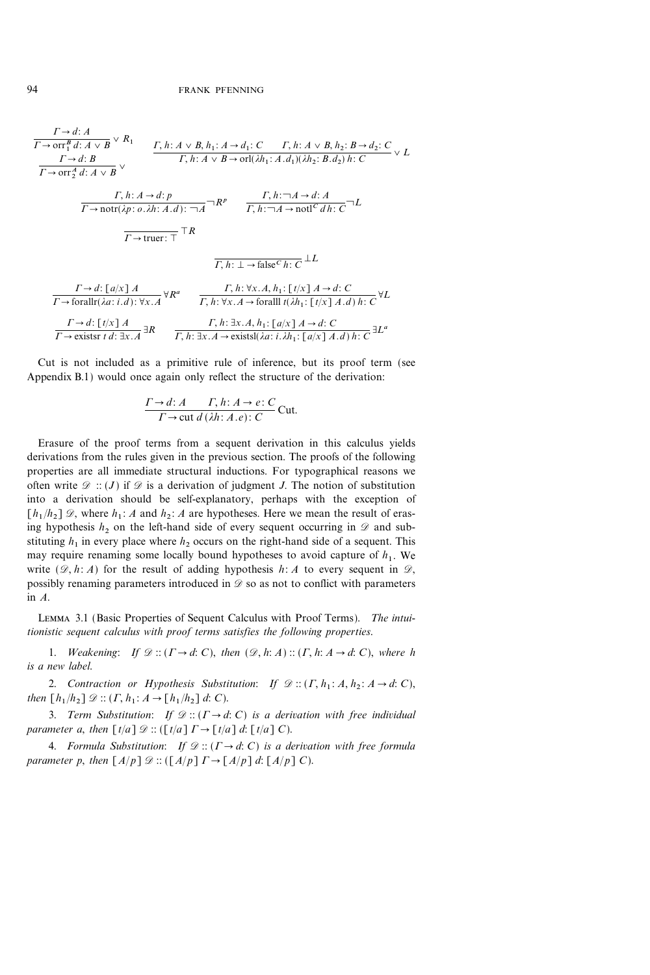$$
\frac{\Gamma \to d: A}{\Gamma \to \text{orr}_{1}^{B} d: A \lor B} \lor R_{1}
$$
\n
$$
\frac{\Gamma, h: A \lor B, h_{1}: A \to d_{1}: C \quad \Gamma, h: A \lor B, h_{2}: B \to d_{2}: C}{\Gamma, h: A \lor B \to \text{ori}(\lambda h_{1}: A. d_{1})(\lambda h_{2}: B. d_{2}) h: C} \lor L
$$
\n
$$
\frac{\Gamma, h: A \to d: p}{\Gamma \to \text{iorr}(\lambda p: o. \lambda h: A. d): \neg A} \neg R^{p}
$$
\n
$$
\frac{\Gamma, h: \neg A \to d: A}{\Gamma, h: \neg A \to \text{notl}^{C} d h: C} \neg L
$$
\n
$$
\frac{\Gamma \to \text{ruer}: \top}{\Gamma \to \text{ruer}: \top} \top R
$$
\n
$$
\frac{\Gamma, h: \bot \to \text{false}^{C} h: C}{\Gamma, h: \bot \to \text{false}^{C} h: C} \bot L
$$
\n
$$
\frac{\Gamma \to d: [a/x] A}{\Gamma \to \text{forallr}(\lambda a: i.d): \forall x.A} \lor R^{a}
$$
\n
$$
\frac{\Gamma, h: \forall x.A, h_{1}: [t/x] A \to d: C}{\Gamma, h: \forall x.A \to \text{foralll} t(\lambda h_{1}: [t/x] A. d) h: C} \forall L
$$
\n
$$
\frac{\Gamma \to d: [t/x] A}{\Gamma \to \text{exists } t d: \exists x.A} \exists R
$$
\n
$$
\frac{\Gamma, h: \exists x.A, h_{1}: [a/x] A \to d: C}{\Gamma, h: \exists x.A \to \text{exists}(\lambda a: i.\lambda h_{1}: [a/x] A. d) h: C} \exists L^{a}
$$

Cut is not included as a primitive rule of inference, but its proof term (see Appendix B.1) would once again only reflect the structure of the derivation:

$$
\frac{\Gamma \to d \colon A \qquad \Gamma, h \colon A \to e \colon C}{\Gamma \to \text{cut } d \ (\lambda h \colon A \cdot e) \colon C} \text{Cut}.
$$

Erasure of the proof terms from a sequent derivation in this calculus yields derivations from the rules given in the previous section. The proofs of the following properties are all immediate structural inductions. For typographical reasons we often write  $\mathcal{D}$  :: (*J*) if  $\mathcal{D}$  is a derivation of judgment *J*. The notion of substitution into a derivation should be self-explanatory, perhaps with the exception of  $[h_1/h_2]$   $\mathcal{D}$ , where  $h_1$ : A and  $h_2$ : A are hypotheses. Here we mean the result of erasing hypothesis  $h_2$  on the left-hand side of every sequent occurring in  $\mathscr D$  and substituting  $h_1$  in every place where  $h_2$  occurs on the right-hand side of a sequent. This may require renaming some locally bound hypotheses to avoid capture of  $h_1$ . We write  $(\mathcal{D}, h: A)$  for the result of adding hypothesis h: A to every sequent in  $\mathcal{D}$ , possibly renaming parameters introduced in  $\mathscr{D}$  so as not to conflict with parameters in  $A$ .

LEMMA 3.1 (Basic Properties of Sequent Calculus with Proof Terms). The intuitionistic sequent calculus with proof terms satisfies the following properties.

1. Weakening: If  $\mathcal{D}$  ::  $(\Gamma \rightarrow d; C)$ , then  $(\mathcal{D}, h; A)$  ::  $(\Gamma, h; A \rightarrow d; C)$ , where h is a new label.

Contraction or Hypothesis Substitution: If  $\mathcal{D}$  ::  $(\Gamma, h_1: A, h_2: A \rightarrow d: C)$ ,  $2^{+}$ then  $[h_1/h_2] \mathcal{D} :: (\Gamma, h_1 : A \to [h_1/h_2] \, d : C)$ .

Term Substitution: If  $\mathcal{D}$  ::  $(\Gamma \rightarrow d; C)$  is a derivation with free individual 3. parameter a, then  $[t/a] \mathcal{D} :: ([t/a] \Gamma \rightarrow [t/a] \ d: [t/a] \ C).$ 

4. Formula Substitution: If  $\mathcal{D}$  ::  $(\Gamma \rightarrow d; C)$  is a derivation with free formula parameter p, then  $\lceil A/p \rceil \mathcal{D}$ ::  $(\lceil A/p \rceil \Gamma \rightarrow \lceil A/p \rceil d$ :  $\lceil A/p \rceil C$ ).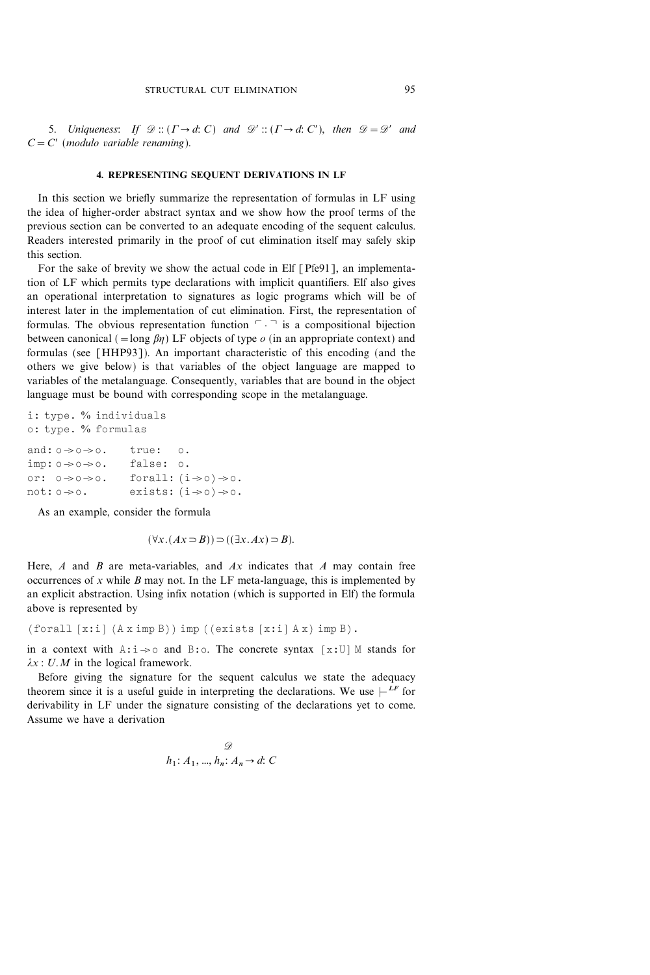5. Uniqueness: If  $\mathscr{D}::( \Gamma \rightarrow d: C)$  and  $\mathscr{D}::( \Gamma \rightarrow d: C')$ , then  $\mathscr{D}=\mathscr{D}'$  and  $C = C'$  (modulo variable renaming).

#### 4. REPRESENTING SEQUENT DERIVATIONS IN LF

In this section we briefly summarize the representation of formulas in LF using the idea of higher-order abstract syntax and we show how the proof terms of the previous section can be converted to an adequate encoding of the sequent calculus. Readers interested primarily in the proof of cut elimination itself may safely skip this section.

For the sake of brevity we show the actual code in Elf [Pfe91], an implementation of LF which permits type declarations with implicit quantifiers. Elf also gives an operational interpretation to signatures as logic programs which will be of interest later in the implementation of cut elimination. First, the representation of formulas. The obvious representation function  $\lceil \cdot \rceil$  is a compositional bijection between canonical ( $=$ long  $\beta\eta$ ) LF objects of type  $\sigma$  (in an appropriate context) and formulas (see [HHP93]). An important characteristic of this encoding (and the others we give below) is that variables of the object language are mapped to variables of the metalanguage. Consequently, variables that are bound in the object language must be bound with corresponding scope in the metalanguage.

```
i: type. % individuals
o: type. % formulas
and: 0 \rightarrow 0 \rightarrow 0. true: 0.
imp: 0 \rightarrow 0 \rightarrow 0. false: 0.
or: 0 \rightarrow 0 \rightarrow 0. forall: (i \rightarrow 0) \rightarrow 0.
not: o \rightarrow o. exists: (i \rightarrow o) \rightarrow o.
```
As an example, consider the formula

 $(\forall x. (Ax \supset B)) \supset ((\exists x. Ax) \supset B).$ 

Here,  $A$  and  $B$  are meta-variables, and  $Ax$  indicates that  $A$  may contain free occurrences of x while  $B$  may not. In the LF meta-language, this is implemented by an explicit abstraction. Using infix notation (which is supported in Elf) the formula above is represented by

$$
(for all [x:i] (A x imp B)) imp ((exists [x:i] A x) imp B).
$$

in a context with  $A: i \rightarrow o$  and  $B: o$ . The concrete syntax [x:U] M stands for  $\lambda x : U.M$  in the logical framework.

Before giving the signature for the sequent calculus we state the adequacy theorem since it is a useful guide in interpreting the declarations. We use  $\vdash^{LF}$  for derivability in LF under the signature consisting of the declarations yet to come. Assume we have a derivation

$$
\mathscr{D}
$$
  
 $h_1: A_1, ..., h_n: A_n \to d: C$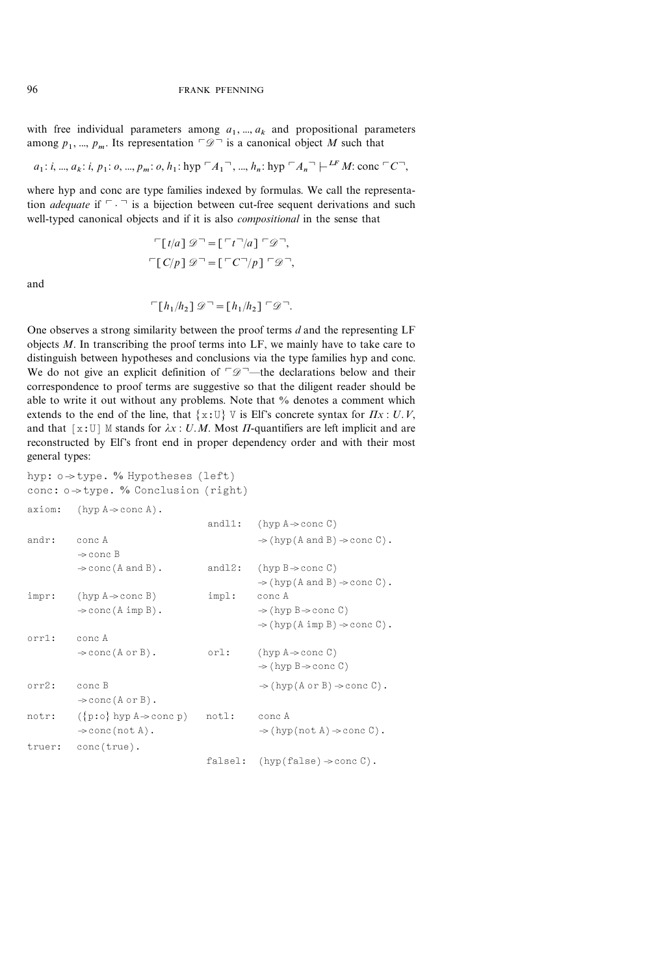with free individual parameters among  $a_1$ , ...,  $a_k$  and propositional parameters among  $p_1$ , ...,  $p_m$ . Its representation  $\bigcirc \mathcal{D}$  is a canonical object M such that

$$
a_1: i, ..., a_k: i, p_1: o, ..., p_m: o, h_1: hyp \sqsubset A_1 \sqcap, ..., h_n: hyp \sqsubset A_n \sqsubset \sqsubset F
$$
 *M*: conc  $\sqsubset C \sqsubset$ ,

where hyp and conc are type families indexed by formulas. We call the representation *adequate* if  $\lceil \cdot \rceil$  is a bijection between cut-free sequent derivations and such well-typed canonical objects and if it is also *compositional* in the sense that

$$
\ulcorner [t/a] \mathscr{D} \urcorner = [\ulcorner t \urcorner / a] \ulcorner \mathscr{D} \urcorner,
$$

$$
\ulcorner [C/p] \mathscr{D} \urcorner = [\ulcorner C \urcorner / p] \ulcorner \mathscr{D} \urcorner,
$$

and

$$
-[h_1/h_2] \mathscr{D}^- = [h_1/h_2] \ulcorner \mathscr{D}^-.
$$

One observes a strong similarity between the proof terms  $d$  and the representing LF objects  $M$ . In transcribing the proof terms into LF, we mainly have to take care to distinguish between hypotheses and conclusions via the type families hyp and conc. We do not give an explicit definition of  $\sqrt{\mathcal{D}}$  -the declarations below and their correspondence to proof terms are suggestive so that the diligent reader should be able to write it out without any problems. Note that  $\%$  denotes a comment which extends to the end of the line, that  $\{x:U\}$  V is Elf's concrete syntax for  $\Pi x: U, V$ , and that  $[x:U]$  M stands for  $\lambda x: U.M.$  Most  $\Pi$ -quantifiers are left implicit and are reconstructed by Elf's front end in proper dependency order and with their most general types:

```
hyp: o \rightarrow type. % Hypotheses (left)
conc: o \rightarrow type. % Conclusion (right)
axiom: (hyp A \rightarrow cone A).
                                         and 1: (hyp A \rightarrowconc C)
andr: conc A \rightarrow (hyp(A \text{ and } B) \rightarrow \text{cone } C).
           \Rightarrowconc B
           \Rightarrowconc(A and B). and 12: (hyp B\Rightarrowconc C)
                                                     \Rightarrow (hyp(A and B) \Rightarrow conc C).
impr: (hyp A \Rightarrow conc B) impl: conc A
           \Rightarrow conc (A imp B). \Rightarrow (hyp B\Rightarrow conc C)
                                                     \Rightarrow (hyp(A imp B) \Rightarrow conc C).
orr1: conc A
           \Rightarrowconc(A or B). orl: (hyp A\Rightarrowconc C)
                                                     \Rightarrow (hyp B\Rightarrowconc C)
orr2: conc B \rightarrow (hyp(A \text{ or } B) \rightarrow cone C).\Rightarrowconc(A or B).
notr: ({p: o} \nrightarrow A \rightarrow cone p) notl: conc A
           \Rightarrow conc(not A). \Rightarrow (hyp(not A) \Rightarrow conc C).
truer: conc(true).
                                         falsel: (hyp(false) \rightarrow cone C).
```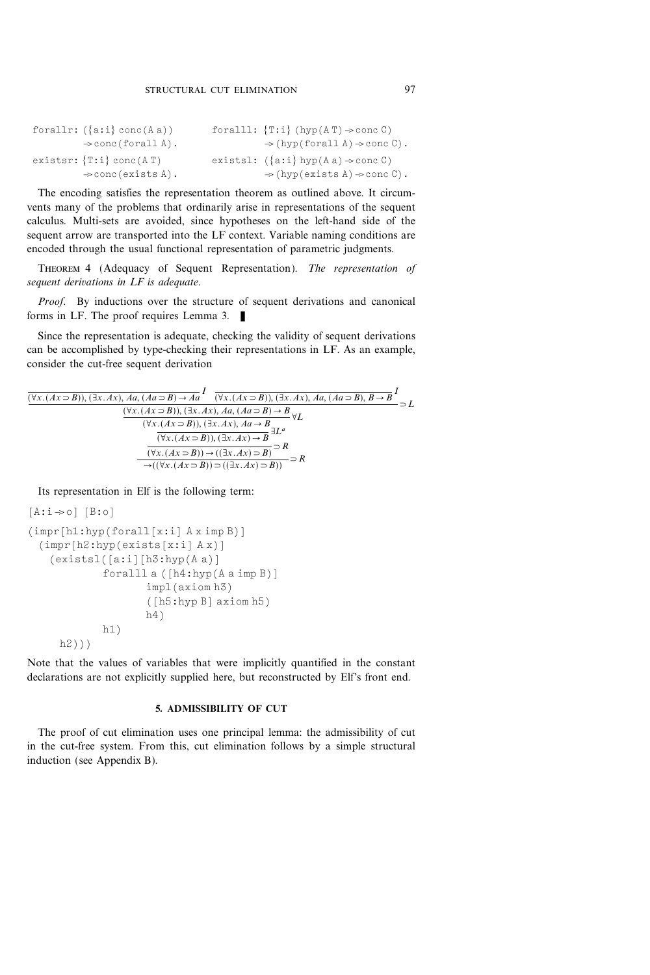forallr:  $({a:i} \cdot \text{conc}(A a))$  foralll:  ${T:i} \text{ (hyp}(A T) \rightarrow \text{conc } C)$  $\Rightarrow$ conc(forall A).  $\Rightarrow$ (hyp(forall A) $\Rightarrow$ conc C). existsr:  ${T:i} \text{conc}(A T)$  existsl:  $({a:i} \text{hyp}(A a) \rightarrow \text{conc}(C))$  $\Rightarrow$ conc(exists A).  $\Rightarrow$ (hyp(exists A) $\Rightarrow$ conc C).

The encoding satisfies the representation theorem as outlined above. It circumvents many of the problems that ordinarily arise in representations of the sequent calculus. Multi-sets are avoided, since hypotheses on the left-hand side of the sequent arrow are transported into the LF context. Variable naming conditions are encoded through the usual functional representation of parametric judgments.

THEOREM 4 (Adequacy of Sequent Representation). The representation of sequent derivations in LF is adequate.

Proof. By inductions over the structure of sequent derivations and canonical forms in LF. The proof requires Lemma 3.

Since the representation is adequate, checking the validity of sequent derivations can be accomplished by type-checking their representations in LF. As an example, consider the cut-free sequent derivation

$$
\frac{(\forall x. (Ax \supset B)), (\exists x. Ax), Aa, (Aa \supset B) \rightarrow Aa}{(\forall x. (Ax \supset B)), (\exists x. Ax), Aa, (Aa \supset B), B \rightarrow B} \cup B}{(\forall x. (Ax \supset B)), (\exists x. Ax), Aa, (Aa \supset B) \rightarrow B} \forall L
$$
\n
$$
\frac{(\forall x. (Ax \supset B)), (\exists x. Ax), Aa \rightarrow B}{(\forall x. (Ax \supset B)), (\exists x. Ax) \rightarrow B} \exists L^{a}
$$
\n
$$
\frac{(\forall x. (Ax \supset B)), (\exists x. Ax) \rightarrow B}{(\forall x. (Ax \supset B)) \rightarrow ((\exists x. Ax) \supset B)} \supset R
$$
\n
$$
\rightarrow ((\forall x. (Ax \supset B)) \supset ((\exists x. Ax) \supset B)) \supset R
$$

Its representation in Elf is the following term:

```
[A:i \rightarrow o] [B:o](impr[h1:hyp(forall[x:i] A x imp B)]
 (impr[h2:hyp(exists[x:i] A x)]
   (existsl([a:i][h3:hyp(A a)]
             foralll a ([h4:hyp(A a imp B)]
                     impl(axiom h3)
                     ([h5:hyp B] axiom h5)
                    h4)
             h1)
     h2)))
```
Note that the values of variables that were implicitly quantified in the constant declarations are not explicitly supplied here, but reconstructed by Elf's front end.

### 5. ADMISSIBILITY OF CUT

The proof of cut elimination uses one principal lemma: the admissibility of cut in the cut-free system. From this, cut elimination follows by a simple structural induction (see Appendix B).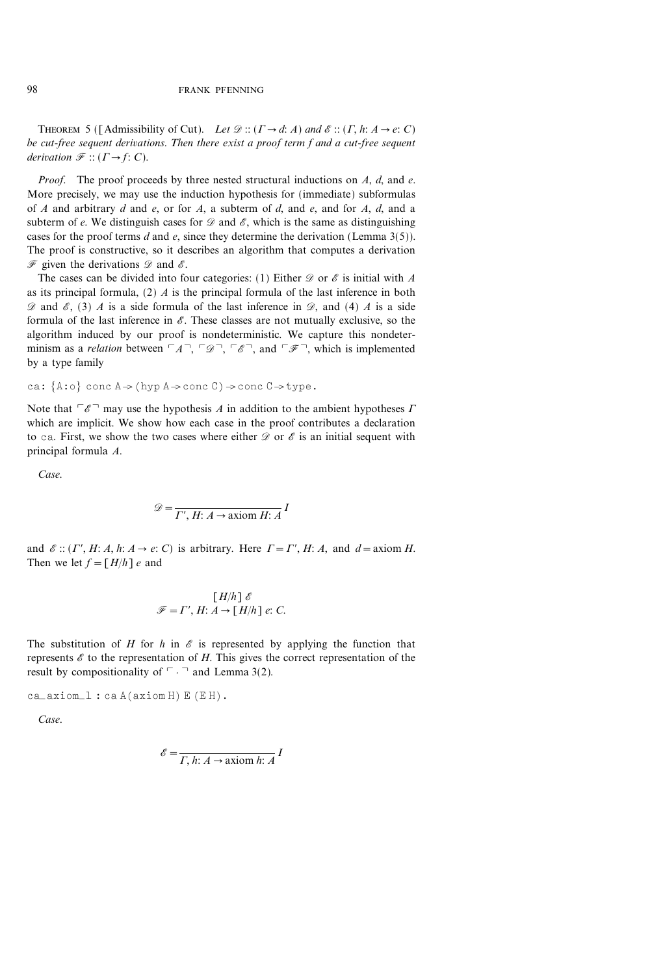THEOREM 5 ([Admissibility of Cut). Let  $\mathscr{D}$  ::  $(\Gamma \rightarrow d: A)$  and  $\mathscr{E}$  ::  $(\Gamma, h: A \rightarrow e: C)$ be cut-free sequent derivations. Then there exist a proof term f and a cut-free sequent derivation  $\mathscr{F}$  ::  $(\Gamma \rightarrow f: C)$ .

*Proof.* The proof proceeds by three nested structural inductions on  $A$ ,  $d$ , and  $e$ . More precisely, we may use the induction hypothesis for (immediate) subformulas of A and arbitrary d and e, or for A, a subterm of d, and e, and for A, d, and a subterm of e. We distinguish cases for  $\mathscr D$  and  $\mathscr E$ , which is the same as distinguishing cases for the proof terms d and e, since they determine the derivation (Lemma  $3(5)$ ). The proof is constructive, so it describes an algorithm that computes a derivation  $\mathscr F$  given the derivations  $\mathscr D$  and  $\mathscr E$ .

The cases can be divided into four categories: (1) Either  $\mathscr D$  or  $\mathscr E$  is initial with A as its principal formula,  $(2)$  A is the principal formula of the last inference in both  $\mathscr D$  and  $\mathscr E$ , (3) A is a side formula of the last inference in  $\mathscr D$ , and (4) A is a side formula of the last inference in  $\mathscr E$ . These classes are not mutually exclusive, so the algorithm induced by our proof is nondeterministic. We capture this nondeterminism as a *relation* between  $\ulcorner A \urcorner$ ,  $\ulcorner \mathcal{D} \urcorner$ ,  $\ulcorner \mathcal{E} \urcorner$ , and  $\ulcorner \mathcal{F} \urcorner$ , which is implemented by a type family

$$
\text{ca: } \{A: o\} \text{ conc } A \Rightarrow (\text{hyp } A \Rightarrow \text{conc } C) \Rightarrow \text{conc } C \Rightarrow \text{type.}
$$

Note that  $\lceil \mathcal{E} \rceil$  may use the hypothesis A in addition to the ambient hypotheses  $\Gamma$ which are implicit. We show how each case in the proof contributes a declaration to ca. First, we show the two cases where either  $\mathscr D$  or  $\mathscr E$  is an initial sequent with principal formula A.

Case.

$$
\mathcal{D} = \frac{1}{\Gamma', H: A \to \text{axiom } H: A} I
$$

and  $\mathcal{E}$  :: (T', H: A, h: A  $\rightarrow$  e: C) is arbitrary. Here  $\Gamma = \Gamma'$ , H: A, and d = axiom H. Then we let  $f = \lfloor H/h \rfloor e$  and

$$
[H/h] \mathcal{E}
$$

$$
\mathcal{F} = \Gamma', H: A \to [H/h] \mathit{e}: C.
$$

The substitution of H for h in  $\mathscr E$  is represented by applying the function that represents  $\mathscr E$  to the representation of H. This gives the correct representation of the result by compositionality of  $\lceil \cdot \rceil$  and Lemma 3(2).

$$
\mathtt{ca\_axiom\_l} : \mathtt{ca}\ \mathtt{A}(\mathtt{axiom}\ \mathtt{H})\ \mathtt{E}\ (\mathtt{E}\ \mathtt{H}).
$$

Case.

$$
\mathscr{E} = \frac{}{\Gamma, h: A \to \text{axiom } h: A}
$$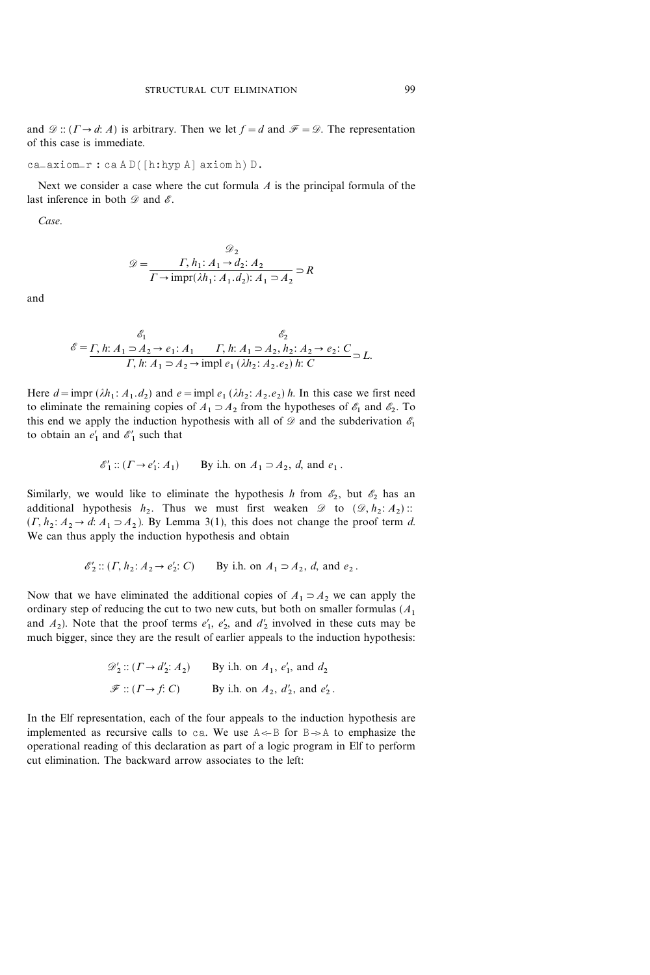and  $\mathcal{D}$  ::  $(\Gamma \rightarrow d: A)$  is arbitrary. Then we let  $f = d$  and  $\mathcal{F} = \mathcal{D}$ . The representation of this case is immediate.

ca\_axiom\_r: ca A D([h:hyp A] axiom h) D.

Next we consider a case where the cut formula  $A$  is the principal formula of the last inference in both  $\mathscr D$  and  $\mathscr E$ .

Case.

$$
\mathcal{D}_2
$$

$$
\mathcal{D} = \frac{\Gamma, h_1: A_1 \to d_2: A_2}{\Gamma \to \text{impr}(\lambda h_1: A_1. A_2): A_1 \supset A_2} \supset R
$$

and

$$
\mathscr{E}_{1} \qquad \mathscr{E}_{2}
$$
\n
$$
\mathscr{E} = \underline{\Gamma, h: A_{1} \supset A_{2} \to e_{1}: A_{1} \qquad \Gamma, h: A_{1} \supset A_{2}, h_{2}: A_{2} \to e_{2}: C}{\Gamma, h: A_{1} \supset A_{2} \to \text{impl } e_{1} (\lambda h_{2}: A_{2}.e_{2}) h: C} \supset L.
$$

Here  $d = \text{impr } (\lambda h_1 : A_1 . d_2)$  and  $e = \text{impl } e_1 (\lambda h_2 : A_2 . e_2)$  h. In this case we first need to eliminate the remaining copies of  $A_1 \supset A_2$  from the hypotheses of  $\mathscr{E}_1$  and  $\mathscr{E}_2$ . To this end we apply the induction hypothesis with all of  $\mathscr D$  and the subderivation  $\mathscr E_1$ to obtain an  $e'_1$  and  $e'_1$  such that

$$
\mathscr{E}'_1 :: (\Gamma \to e'_1 : A_1) \qquad \text{By i.h. on } A_1 \supset A_2, d, \text{ and } e_1.
$$

Similarly, we would like to eliminate the hypothesis h from  $\mathscr{E}_2$ , but  $\mathscr{E}_2$  has an additional hypothesis  $h_2$ . Thus we must first weaken  $\mathscr{D}$  to  $(\mathscr{D}, h_2; A_2)$ :  $(T, h_2: A_2 \rightarrow d: A_1 \supseteq A_2$ ). By Lemma 3(1), this does not change the proof term d. We can thus apply the induction hypothesis and obtain

$$
\mathscr{E}_2' :: (\Gamma, h_2 : A_2 \to e'_2 : C)
$$
 By i.h. on  $A_1 \supset A_2$ , d, and  $e_2$ .

Now that we have eliminated the additional copies of  $A_1 \supset A_2$  we can apply the ordinary step of reducing the cut to two new cuts, but both on smaller formulas  $(A_1)$ and  $A_2$ ). Note that the proof terms  $e'_1$ ,  $e'_2$ , and  $d'_2$  involved in these cuts may be much bigger, since they are the result of earlier appeals to the induction hypothesis:

$$
\mathcal{D}'_2 :: (\Gamma \to d'_2; A_2) \qquad \text{By i.h. on } A_1, e'_1, \text{ and } d_2
$$
  

$$
\mathcal{F} :: (\Gamma \to f; C) \qquad \text{By i.h. on } A_2, d'_2, \text{ and } e'_2.
$$

In the Elf representation, each of the four appeals to the induction hypothesis are implemented as recursive calls to ca. We use  $A \leftarrow B$  for  $B \rightarrow A$  to emphasize the operational reading of this declaration as part of a logic program in Elf to perform cut elimination. The backward arrow associates to the left: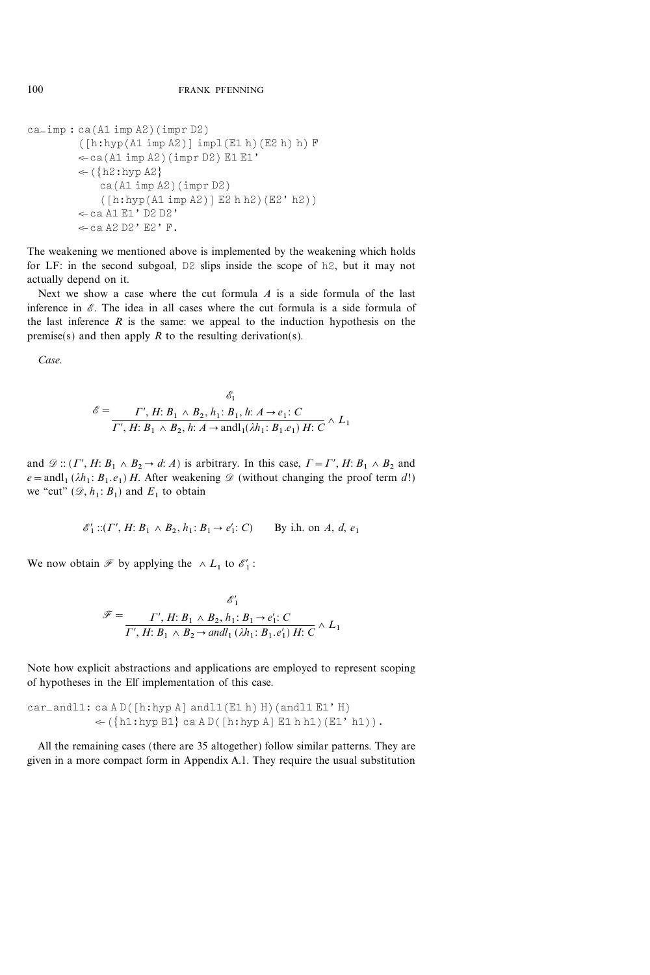$ca\_{imp}$ : ca(A1 imp A2)(impr D2) ([h:hyp(A1 imp A2)] impl(E1 h)(E2 h) h) F  $\leftarrow$  ca(A1 imp A2)(impr D2) E1 E1'  $\leftarrow$  ({h2:hyp A2} ca(A1 imp A2)(impr D2) ([h:hyp(A1 imp A2)] E2 h h2)(E2' h2))  $\leftarrow$  ca A1 E1' D2 D2'  $\leftarrow$  ca A2 D2' E2' F.

The weakening we mentioned above is implemented by the weakening which holds for LF: in the second subgoal, D2 slips inside the scope of h2, but it may not actually depend on it.

Next we show a case where the cut formula  $A$  is a side formula of the last inference in  $\mathscr E$ . The idea in all cases where the cut formula is a side formula of the last inference  $R$  is the same: we appeal to the induction hypothesis on the premise(s) and then apply  $R$  to the resulting derivation(s).

Case.

$$
\mathscr{E}_1
$$
  

$$
\mathscr{E} = \frac{\Gamma', H: B_1 \wedge B_2, h_1: B_1, h: A \rightarrow e_1: C}{\Gamma', H: B_1 \wedge B_2, h: A \rightarrow \text{and}_{1}(\lambda h_1: B_1. e_1) H: C} \wedge L_1
$$

and  $\mathcal{D}$  ::  $(\Gamma', H: B_1 \wedge B_2 \rightarrow d: A)$  is arbitrary. In this case,  $\Gamma = \Gamma', H: B_1 \wedge B_2$  and  $e = \text{and}_{1} (\lambda h_1 : B_1, e_1)$  H. After weakening  $\mathscr{D}$  (without changing the proof term d!) we "cut"  $(\mathcal{D}, h_1 : B_1)$  and  $E_1$  to obtain

$$
\mathscr{E}_1' :: (\Gamma', H: B_1 \wedge B_2, h_1: B_1 \rightarrow e_1' : C) \qquad \text{By i.h. on } A, d, e_1
$$

We now obtain  $\mathcal{F}$  by applying the  $\wedge L_1$  to  $\mathcal{E}'_1$ :

$$
\mathscr{F} = \frac{\Gamma', H: B_1 \wedge B_2, h_1: B_1 \rightarrow e_1': C}{\Gamma', H: B_1 \wedge B_2 \rightarrow and l_1(\lambda h_1: B_1, e_1') H: C} \wedge L_1
$$

Note how explicit abstractions and applications are employed to represent scoping of hypotheses in the Elf implementation of this case.

$$
car_and11: ca \, A \, D([\,h: hyp \, A \,] \, and 11 \, (E1 \, h) \, H) \, (and 11 \, E1' \, H)
$$
\n
$$
\leftarrow (\{h1: hyp \, B1\} \, ca \, A \, D([\,h: hyp \, A \,] \, E1 \, h \, h1) \, (E1' \, h1)) \, .
$$

All the remaining cases (there are 35 altogether) follow similar patterns. They are given in a more compact form in Appendix A.1. They require the usual substitution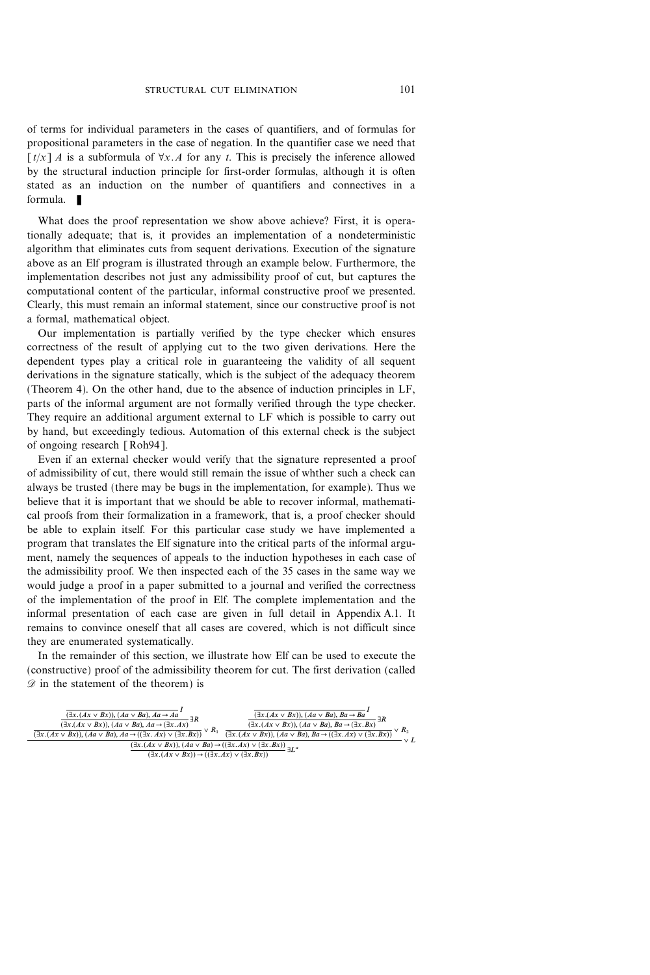of terms for individual parameters in the cases of quantifiers, and of formulas for propositional parameters in the case of negation. In the quantifier case we need that  $\lceil t/x \rceil$  A is a subformula of  $\forall x.A$  for any t. This is precisely the inference allowed by the structural induction principle for first-order formulas, although it is often stated as an induction on the number of quantifiers and connectives in a formula.  $\blacksquare$ 

What does the proof representation we show above achieve? First, it is operationally adequate; that is, it provides an implementation of a nondeterministic algorithm that eliminates cuts from sequent derivations. Execution of the signature above as an Elf program is illustrated through an example below. Furthermore, the implementation describes not just any admissibility proof of cut, but captures the computational content of the particular, informal constructive proof we presented. Clearly, this must remain an informal statement, since our constructive proof is not a formal, mathematical object.

Our implementation is partially verified by the type checker which ensures correctness of the result of applying cut to the two given derivations. Here the dependent types play a critical role in guaranteeing the validity of all sequent derivations in the signature statically, which is the subject of the adequacy theorem (Theorem 4). On the other hand, due to the absence of induction principles in LF, parts of the informal argument are not formally verified through the type checker. They require an additional argument external to LF which is possible to carry out by hand, but exceedingly tedious. Automation of this external check is the subject of ongoing research [Roh94].

Even if an external checker would verify that the signature represented a proof of admissibility of cut, there would still remain the issue of whther such a check can always be trusted (there may be bugs in the implementation, for example). Thus we believe that it is important that we should be able to recover informal, mathematical proofs from their formalization in a framework, that is, a proof checker should be able to explain itself. For this particular case study we have implemented a program that translates the Elf signature into the critical parts of the informal argument, namely the sequences of appeals to the induction hypotheses in each case of the admissibility proof. We then inspected each of the 35 cases in the same way we would judge a proof in a paper submitted to a journal and verified the correctness of the implementation of the proof in Elf. The complete implementation and the informal presentation of each case are given in full detail in Appendix A.1. It remains to convince oneself that all cases are covered, which is not difficult since they are enumerated systematically.

In the remainder of this section, we illustrate how Elf can be used to execute the (constructive) proof of the admissibility theorem for cut. The first derivation (called  $\mathscr{D}$  in the statement of the theorem) is

| $(\exists x. (Ax \vee Bx)), (Aa \vee Ba), Aa \rightarrow Aa'$<br>$(\exists x.(Ax \vee Bx)), (Aa \vee Ba), Aa \rightarrow (\exists x.Ax)$<br>$\overline{(\exists x. (Ax \vee Bx))}, (Aa \vee Ba), Aa \rightarrow ((\exists x. Ax) \vee (\exists x. Bx))} \vee R_1$ | $(\exists x.(Ax \vee Bx)), (Aa \vee Ba), Ba \rightarrow Ba'$<br>$(\exists x. (Ax \vee Bx)), (Aa \vee Ba), Ba \rightarrow (\exists x. Bx)$<br>$\vee$ R <sub>2</sub><br>$\overline{(\exists x. (Ax \vee Bx)), (Aa \vee Ba), Ba \rightarrow ((\exists x. Ax) \vee (\exists x. Bx))}$ |  |
|-------------------------------------------------------------------------------------------------------------------------------------------------------------------------------------------------------------------------------------------------------------------|-----------------------------------------------------------------------------------------------------------------------------------------------------------------------------------------------------------------------------------------------------------------------------------|--|
| $(\exists x. (Ax \vee Bx)), (Aa \vee Ba) \rightarrow ((\exists x. Ax) \vee (\exists x. Bx))$<br>$(\exists x. (Ax \vee Bx)) \rightarrow ((\exists x. Ax) \vee (\exists x. Bx))$                                                                                    |                                                                                                                                                                                                                                                                                   |  |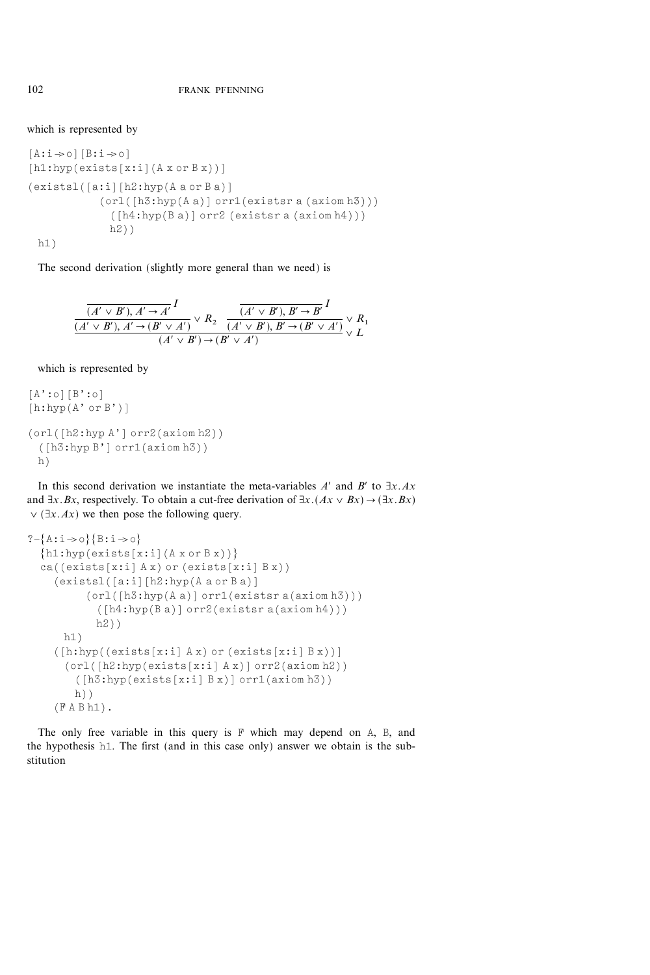which is represented by

$$
[A:i \rightarrow o] [B:i \rightarrow o]
$$
\n
$$
[h1:hyp(exists[x:i](A x or B x))]
$$
\n
$$
(exists([a:i][h2:hyp(A a or B a)] (or1([h3:hyp(A a)] or1(existsra(axiom h3)))([h4:hyp(B a)] orr2(existsra(axiom h4)))
$$
\n
$$
h2))
$$

h1)

The second derivation (slightly more general than we need) is

$$
\frac{\overline{(A'\vee B'), A'\to A'}^I}{(A'\vee B'), A'\to (B'\vee A')} \vee R_2 \quad \frac{\overline{(A'\vee B'), B'\to B'}^I}{(A'\vee B'), B'\to (B'\vee A')} \vee R_1}{(A'\vee B')\to (B'\vee A')}
$$

which is represented by

```
[A':\circ] [B':\circ][h:hyp(A' or B')](orl([h2:hyp A'] orr2(axiom h2))
 ([h3:hyp B'] orr1(axiom h3))
 h)
```
In this second derivation we instantiate the meta-variables A' and B' to  $\exists x. Ax$ and  $\exists x. Bx$ , respectively. To obtain a cut-free derivation of  $\exists x. (Ax \vee Bx) \rightarrow (\exists x. Bx)$  $\vee$  ( $\exists x.Ax$ ) we then pose the following query.

```
?-\{A: i \to o\}B: i \to o}
  \{h1:hyp(exists[x:i](A x or B x))\}ca((exists[x:i] A x) or (exists[x:i] B x))
    (existsl([a:i][h2:hyp(A a or B a)]
          (orl([h3:hyp(A a)] orr1(existsr a(axiom h3)))
            ([h4:hyp(B a)] orr2(existsr a(axiom h4)))
           h2))
      h1)
    ([h:hyp((exists[x:i] Ax) or (exists[x:i] B x))])(orl([h2:hyp(exists[x:i] A x)] orr2(axiom h2))
        ([h3:hyp(exists[x:ii] B x)] orr1(axiom h3))h))
    (F A B h1).
```
The only free variable in this query is F which may depend on A, B, and the hypothesis h1. The first (and in this case only) answer we obtain is the substitution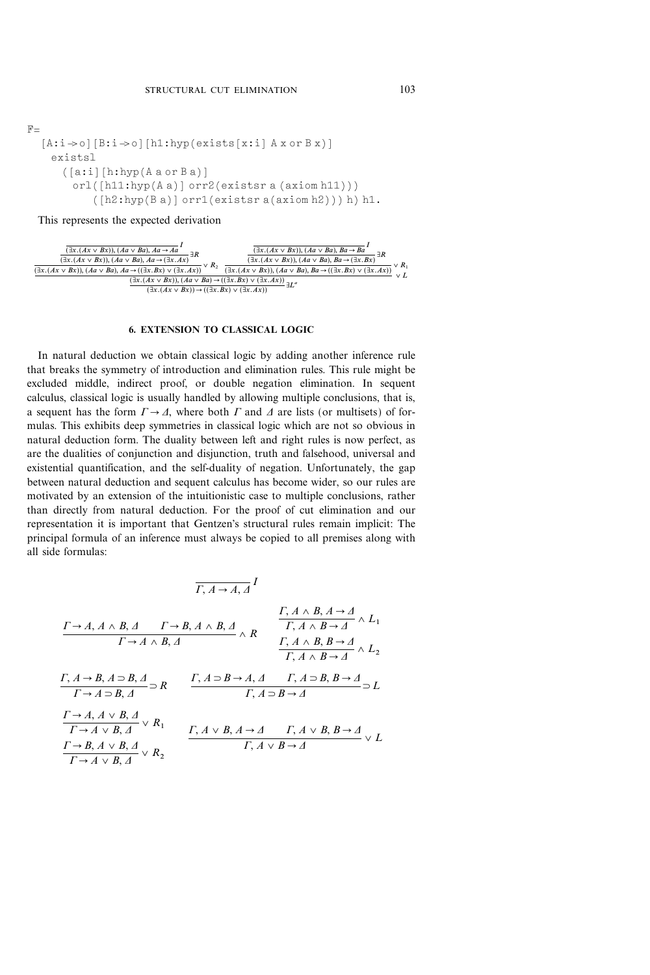$F=$  $[A:i \rightarrow o] [B:i \rightarrow o] [h1:hyp(exists[x:i] A x or B x)]$ existsl  $([a:i]$ [h:hyp(A a or B a)] orl([h11:hyp(A a)] orr2(existsr a (axiom h11))) ([h2:hyp(B a)] orr1(existsr a(axiom h2))) h) h1.

This represents the expected derivation



## 6. EXTENSION TO CLASSICAL LOGIC

In natural deduction we obtain classical logic by adding another inference rule that breaks the symmetry of introduction and elimination rules. This rule might be excluded middle, indirect proof, or double negation elimination. In sequent calculus, classical logic is usually handled by allowing multiple conclusions, that is, a sequent has the form  $\Gamma \rightarrow \Delta$ , where both  $\Gamma$  and  $\Delta$  are lists (or multisets) of formulas. This exhibits deep symmetries in classical logic which are not so obvious in natural deduction form. The duality between left and right rules is now perfect, as are the dualities of conjunction and disjunction, truth and falsehood, universal and existential quantification, and the self-duality of negation. Unfortunately, the gap between natural deduction and sequent calculus has become wider, so our rules are motivated by an extension of the intuitionistic case to multiple conclusions, rather than directly from natural deduction. For the proof of cut elimination and our representation it is important that Gentzen's structural rules remain implicit: The principal formula of an inference must always be copied to all premises along with all side formulas:

$$
\frac{\overline{\Gamma, A \rightarrow A, A}}{\Gamma \rightarrow A, A \land B, A} \xrightarrow{\Gamma \rightarrow B, A \land B, A} \frac{1}{\Lambda R}
$$
\n
$$
\frac{\Gamma, A \land B, A \rightarrow A}{\Gamma, A \land B \rightarrow A} \land L_1
$$
\n
$$
\frac{\Gamma, A \land B, A \rightarrow A}{\Gamma, A \land B \rightarrow A} \land L_2
$$
\n
$$
\frac{\Gamma, A \rightarrow B, A \supset B, A}{\Gamma, A \land B \rightarrow A} \Rightarrow L_2
$$
\n
$$
\frac{\Gamma, A \rightarrow B, A \Rightarrow B, A \Rightarrow B, A}{\Gamma, A \land B \rightarrow A} \Rightarrow L_2
$$
\n
$$
\frac{\Gamma \rightarrow A, A \lor B, A}{\Gamma \rightarrow A \lor B, A} \lor R_1 \xrightarrow{\Gamma, A \lor B, A \rightarrow A} \frac{\Gamma, A \lor B, B \rightarrow A}{\Gamma, A \lor B \rightarrow A} \lor L_2
$$
\n
$$
\frac{\Gamma \rightarrow B, A \lor B, A}{\Gamma \rightarrow A \lor B, A} \lor R_2 \xrightarrow{\Gamma, A \lor B, A \rightarrow A} \frac{\Gamma, A \lor B, B \rightarrow A}{\Gamma, A \lor B \rightarrow A} \lor L_2
$$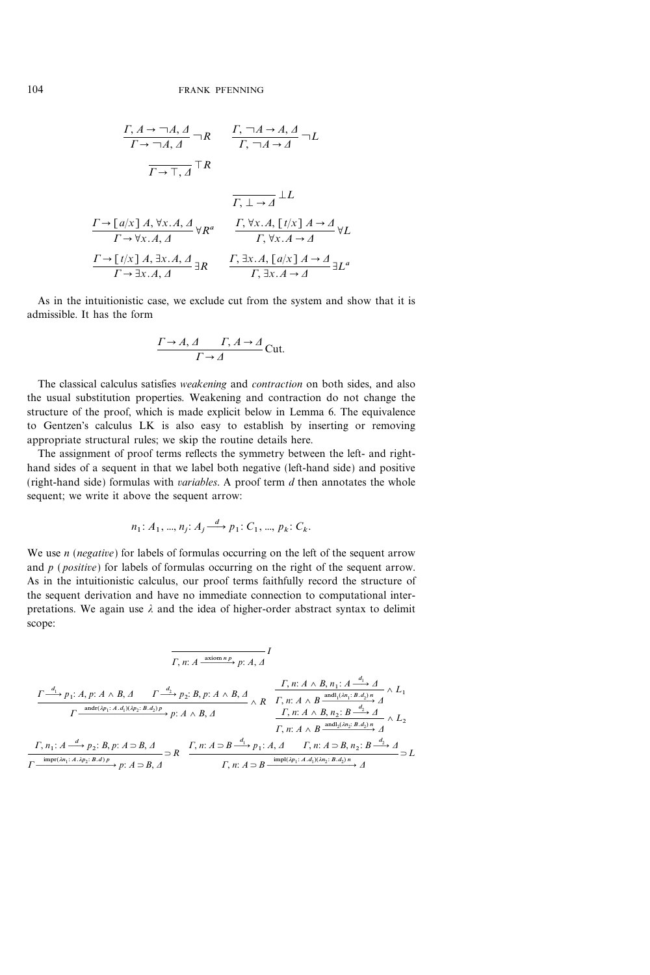$$
\frac{\Gamma, A \rightarrow \neg A, A}{\Gamma \rightarrow \neg A, A} \neg R \qquad \frac{\Gamma, \neg A \rightarrow A, A}{\Gamma, \neg A \rightarrow A} \neg L
$$
\n
$$
\frac{}{\Gamma \rightarrow \top, A} \top R
$$
\n
$$
\frac{}{\Gamma, \bot \rightarrow A} \bot L
$$
\n
$$
\frac{\Gamma \rightarrow [a/x] A, \forall x.A, A}{\Gamma \rightarrow \forall x.A, A} \forall R^a \qquad \frac{\Gamma, \forall x.A, [\frac{t}{x}] A \rightarrow A}{\Gamma, \forall x.A \rightarrow A} \forall L
$$
\n
$$
\frac{\Gamma \rightarrow [\frac{t}{x}] A, \exists x.A, A}{\Gamma \rightarrow \exists x.A, A} \exists R \qquad \frac{\Gamma, \exists x.A, [\frac{a}{x}] A \rightarrow A}{\Gamma, \exists x.A \rightarrow A} \exists L^a
$$

As in the intuitionistic case, we exclude cut from the system and show that it is admissible. It has the form

$$
\frac{\Gamma \to A, \Delta \qquad \Gamma, A \to \Delta}{\Gamma \to \Delta}
$$
Cut.

The classical calculus satisfies weakening and contraction on both sides, and also the usual substitution properties. Weakening and contraction do not change the structure of the proof, which is made explicit below in Lemma 6. The equivalence to Gentzen's calculus LK is also easy to establish by inserting or removing appropriate structural rules; we skip the routine details here.

The assignment of proof terms reflects the symmetry between the left- and righthand sides of a sequent in that we label both negative (left-hand side) and positive (right-hand side) formulas with *variables*. A proof term  $d$  then annotates the whole sequent; we write it above the sequent arrow:

$$
n_1: A_1, ..., n_j: A_j \xrightarrow{d} p_1: C_1, ..., p_k: C_k.
$$

We use  $n$  (*negative*) for labels of formulas occurring on the left of the sequent arrow and  $p$  (*positive*) for labels of formulas occurring on the right of the sequent arrow. As in the intuitionistic calculus, our proof terms faithfully record the structure of the sequent derivation and have no immediate connection to computational interpretations. We again use  $\lambda$  and the idea of higher-order abstract syntax to delimit scope:

$$
\overline{\Gamma, n: A \xrightarrow{\text{axiom } n p} p: A, \Delta}
$$

$$
\frac{\Gamma, n: A \wedge B, n_1: A \xrightarrow{d_1} A \wedge B, \Delta \qquad \Gamma \xrightarrow{d_2} p_2: B, p: A \wedge B, \Delta}{\Gamma \xrightarrow{\text{and}(\lambda p_1: A \cdot A_1)(\lambda p_2: B \cdot A_2) P} p: A \wedge B, \Delta} \wedge R \xrightarrow{\Gamma, n: A \wedge B \xrightarrow{\text{and}(\lambda n_1: B \cdot A_2) n} A} \wedge L_1
$$
\n
$$
\frac{\Gamma, n: A \wedge B, n_1: A \xrightarrow{d_1} A \wedge B, \Delta}{\Gamma, n: A \wedge B, n_2: B \xrightarrow{d_2} A} \wedge L_2
$$
\n
$$
\frac{\Gamma, n: A \wedge B, n_2: B \xrightarrow{d_2} A}{\Gamma, n: A \wedge B \xrightarrow{\text{and}(\lambda n_2: B \cdot A_2) n} A} \wedge L_2
$$
\n
$$
\frac{\Gamma, n: A \wedge B \xrightarrow{\text{and}(\lambda n_1: B \cdot A_2) n} A}{\Gamma, n: A \wedge B \xrightarrow{\text{and}(\lambda n_2: B \cdot A_2) n} A} \wedge L_2
$$
\n
$$
\frac{\Gamma, m: A \wedge B \xrightarrow{\text{and}(\lambda n_1: B \cdot A_2) n} A}{\Gamma, n: A \wedge B \xrightarrow{\text{and}(\lambda n_2: B \cdot A_2) n} A} \wedge L_2
$$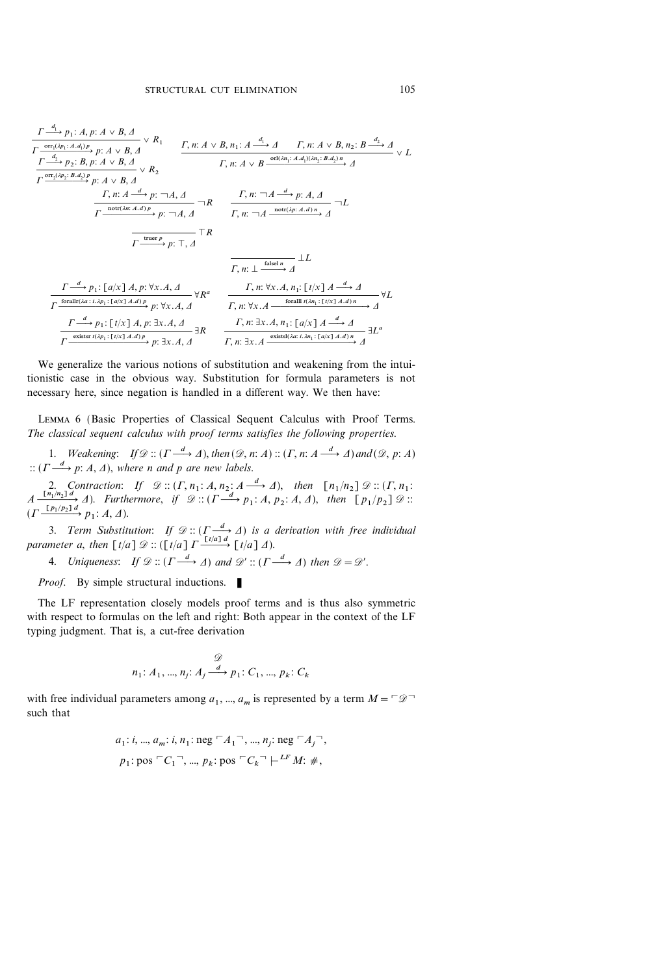$$
\frac{\Gamma \xrightarrow{\text{d}_1} p_1: A, p: A \vee B, A \vee R_1 \wedge R_2 \vee R_1 \wedge R_3 \wedge R_4 \vee R_5 \wedge R_6 \wedge R_7 \wedge R_7 \wedge R_7 \wedge R_8 \wedge R_9 \wedge R_1 \wedge R_9 \wedge R_1 \wedge R_1 \wedge R_1 \wedge R_2 \wedge R_1 \wedge R_2 \wedge R_2 \wedge R_1 \wedge R_2 \wedge R_3 \wedge R_4 \wedge R_1 \wedge R_2 \wedge R_3 \wedge R_4 \wedge R_5 \wedge R_6 \wedge R_7 \wedge R_7 \wedge R_7 \wedge R_7 \wedge R_7 \wedge R_8 \wedge R_8 \wedge R_9 \wedge R_9 \wedge R_1 \wedge R_1 \wedge R_1 \wedge R_2 \wedge R_3 \wedge R_4 \wedge R_5 \wedge R_5 \wedge R_6 \wedge R_7 \wedge R_7 \wedge R_7 \wedge R_7 \wedge R_7 \wedge R_7 \wedge R_7 \wedge R_7 \wedge R_7 \wedge R_7 \wedge R_7 \wedge R_7 \wedge R_7 \wedge R_7 \wedge R_7 \wedge R_7 \wedge R_7 \wedge R_7 \wedge R_7 \wedge R_7 \wedge R_7 \wedge R_7 \wedge R_7 \wedge R_7 \wedge R_7 \wedge R_7 \wedge R_7 \wedge R_7 \wedge R_7 \wedge R_7 \wedge R_7 \wedge R_7 \wedge R_7 \wedge R_7 \wedge R_7 \wedge R_7 \wedge R_7 \wedge R_7 \wedge R_7 \wedge R_7 \wedge R_7 \wedge R_7 \wedge R_7 \wedge R_7 \wedge R_7 \wedge R_7 \wedge R_7 \wedge R_7 \wedge R_7 \wedge R_7 \wedge R_7 \wedge R_7 \wedge R_7 \wedge R_7 \wedge R_7 \wedge R_7 \wedge R_7 \wedge R_7 \wedge R_7 \wedge R_7 \wedge R_7 \wedge R_7 \wedge R_7 \wedge R_7 \wedge R_7 \wedge R_7 \wedge R_7 \wedge R_7 \wedge R_7 \wedge R_7 \wedge R_7 \wedge R_7 \wedge R_
$$

We generalize the various notions of substitution and weakening from the intuitionistic case in the obvious way. Substitution for formula parameters is not necessary here, since negation is handled in a different way. We then have:

LEMMA 6 (Basic Properties of Classical Sequent Calculus with Proof Terms. The classical sequent calculus with proof terms satisfies the following properties.

1. Weakening: If  $\mathcal{D}$  ::  $(\Gamma \stackrel{d}{\longrightarrow} \Delta)$ , then  $(\mathcal{D}, n; A)$  ::  $(\Gamma, n; A \stackrel{d}{\longrightarrow} \Delta)$  and  $(\mathcal{D}, p; A)$  $\therefore$  ( $\Gamma \stackrel{d}{\longrightarrow} p$ : A,  $\Delta$ ), where n and p are new labels.

2. Contraction: If  $\mathcal{D}$  ::  $(\Gamma, n_1: A, n_2: A \xrightarrow{d} A)$ , then  $[n_1/n_2] \mathcal{D}$  ::  $(\Gamma, n_1: A \xrightarrow{[n_1/n_2] d} A)$ . Furthermore, if  $\mathcal{D}$  ::  $(\Gamma \xrightarrow{d} p_1: A, p_2: A, A)$ , then  $[p_1/p_2] \mathcal{D}$  ::  $(\Gamma \xrightarrow{[p_1/p_2] d} p_1: A, A)$ .

3. Term Substitution: If  $\mathcal{D}$  ::  $(\Gamma \stackrel{d}{\longrightarrow} \Delta)$  is a derivation with free individual parameter a, then  $[t/a]$   $\mathcal{D}$  ::  $([t/a]$   $\Gamma \xrightarrow{[t/a] d} [t/a] \Delta$ ).

*Uniqueness:* If 
$$
\mathcal{D} :: (\Gamma \xrightarrow{d} \Delta)
$$
 and  $\mathcal{D}' :: (\Gamma \xrightarrow{d} \Delta)$  then  $\mathcal{D} = \mathcal{D}'$ 

*Proof.* By simple structural inductions.

 $\overline{4}$ .

The LF representation closely models proof terms and is thus also symmetric with respect to formulas on the left and right: Both appear in the context of the LF typing judgment. That is, a cut-free derivation

$$
n_1: A_1, \ldots, n_j: A_j \xrightarrow{d} p_1: C_1, \ldots, p_k: C_k
$$

with free individual parameters among  $a_1$ , ...,  $a_m$  is represented by a term  $M = \Box \mathcal{D}$ such that

$$
a_1: i, ..., a_m: i, n_1: neg \rightharpoonup A_1 \rightharpoonup, ..., n_j: neg \rightharpoonup A_j \rightharpoonup,
$$
  
\n $p_1: pos \rightharpoonup C_1 \rightharpoonup, ..., p_k: pos \rightharpoonup C_k \rightharpoonup \rightharpoonup H$ : #,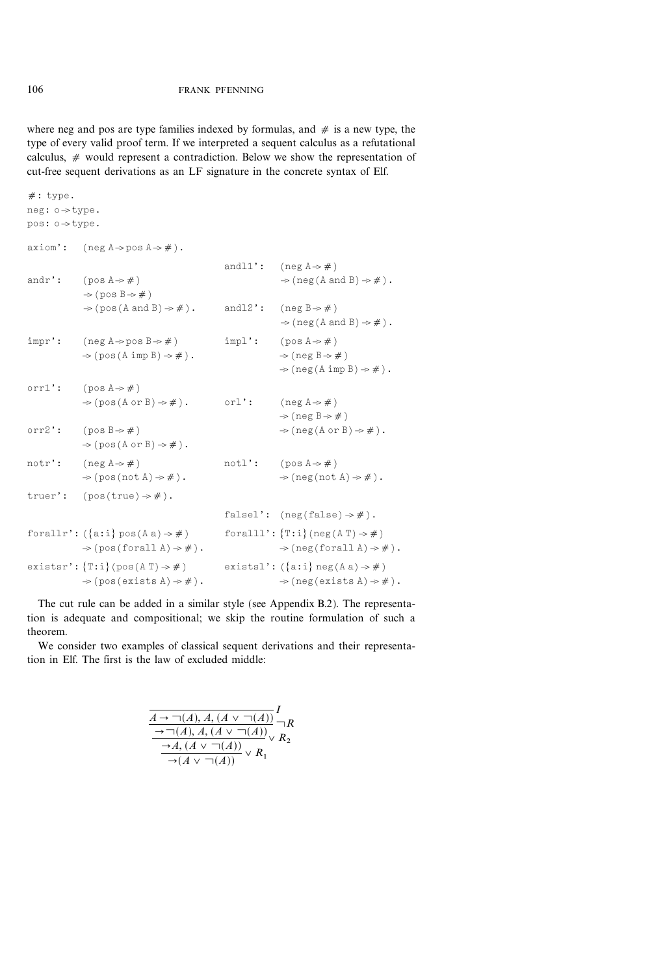where neg and pos are type families indexed by formulas, and  $#$  is a new type, the type of every valid proof term. If we interpreted a sequent calculus as a refutational calculus,  $#$  would represent a contradiction. Below we show the representation of cut-free sequent derivations as an LF signature in the concrete syntax of Elf.

```
#: type.neg: o>type.
pos: o>type.
axiom': (neg A -> pos A -> #).
                                                             andl1': (neg A \rightarrow #)(pos A \Rightarrow #)\Rightarrow (neg (A and B) \Rightarrow #).
andr':
                 \rightarrow (pos B\rightarrow #)
                 \Rightarrow (pos(A and B) \Rightarrow #).
                                                             and12':
                                                                              (neg B \rightarrow #)\Rightarrow (neg (A and B) \Rightarrow #).
impr':
                                                             imp1:
                                                                              (pos A \Rightarrow #)(neg A \rightarrow pos B \rightarrow \# )\Rightarrow (pos(A imp B) \Rightarrow #).
                                                                              \Rightarrow (neg B \Rightarrow #)
                                                                              \Rightarrow (neg(A imp B) \Rightarrow #).
\text{orr1'}:
                (pos A \rightarrow #)\Rightarrow (pos(A or B) \Rightarrow #).
                                                           \circrl':
                                                                              (neg A \rightarrow #)\Rightarrow (neg B \Rightarrow #)
\text{orr2'}:
                                                                              \Rightarrow (neg (A or B) \Rightarrow #).
                (pos B \Rightarrow #)\Rightarrow (pos(A or B) \Rightarrow #).
                                                                             (pos A \rightarrow #)notr':
                (neg A \Rightarrow #)notl':
                \Rightarrow (pos(not A) \Rightarrow #).
                                                                              \Rightarrow (neg (not A) \Rightarrow #).
truer': (pos(true) \rightarrow #).
                                                             falsel': (neg(false) \rightarrow #).
forallr': (\{a:i\} pos(A a) \rightarrow \# )foralll': {T: i} (neg(A T) \rightarrow #)\Rightarrow (neg (forall A) \Rightarrow #).
                \rightarrow (pos(forall A) \rightarrow #).
exists r': \{T : i\} (pos(A T) \rightarrow \#) existsl': (\{a : i\} neg(A a) \rightarrow \#)\rightarrow (pos(exists A) \rightarrow #).
                                                                              \Rightarrow (neg (exists A) \Rightarrow #).
```
The cut rule can be added in a similar style (see Appendix B.2). The representation is adequate and compositional; we skip the routine formulation of such a theorem.

We consider two examples of classical sequent derivations and their representation in Elf. The first is the law of excluded middle:

$$
\frac{A \rightarrow \neg(A), A, (A \lor \neg(A))}{\rightarrow \neg(A), A, (A \lor \neg(A))} \cdot R
$$
  
\n
$$
\frac{\rightarrow \neg(A), A, (A \lor \neg(A))}{\rightarrow A, (A \lor \neg(A))} \vee R_1
$$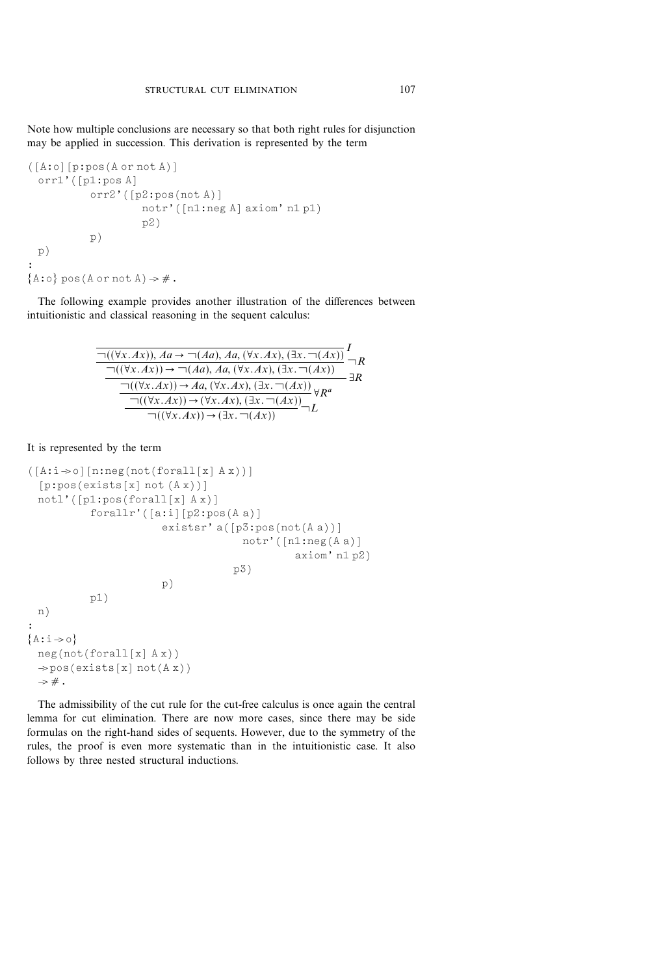Note how multiple conclusions are necessary so that both right rules for disjunction may be applied in succession. This derivation is represented by the term

```
([A:o][p:pos(A or not A)]
  orr1'([p1:pos A]
            orr2'([p2:pos(not A)]
                      notr'([n1:neg A] axiom' n1 p1)
                      p2)
            p)
 p)
:
\{A: \circ\} pos(A or not A) \Rightarrow \#.
```
The following example provides another illustration of the differences between intuitionistic and classical reasoning in the sequent calculus:

| $\frac{\neg((\forall x. Ax)), \overline{Aa} \rightarrow \neg(Aa), Aa, (\forall x. Ax), (\exists x. \neg(Ax))}{\neg((\forall x. Ax)) \rightarrow \neg(Aa), Aa, (\forall x. Ax), (\exists x. \neg(Ax))} \bigcap_{\exists p} R$                                                                                   |  |
|----------------------------------------------------------------------------------------------------------------------------------------------------------------------------------------------------------------------------------------------------------------------------------------------------------------|--|
| $\frac{\neg((\forall x.\overline{A}x))\rightarrow Aa,(\forall x.Ax),(\exists x.\neg(Ax))}{\neg((\forall x.Ax))\rightarrow(\forall x.Ax),(\exists x.\neg(Ax))}\forall R^a}$<br>$\frac{\neg((\forall x.Ax))\rightarrow(\forall x.Ax),(\exists x.\neg(Ax))}{\neg((\forall x.Ax))\rightarrow(\exists x.\neg(Ax))}$ |  |
|                                                                                                                                                                                                                                                                                                                |  |
|                                                                                                                                                                                                                                                                                                                |  |

It is represented by the term

```
([A:i \rightarrow o][n:neg(not(forall[x] Ax))][p:pos(exists[x] not (A x))]
  notl'([p1:pos(forall[x] A x)]
            forallr'([a:i][p2:pos(A a)]
                          existsr' a([p3:pos(not(A a))]
                                         notr'([n1:neg(A a)]
                                                   axiom' n1 p2)
                                       p3)
                         p)
           p1)
 n)
:
{A:i \Rightarrow o}neg(not(forall[x] A x))
 \rightarrowpos(exists[x] not(A x))
 \Rightarrow #.
```
The admissibility of the cut rule for the cut-free calculus is once again the central lemma for cut elimination. There are now more cases, since there may be side formulas on the right-hand sides of sequents. However, due to the symmetry of the rules, the proof is even more systematic than in the intuitionistic case. It also follows by three nested structural inductions.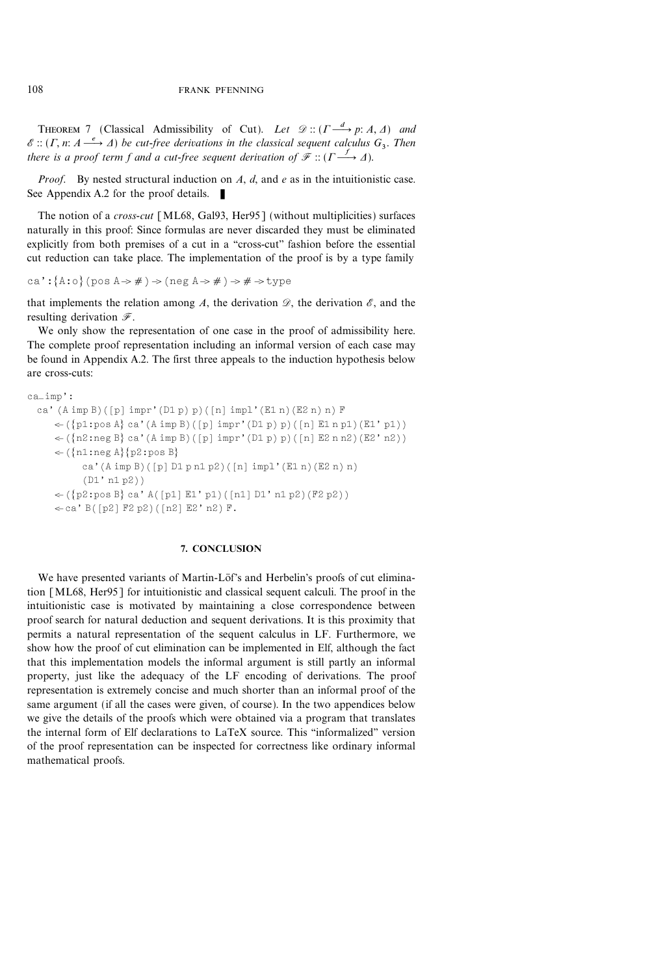THEOREM 7 (Classical Admissibility of Cut). Let  $\mathscr{D}$  ::  $(\Gamma \stackrel{d}{\longrightarrow} p: A, \Delta)$  and  $\mathscr{E}$  ::  $(\Gamma, n: A \stackrel{e}{\longrightarrow} A)$  be cut-free derivations in the classical sequent calculus  $G_3$ . Then there is a proof term f and a cut-free sequent derivation of  $\mathscr{F}$  ::  $(\Gamma \longrightarrow A)$ .

*Proof.* By nested structural induction on A, d, and e as in the intuitionistic case. See Appendix A.2 for the proof details.  $\blacksquare$ 

The notion of a *cross-cut* [ML68, Gal93, Her95] (without multiplicities) surfaces naturally in this proof: Since formulas are never discarded they must be eliminated explicitly from both premises of a cut in a "cross-cut" fashion before the essential cut reduction can take place. The implementation of the proof is by a type family

ca':{A:o}(pos  $A \rightarrow \#$ )  $\rightarrow$  (neg  $A \rightarrow \#$ )  $\rightarrow \# \rightarrow$ type

that implements the relation among A, the derivation  $\mathcal{D}$ , the derivation  $\mathcal{E}$ , and the resulting derivation  $\mathscr{F}$ .

We only show the representation of one case in the proof of admissibility here. The complete proof representation including an informal version of each case may be found in Appendix A.2. The first three appeals to the induction hypothesis below are cross-cuts:

```
caimp':
 ca' (A imp B)([p] impr'(D1 p) p)([n] impl'(E1 n)(E2 n) n) F
     \leftarrow ({p1:pos A} ca'(A imp B)([p] impr'(D1 p) p)([n] E1 n p1)(E1' p1))
     \leftarrow (\{n2:neg\ B\} ca'(A imp\ B)((p) impr'(D1 p) p)((n) E2 n n2)(E2'n2))\leftarrow ({n1:neg A}{p2:pos B}
           ca'(A imp B)([p] D1 p n1 p2)([n] impl'(E1 n)(E2 n) n)
           (D1' n1 p2))
     \leftarrow ({p2:pos B} ca' A([p1] E1' p1)([n1] D1' n1 p2)(F2 p2))
     \leftarrow ca' B([p2] F2 p2)([n2] E2' n2) F.
```
## 7. CONCLUSION

We have presented variants of Martin-Löf's and Herbelin's proofs of cut elimination [ML68, Her95] for intuitionistic and classical sequent calculi. The proof in the intuitionistic case is motivated by maintaining a close correspondence between proof search for natural deduction and sequent derivations. It is this proximity that permits a natural representation of the sequent calculus in LF. Furthermore, we show how the proof of cut elimination can be implemented in Elf, although the fact that this implementation models the informal argument is still partly an informal property, just like the adequacy of the LF encoding of derivations. The proof representation is extremely concise and much shorter than an informal proof of the same argument (if all the cases were given, of course). In the two appendices below we give the details of the proofs which were obtained via a program that translates the internal form of Elf declarations to LaTeX source. This "informalized" version of the proof representation can be inspected for correctness like ordinary informal mathematical proofs.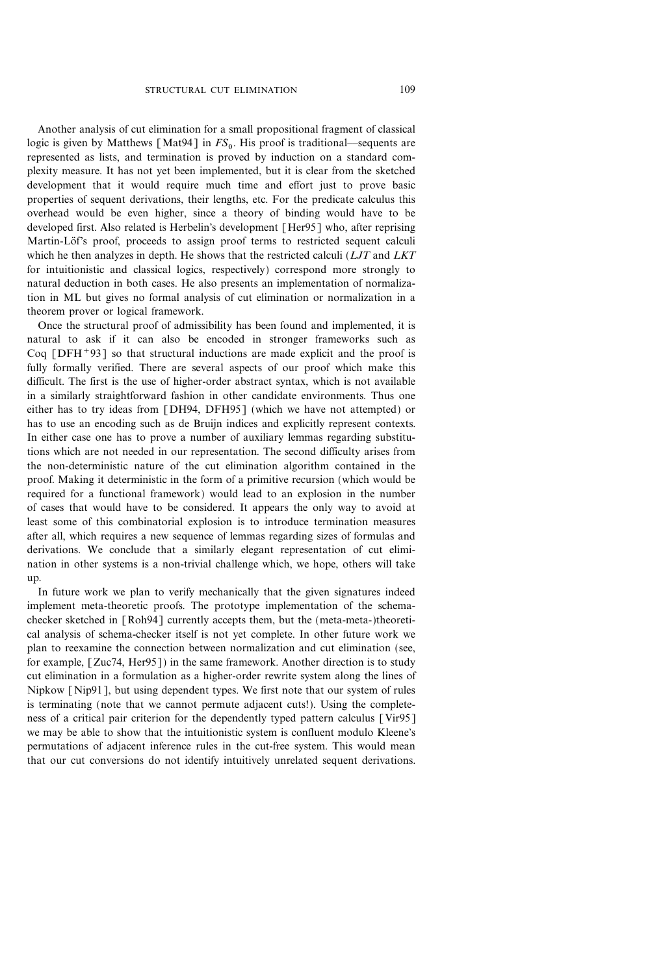Another analysis of cut elimination for a small propositional fragment of classical logic is given by Matthews [Mat94] in  $FS_0$ . His proof is traditional—sequents are represented as lists, and termination is proved by induction on a standard complexity measure. It has not yet been implemented, but it is clear from the sketched development that it would require much time and effort just to prove basic properties of sequent derivations, their lengths, etc. For the predicate calculus this overhead would be even higher, since a theory of binding would have to be developed first. Also related is Herbelin's development [Her95] who, after reprising Martin-Löf's proof, proceeds to assign proof terms to restricted sequent calculi which he then analyzes in depth. He shows that the restricted calculi  $(LJT)$  and  $LKT$ for intuitionistic and classical logics, respectively) correspond more strongly to natural deduction in both cases. He also presents an implementation of normalization in ML but gives no formal analysis of cut elimination or normalization in a theorem prover or logical framework.

Once the structural proof of admissibility has been found and implemented, it is natural to ask if it can also be encoded in stronger frameworks such as Coq  $[DFH+93]$  so that structural inductions are made explicit and the proof is fully formally verified. There are several aspects of our proof which make this difficult. The first is the use of higher-order abstract syntax, which is not available in a similarly straightforward fashion in other candidate environments. Thus one either has to try ideas from [DH94, DFH95] (which we have not attempted) or has to use an encoding such as de Bruijn indices and explicitly represent contexts. In either case one has to prove a number of auxiliary lemmas regarding substitutions which are not needed in our representation. The second difficulty arises from the non-deterministic nature of the cut elimination algorithm contained in the proof. Making it deterministic in the form of a primitive recursion (which would be required for a functional framework) would lead to an explosion in the number of cases that would have to be considered. It appears the only way to avoid at least some of this combinatorial explosion is to introduce termination measures after all, which requires a new sequence of lemmas regarding sizes of formulas and derivations. We conclude that a similarly elegant representation of cut elimination in other systems is a non-trivial challenge which, we hope, others will take up.

In future work we plan to verify mechanically that the given signatures indeed implement meta-theoretic proofs. The prototype implementation of the schemachecker sketched in [Roh94] currently accepts them, but the (meta-meta-)theoretical analysis of schema-checker itself is not yet complete. In other future work we plan to reexamine the connection between normalization and cut elimination (see, for example, [Zuc74, Her95]) in the same framework. Another direction is to study cut elimination in a formulation as a higher-order rewrite system along the lines of Nipkow [Nip91], but using dependent types. We first note that our system of rules is terminating (note that we cannot permute adjacent cuts!). Using the completeness of a critical pair criterion for the dependently typed pattern calculus [Vir95] we may be able to show that the intuitionistic system is confluent modulo Kleene's permutations of adjacent inference rules in the cut-free system. This would mean that our cut conversions do not identify intuitively unrelated sequent derivations.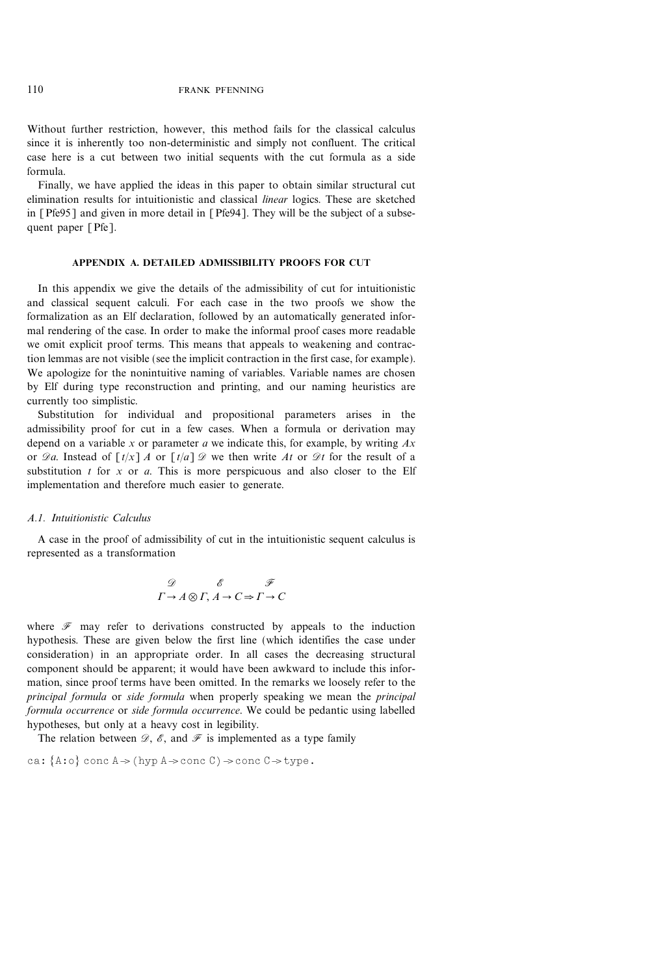Without further restriction, however, this method fails for the classical calculus since it is inherently too non-deterministic and simply not confluent. The critical case here is a cut between two initial sequents with the cut formula as a side formula.

Finally, we have applied the ideas in this paper to obtain similar structural cut elimination results for intuitionistic and classical linear logics. These are sketched in [Pfe95] and given in more detail in [Pfe94]. They will be the subject of a subsequent paper [Pfe].

## APPENDIX A. DETAILED ADMISSIBILITY PROOFS FOR CUT

In this appendix we give the details of the admissibility of cut for intuitionistic and classical sequent calculi. For each case in the two proofs we show the formalization as an Elf declaration, followed by an automatically generated informal rendering of the case. In order to make the informal proof cases more readable we omit explicit proof terms. This means that appeals to weakening and contraction lemmas are not visible (see the implicit contraction in the first case, for example). We apologize for the nonintuitive naming of variables. Variable names are chosen by Elf during type reconstruction and printing, and our naming heuristics are currently too simplistic.

Substitution for individual and propositional parameters arises in the admissibility proof for cut in a few cases. When a formula or derivation may depend on a variable x or parameter a we indicate this, for example, by writing  $Ax$ or  $\mathscr{D}a$ . Instead of  $\lceil t/x \rceil A$  or  $\lceil t/a \rceil \mathscr{D}$  we then write At or  $\mathscr{D}t$  for the result of a substitution  $t$  for  $x$  or  $a$ . This is more perspicuous and also closer to the Elf implementation and therefore much easier to generate.

#### A.1. Intuitionistic Calculus

A case in the proof of admissibility of cut in the intuitionistic sequent calculus is represented as a transformation

$$
\begin{array}{cc}\n\mathscr{D} & \mathscr{E} & \mathscr{F} \\
\Gamma \to A \otimes \Gamma, A \to C \Rightarrow \Gamma \to C\n\end{array}
$$

where  $\mathcal{F}$  may refer to derivations constructed by appeals to the induction hypothesis. These are given below the first line (which identifies the case under consideration) in an appropriate order. In all cases the decreasing structural component should be apparent; it would have been awkward to include this information, since proof terms have been omitted. In the remarks we loosely refer to the principal formula or side formula when properly speaking we mean the principal formula occurrence or side formula occurrence. We could be pedantic using labelled hypotheses, but only at a heavy cost in legibility.

The relation between  $\mathscr{D}, \mathscr{E},$  and  $\mathscr{F}$  is implemented as a type family

$$
ca: \{A: o\} \text{ conc } A \Rightarrow (\text{hyp } A \Rightarrow \text{conc } C) \Rightarrow \text{conc } C \Rightarrow \text{type.}
$$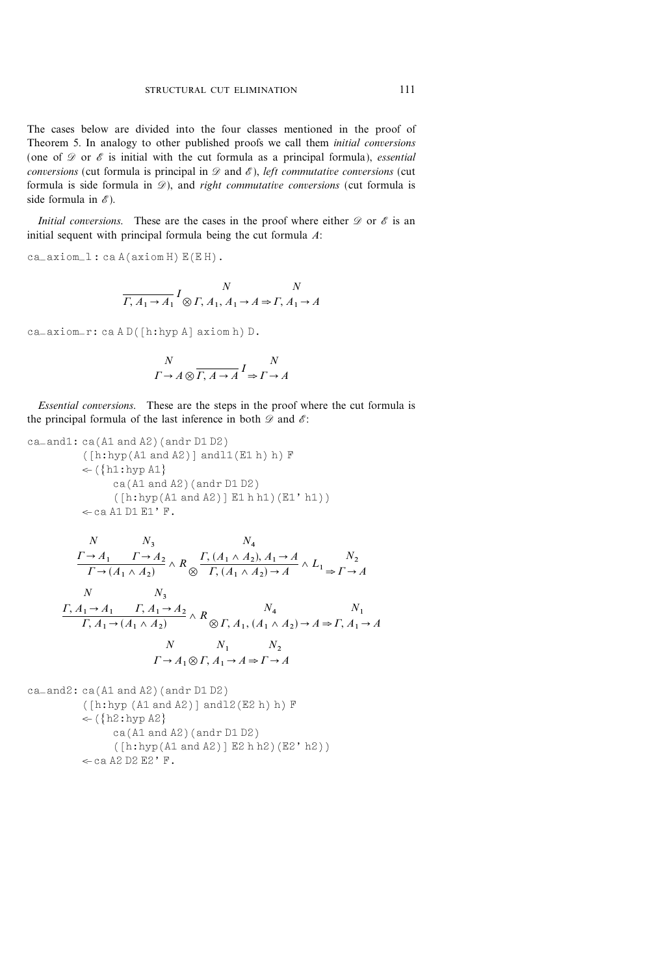The cases below are divided into the four classes mentioned in the proof of Theorem 5. In analogy to other published proofs we call them initial conversions (one of  $\mathscr D$  or  $\mathscr E$  is initial with the cut formula as a principal formula), essential *conversions* (cut formula is principal in  $\mathscr D$  and  $\mathscr E$ ), *left commutative conversions* (cut formula is side formula in  $\mathcal{D}$ ), and right commutative conversions (cut formula is side formula in  $\mathscr{E}$ ).

*Initial conversions.* These are the cases in the proof where either  $\mathscr D$  or  $\mathscr E$  is an initial sequent with principal formula being the cut formula  $A$ :

 $ca\_{axiom\_l:caA(axiom H) E(EH)}$ .

$$
\frac{N}{\Gamma, A_1 \to A_1} I_{\bigotimes \Gamma, A_1, A_1 \to A \Rightarrow \Gamma, A_1 \to A}
$$

ca\_axiom\_r: ca AD([h:hyp A] axiom h) D.

$$
\begin{array}{c}\nN \\
\Gamma \to A \otimes \overline{\Gamma, A \to A} \stackrel{N}{\to} \Gamma \to A\n\end{array}
$$

*Essential conversions.* These are the steps in the proof where the cut formula is the principal formula of the last inference in both  $\mathscr D$  and  $\mathscr E$ :

$$
\begin{aligned}\n\text{ca\_and1: } &\text{ca(A1 and A2)}(\text{andr D1 D2}) \\
&\quad \text{([h:hyp(A1 and A2)] and11(E1 h) h)} \mathbb{F} \\
&\quad \text{c= (\{h1:hyp A1\} \quad \text{ca(A1 and A2)}(\text{andr D1 D2}) \\
&\quad \text{([h:hyp(A1 and A2)] E1 h h1)(E1' h1))} \\
&\quad \text{c= ca A1 D1 E1' F.}\n\end{aligned}
$$

$$
\begin{array}{ccc}\nN & N_3 & N_4 \\
\frac{\Gamma \to A_1 & \Gamma \to A_2}{\Gamma \to (A_1 \land A_2)} \land R \underset{\otimes}{\otimes} \frac{\Gamma, (A_1 \land A_2), A_1 \to A}{\Gamma, (A_1 \land A_2) \to A} \land L_1 \underset{\Rightarrow}{\to} \Gamma \to A \\
N & N_3 \\
\frac{\Gamma, A_1 \to A_1 & \Gamma, A_1 \to A_2}{\Gamma, A_1 \to (A_1 \land A_2)} \land R \underset{\otimes}{\otimes} \Gamma, A_1, (A_1 \land A_2) \to A \Rightarrow \Gamma, A_1 \to A \\
N & N_1 & N_2 \\
\Gamma \to A_1 \otimes \Gamma, A_1 \to A \Rightarrow \Gamma \to A\n\end{array}
$$

$$
\text{ca} \_\text{and2:}\n \text{ca}(\text{A1 and A2}) (\text{and r D1 D2}) \\
 (\text{[h:hyp (A1 and A2)] and l2(E2 h) h}) \mathbf{F} \\
 \leftarrow (\{h2:hyp A2\} \text{ca}(\text{A1 and A2}) (\text{and r D1 D2}) \\
 (\text{[h:hyp(A1 and A2)] E2 h h2})(E2'h2)) \\
 \leftarrow \text{ca} \,\text{A2 D2 E2' F}.
$$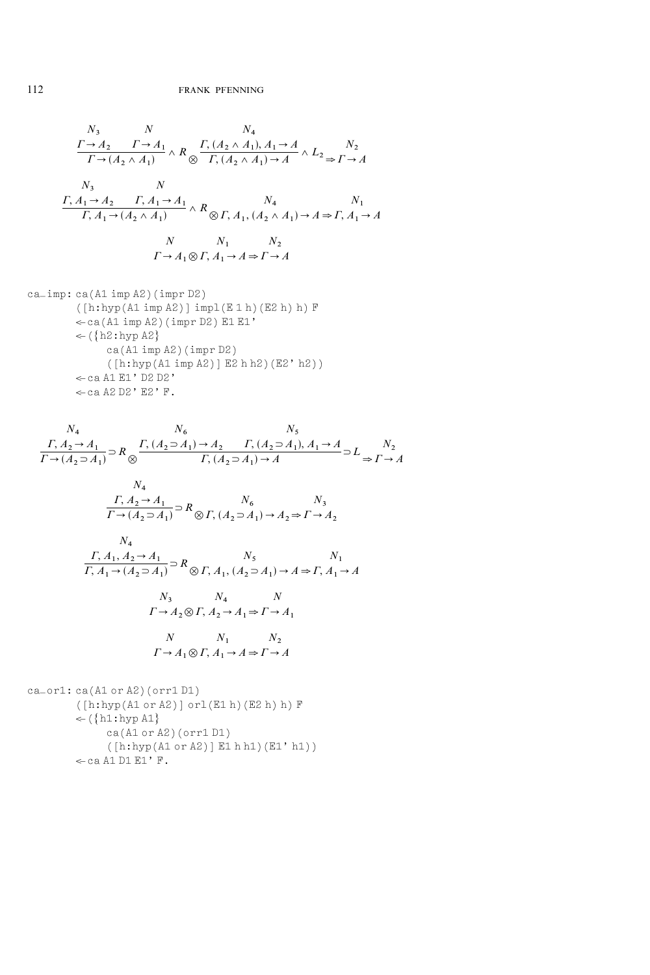$$
N_3 \t N_4
$$
  
\n
$$
\frac{\Gamma \to A_2 \quad \Gamma \to A_1}{\Gamma \to (A_2 \land A_1)} \land R \otimes \frac{\Gamma, (A_2 \land A_1), A_1 \to A}{\Gamma, (A_2 \land A_1) \to A} \land L_2 \Rightarrow \Gamma \to A
$$
  
\n
$$
N_3 \t N
$$
  
\n
$$
\frac{\Gamma, A_1 \to A_2 \quad \Gamma, A_1 \to A_1}{\Gamma, A_1 \to (A_2 \land A_1)} \land R \otimes \Gamma, A_1, (A_2 \land A_1) \to A \Rightarrow \Gamma, A_1 \to A
$$
  
\n
$$
N \t N_1 \t N_2
$$
  
\n
$$
\Gamma \to A_1 \otimes \Gamma, A_1 \to A \Rightarrow \Gamma \to A
$$

$$
\begin{aligned}\n\text{ca}\_\text{imp}: \text{ca}\(\text{Al}\ \text{imp}\ \text{A2}) \,(\text{imp}\ \text{D2}) \\
&\quad \text{(}[h: \text{hyp}\ (\text{Al}\ \text{imp}\ \text{A2})] \, \text{imp1}\ (\text{E1}\ \text{h}) \,(\text{E2}\ \text{h}) \, \text{h}) \, \text{F} \\
&\quad \text{-}\ \text{ca}\,(\text{Al}\ \text{imp}\ \text{A2}) \,(\text{impr}\ \text{D2}) \, \text{E1}\, \text{E1'} \\
&\quad \text{-}\ \text{(h2: \text{hyp}\ \text{A2})} \\
&\quad \text{(a}\,(\text{Al}\ \text{imp}\ \text{A2}) \,(\text{impr}\ \text{D2}) \\
&\quad \text{([h: \text{hyp}\,(\text{Al}\ \text{imp}\ \text{A2})] \, \text{E2}\ \text{h}\ \text{h2}) \,(\text{E2'}\ \text{h2})\n\end{aligned}
$$
\n
$$
\begin{aligned}\n&\quad \text{-}\ \text{ca}\ \text{Al}\ \text{E1'} \, \text{D2} \, \text{D2'} \\
&\quad \text{-}\ \text{ca}\ \text{Al}\ \text{E2'} \, \text{E2'} \, \text{F}.\n\end{aligned}
$$

$$
\frac{N_4}{\Gamma, A_2 \to A_1} \to R \underset{\otimes}{\otimes} \frac{\Gamma, (A_2 \to A_1) \to A_2}{\Gamma, (A_2 \to A_1) \to A} \frac{\Gamma, (A_2 \to A_1), A_1 \to A}{\Gamma, (A_2 \to A_1) \to A} \to L \underset{\Rightarrow \Gamma \to A}{\to} \frac{N_2}{\Gamma, A_2 \to A_2} \to \frac{N_2}{\Gamma, A_2 \to A_2} \to \frac{N_2}{\Gamma, A_2 \to A_2} \to \frac{N_2}{\Gamma, A_2 \to A_2} \to \frac{N_2}{\Gamma, A_2 \to A_2} \to \frac{N_2}{\Gamma, A_2 \to A_2} \to \frac{N_2}{\Gamma, A_2 \to A_2} \to \frac{N_2}{\Gamma, A_2 \to A_2} \to \frac{N_2}{\Gamma, A_2 \to A_2} \to \frac{N_2}{\Gamma, A_2 \to A_2} \to \frac{N_2}{\Gamma, A_2 \to A_2} \to \frac{N_2}{\Gamma, A_2 \to A_2} \to \frac{N_2}{\Gamma, A_2 \to A_2} \to \frac{N_2}{\Gamma, A_2 \to A_2} \to \frac{N_2}{\Gamma, A_2 \to A_2} \to \frac{N_2}{\Gamma, A_2 \to A_2} \to \frac{N_2}{\Gamma, A_2 \to A_2} \to \frac{N_2}{\Gamma, A_2 \to A_2} \to \frac{N_2}{\Gamma, A_2 \to A_2} \to \frac{N_2}{\Gamma, A_2 \to A_2} \to \frac{N_2}{\Gamma, A_2 \to A_2} \to \frac{N_2}{\Gamma, A_2 \to A_2} \to \frac{N_2}{\Gamma, A_2 \to A_2} \to \frac{N_2}{\Gamma, A_2 \to A_2} \to \frac{N_2}{\Gamma, A_2 \to A_2} \to \frac{N_2}{\Gamma, A_2 \to A_2} \to \frac{N_2}{\Gamma, A_2 \to A_2} \to \frac{N_2}{\Gamma, A_2 \to A_2} \to \frac{N_2}{\Gamma, A_2 \to A_2} \to \frac{N_2}{\Gamma, A_2 \to A_2} \to \frac{
$$

$$
\frac{N_4}{\Gamma \to (A_2 \to A_1)} \to R \frac{N_6}{\mathcal{N} \to (A_2 \to A_1)} \to R \otimes \Gamma, (A_2 \to A_1) \to A_2 \Rightarrow \Gamma \to A_2
$$

$$
\frac{N_4}{\Gamma, A_1, A_2 \to A_1} \to R \frac{N_5}{\sqrt{N_4 + (A_2 - A_1)}} \to R \otimes \Gamma, A_1, (A_2 - A_1) \to A \Rightarrow \Gamma, A_1 \to A
$$

$$
N_3 \t N_4 \t N
$$
  

$$
\Gamma \to A_2 \otimes \Gamma, A_2 \to A_1 \Rightarrow \Gamma \to A_1
$$

$$
\begin{array}{ccc}\nN & N_1 & N_2 \\
\Gamma \to A_1 \otimes \Gamma, A_1 \to A \Rightarrow \Gamma \to A\n\end{array}
$$

$$
\text{ca\_or1: } \text{ca(A1 or A2)}(\text{orr1 D1})\n([\text{h:hyp(A1 or A2)}] or \text{LELh})(\text{E2 h}) h) F\n\leq([\text{h1:hyp A1}]\n\text{ca(A1 or A2)}(\text{orr1 D1})\n([\text{h:hyp(A1 or A2)}] \text{ELh h1})(\text{EL'} h1))\n\leq \text{ca A1 D1 EL'} F.
$$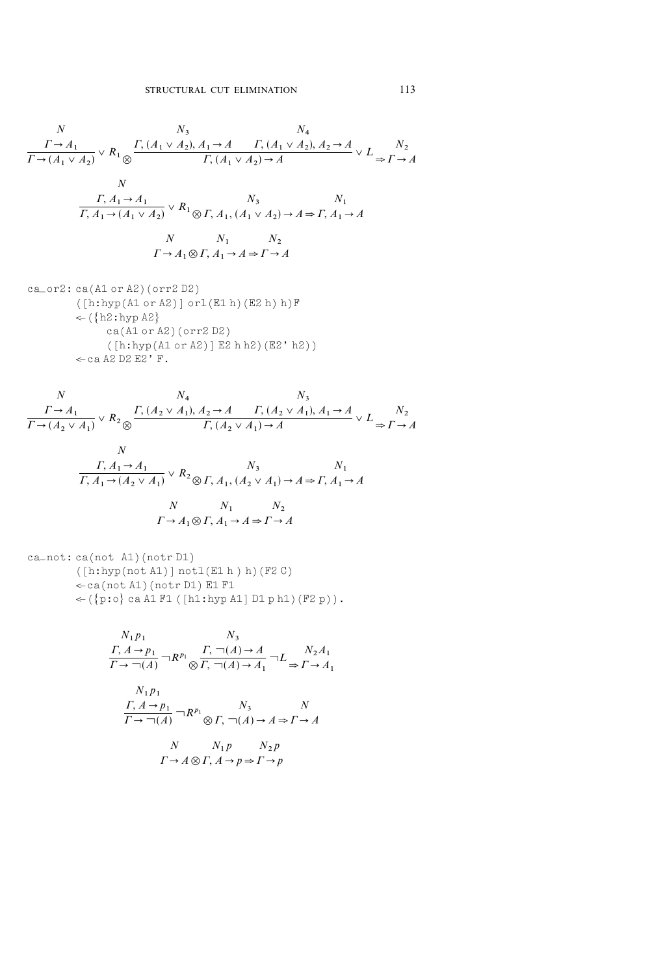$$
\begin{array}{ccc}\nN & N_3 & N_4 \\
\frac{\Gamma \rightarrow A_1}{\Gamma \rightarrow (A_1 \vee A_2)} \vee R_1 \otimes \frac{\Gamma, (A_1 \vee A_2), A_1 \rightarrow A \qquad \Gamma, (A_1 \vee A_2), A_2 \rightarrow A}{\Gamma, (A_1 \vee A_2) \rightarrow A} \vee L \Rightarrow \Gamma \rightarrow A \\
N & & & \\
\frac{\Gamma, A_1 \rightarrow A_1}{\Gamma, A_1 \rightarrow (A_1 \vee A_2)} \vee R_1 \otimes \Gamma, A_1, (A_1 \vee A_2) \rightarrow A \Rightarrow \Gamma, A_1 \rightarrow A \\
N & & & \\
\frac{N}{\Gamma \rightarrow A_1} \otimes \Gamma, A_1 \rightarrow A \Rightarrow \Gamma \rightarrow A \\
\frac{N}{\Gamma \rightarrow A_1} \otimes \Gamma, A_1 \rightarrow A \Rightarrow \Gamma \rightarrow A \\
\end{array}
$$
\n
$$
\begin{array}{ccc}\n\text{A} & & N_1 & N_2 \\
\Gamma \rightarrow A_1 \otimes \Gamma, A_1 \rightarrow A \Rightarrow \Gamma \rightarrow A \\
\text{A} & & & \\
\end{array}
$$

$$
ca_0rz: ca(AI 0r Rz) (0rrz Dz)
$$
  
\n([h:hyp(A1 or A2)] orl(El h) (E2 h) h)F  
\n
$$
\leftarrow (\{h2: hyp A2\}
$$
  
\n
$$
ca(AI 0r A2) (0rr2 D2)
$$
  
\n([h:hyp(A1 or A2)] E2 h h2) (E2' h2))  
\n
$$
\leftarrow ca A2 D2 E2' F.
$$

$$
\frac{N}{\Gamma \to A_1} \vee R_2 \otimes \frac{\Gamma, (A_2 \vee A_1), A_2 \to A \qquad \Gamma, (A_2 \vee A_1), A_1 \to A}{\Gamma, (A_2 \vee A_1) \to A} \vee L \xrightarrow[N \to A]{} N_2
$$

$$
\frac{\Gamma}{\Gamma, A_1 \to A_1} \vee R_2 \otimes \Gamma, A_1, (A_2 \vee A_1) \to A \Rightarrow \Gamma, A_1 \to A
$$
\n
$$
\frac{N_1}{\Gamma, A_1 \to (A_2 \vee A_1)} \vee R_2 \otimes \Gamma, A_1, (A_2 \vee A_1) \to A \Rightarrow \Gamma, A_1 \to A
$$

$$
\begin{array}{ccc}\nN & N_1 & N_2 \\
\Gamma \to A_1 \otimes \Gamma, A_1 \to A \Rightarrow \Gamma \to A\n\end{array}
$$

$$
\begin{aligned}\n\text{ca\_not: } & \text{ca}(\text{not A1}) \, (\text{not D1}) \\
& (\text{[h:hyp(not A1)] notl(El h) h)} (\text{F2 C}) \\
&\leftarrow \text{ca}(\text{not A1}) \, (\text{not r D1}) \, \text{E1 F1} \\
&\leftarrow (\{\text{p:o}\} \, \text{ca A1 F1} \, (\text{[h1:hyp A1] D1 p h1)} (\text{F2 p})).\n\end{aligned}
$$

$$
N_1 p_1 \t N_3
$$
  
\n
$$
\frac{\Gamma, A \to p_1}{\Gamma \to \neg(A)} \neg R^{p_1} \underbrace{\sum_{\Gamma, \neg(A) \to A} \neg L} \neg L \xrightarrow{N_2 A_1} \neg L_{\Rightarrow \Gamma \to A_1}
$$
  
\n
$$
\frac{N_1 p_1}{\Gamma \to \neg(A)} \neg R^{p_1} \otimes \Gamma, \neg(A) \to A \Rightarrow \Gamma \to A
$$
  
\n
$$
N \qquad N_1 p \qquad N_2 p
$$
  
\n
$$
\Gamma \to A \otimes \Gamma, A \to p \Rightarrow \Gamma \to p
$$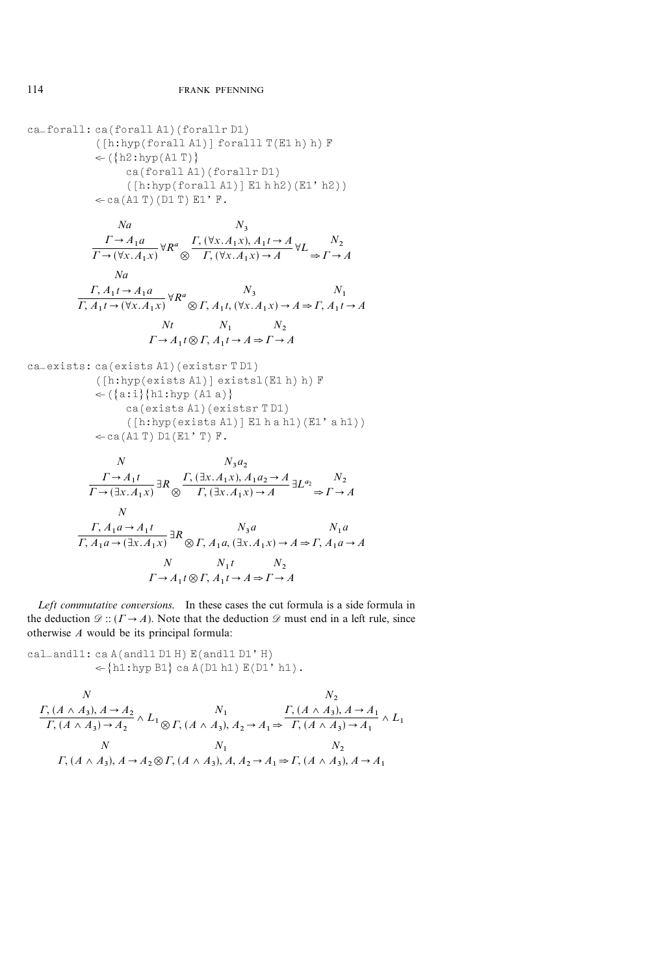$$
c\mathbf{a}\text{-}forall: ca (forall A1) (forall rD1)
$$
\n
$$
([h:hyp(forall A1)] forall T (E1 h) h) F
$$
\n
$$
\leftarrow ({h2:hyp(A1 T)})
$$
\n
$$
(a forall A1) (forall rD1)
$$
\n
$$
([h:hyp(forall A1)] E1 h h2) (E1' h2))
$$
\n
$$
\leftarrow ca(A1 T) (D1 T) E1' F.
$$
\n
$$
Na
$$
\n
$$
N_3
$$
\n
$$
\frac{\Gamma \rightarrow A_1 a}{\Gamma \rightarrow (\forall x.A_1 x)} \forall R^a \otimes \frac{\Gamma, (\forall x.A_1 x), A_1 t \rightarrow A}{\Gamma, (\forall x.A_1 x) \rightarrow A} \forall L \Rightarrow \Gamma \rightarrow A
$$
\n
$$
Na
$$
\n
$$
\frac{\Gamma, A_1 t \rightarrow A_1 a}{\Gamma, A_1 t \rightarrow (\forall x.A_1 x)} \forall R^a \otimes \Gamma, A_1 t, (\forall x.A_1 x) \rightarrow A \Rightarrow \Gamma, A_1 t \rightarrow A
$$
\n
$$
N_1
$$
\n
$$
N_2
$$
\n
$$
\Gamma \rightarrow A_1 t \otimes \Gamma, A_1 t \rightarrow A \Rightarrow \Gamma \rightarrow A
$$
\n
$$
c\mathbf{a}\text{-}exists: ca (exists A1) (exists R1 h) h) F
$$
\n
$$
\leftarrow ({a:1}) {h1:hyp(A1 a)}\n
$$
ca (exists A1) (exists R1 h) h) (E1' a h1))
$$
\n
$$
\leftarrow ca(A1 T) D1 (E1' T) F.
$$
\n
$$
N
$$
\n
$$
N_3 a_2
$$
\n
$$
\frac{\Gamma \rightarrow A_1 t}{\Gamma \rightarrow (3x.A_1 x)} \exists R \otimes \frac{\Gamma, (3x.A_1 x), A_1 a_2 \rightarrow A}{\Gamma, (3x.A_1 x) \rightarrow A} \exists L^a \Rightarrow \Gamma \rightarrow A
$$
\n
$$
N
$$
\n
$$
\frac{\Gamma, A_1 a \rightarrow A_1 t}{\Gamma, A_1 a \rightarrow (3x.A_1 x)} \exists R \otimes \Gamma, A_1 a, (3x.A_1 x) \rightarrow A \Rightarrow \Gamma, A_1 a \rightarrow A
$$
\n<math display="block</math>
$$

Left commutative conversions. In these cases the cut formula is a side formula in the deduction  $\mathcal{D}$  ::  $(\Gamma \rightarrow A)$ . Note that the deduction  $\mathcal{D}$  must end in a left rule, since otherwise  $A$  would be its principal formula:

cal\_andl1: ca A(andl1 D1 H) E(andl1 D1' H)  $\leftarrow \{\text{h1:hyp B1}\}$  ca  $A(D1 h1) E(D1' h1)$ .

$$
N
$$
\n
$$
\frac{\Gamma_1(A \wedge A_3), A \rightarrow A_2}{\Gamma_1(A \wedge A_3) \rightarrow A_2} \wedge L_1 \otimes \Gamma_1(A \wedge A_3), A_2 \rightarrow A_1 \Rightarrow \frac{\Gamma_1(A \wedge A_3), A \rightarrow A_1}{\Gamma_1(A \wedge A_3) \rightarrow A_1} \wedge L_1
$$
\n
$$
N
$$
\n
$$
\frac{N}{\Gamma_1(A \wedge A_3), A \rightarrow A_2 \otimes \Gamma_1(A \wedge A_3), A_1 A_2 \rightarrow A_1 \Rightarrow \Gamma_1(A \wedge A_3), A \rightarrow A_1}
$$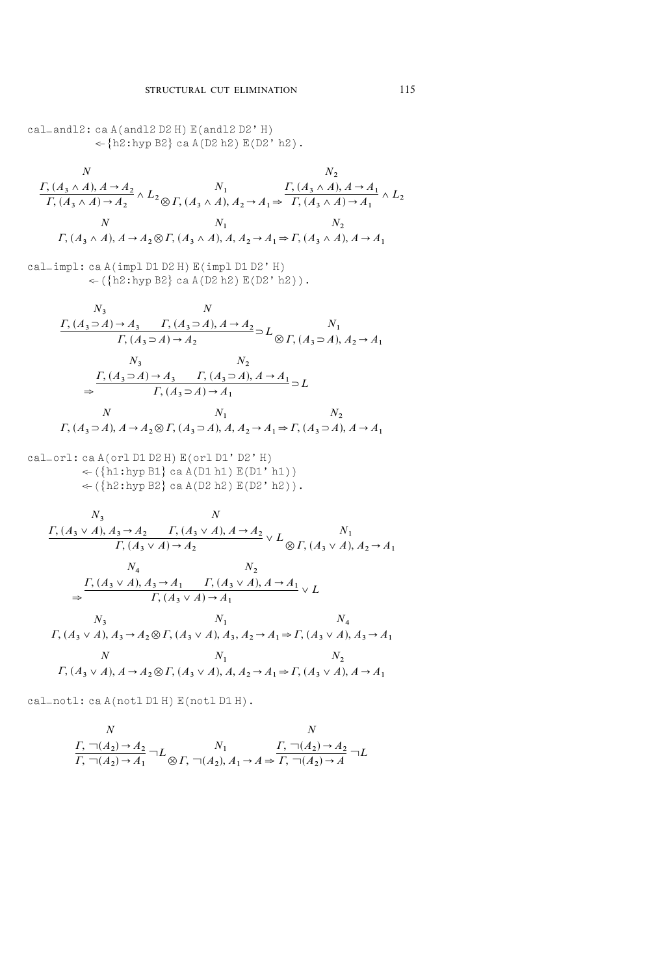$$
cal_and12: ca A(and12 D2 H) E(and12 D2' H)
$$
  

$$
\leftarrow \{h2: hyp B2\} ca A(D2 h2) E(D2' h2).
$$

$$
N
$$
\n
$$
I, (A_3 \wedge A), A \rightarrow A_2
$$
\n
$$
I, (A_3 \wedge A) \rightarrow A_2
$$
\n
$$
N
$$
\n
$$
N
$$
\n
$$
N
$$
\n
$$
N
$$
\n
$$
N
$$
\n
$$
N
$$
\n
$$
N
$$
\n
$$
N
$$
\n
$$
N
$$
\n
$$
N
$$
\n
$$
N
$$
\n
$$
N
$$
\n
$$
N
$$
\n
$$
N
$$
\n
$$
N
$$
\n
$$
N
$$
\n
$$
N
$$
\n
$$
N
$$
\n
$$
N
$$
\n
$$
N
$$
\n
$$
N
$$
\n
$$
N
$$
\n
$$
N
$$
\n
$$
N
$$
\n
$$
N
$$
\n
$$
N
$$
\n
$$
N
$$
\n
$$
N
$$
\n
$$
N
$$
\n
$$
N
$$
\n
$$
N
$$
\n
$$
N
$$
\n
$$
N
$$
\n
$$
N
$$
\n
$$
N
$$
\n
$$
N
$$
\n
$$
N
$$
\n
$$
N
$$
\n
$$
N
$$
\n
$$
N
$$
\n
$$
N
$$
\n
$$
N
$$
\n
$$
N
$$
\n
$$
N
$$
\n
$$
N
$$
\n
$$
N
$$
\n
$$
N
$$
\n
$$
N
$$
\n
$$
N
$$
\n
$$
N
$$
\n
$$
N
$$
\n
$$
N
$$
\n
$$
N
$$
\n
$$
N
$$
\n
$$
N
$$
\n
$$
N
$$
\n
$$
N
$$
\n
$$
N
$$
\n
$$
N
$$
\n
$$
N
$$
\n
$$
N
$$
\n
$$
N
$$
\n
$$
N
$$
\n
$$
N
$$

cal\_impl: ca A(impl D1 D2 H) E(impl D1 D2' H)  $\leftarrow (\{h2: hyp B2\} ca A(D2 h2) E(D2' h2)).$ 

$$
N_3
$$
  
\n
$$
\frac{N_1}{\Gamma, (A_3 \supseteq A) \to A_3} \frac{N}{\Gamma, (A_3 \supseteq A), A \to A_2} \supseteq L_{\bigotimes \Gamma, (A_3 \supseteq A), A_2 \to A_1}
$$
  
\n
$$
N_3
$$
  
\n
$$
\frac{\Gamma, (A_3 \supseteq A) \to A_3}{\Gamma, (A_3 \supseteq A) \to A_1} \frac{N_2}{\Gamma, (A_3 \supseteq A), A \to A_1} \supseteq L
$$
  
\n
$$
N
$$
  
\n
$$
\frac{N_1}{\Gamma, (A_3 \supseteq A) \to A_1} \frac{N_2}{\Gamma, (A_3 \supseteq A), A_3 \to A_1 \Rightarrow \Gamma, (A_3 \supseteq A), A \to A_1}
$$

cal\_orl: ca A(orl D1 D2 H) E(orl D1'D2'H)  $\leftarrow (\text{h1:hyp B1} ca A(D1 h1) E(D1' h1))$  $\leftarrow (\{h2: hyp B2\}$  ca A(D2 h2) E(D2' h2)).

$$
N_{3} N_{1}
$$
\n
$$
\frac{N_{3}}{\Gamma_{1}(A_{3} \vee A), A_{3} \to A_{2}} \frac{N_{1}}{\Gamma_{1}(A_{3} \vee A), A \to A_{2}} \vee L_{\bigotimes \Gamma_{1}(A_{3} \vee A), A_{2} \to A_{1}}
$$
\n
$$
N_{4} N_{2}
$$
\n
$$
\Rightarrow \frac{\Gamma_{1}(A_{3} \vee A), A_{3} \to A_{1}}{\Gamma_{1}(A_{3} \vee A) \to A_{1}} \vee L
$$
\n
$$
N_{3} N_{1} N_{4}
$$
\n
$$
N_{1} N_{4}
$$
\n
$$
N_{1} N_{4}
$$
\n
$$
N_{1} N_{4}
$$
\n
$$
N_{1} N_{4}
$$
\n
$$
N_{1} N_{4}
$$
\n
$$
N_{1} N_{4}
$$
\n
$$
N_{1} N_{2}
$$
\n
$$
N_{1} N_{2}
$$
\n
$$
N_{1} N_{2}
$$
\n
$$
N_{1} N_{2}
$$
\n
$$
N_{1} N_{2}
$$
\n
$$
N_{1} N_{2}
$$
\n
$$
N_{1} N_{2}
$$
\n
$$
N_{1} N_{2}
$$
\n
$$
N_{1} N_{2}
$$
\n
$$
N_{1} N_{2}
$$

cal\_notl: ca A(notl D1 H) E(notl D1 H).

$$
\begin{array}{c}\nN \\
\frac{\Gamma, \; \neg(A_2) \to A_2}{\Gamma, \; \neg(A_2) \to A_1} \neg L \\
\bigotimes \Gamma, \; \neg(A_2), A_1 \to A \Rightarrow \overline{\Gamma, \; \neg(A_2) \to A} \\
\end{array} \neg L
$$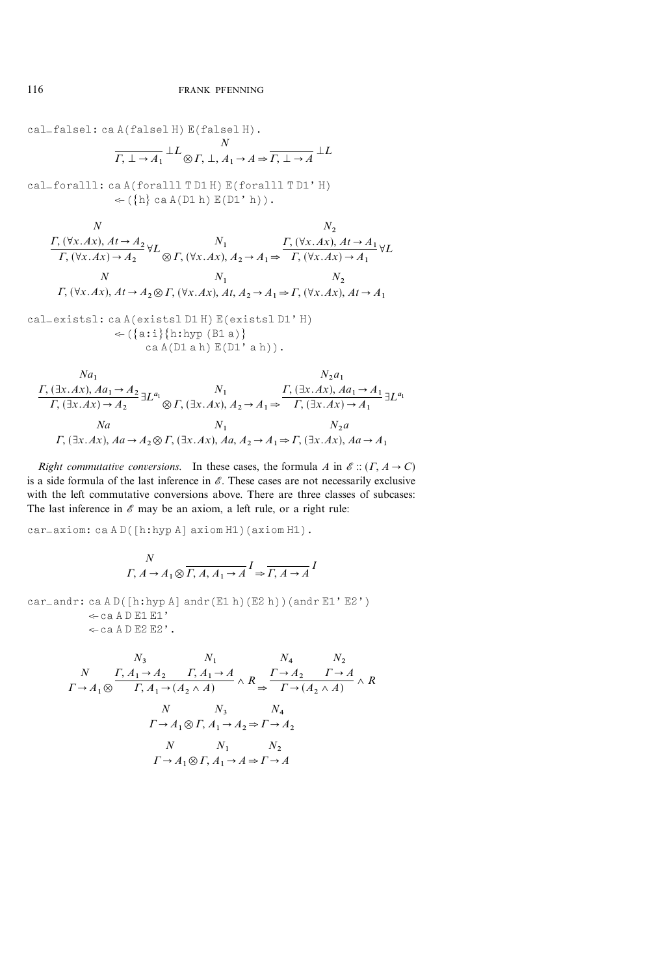cal\_falsel: ca A(falsel H) E(falsel H).

$$
\overline{\Gamma, \perp \to A_1}^{\perp L} \perp L \otimes \Gamma, \perp, A_1 \to A \Rightarrow \overline{\Gamma, \perp \to A}^{\perp L}
$$

cal\_foralll: ca A(foralll TD1 H) E(foralll TD1'H)  $\leftarrow (\lbrace h \rbrace ca A(D1 h) E(D1'h)).$ 

 $\overline{N}$  $\frac{\Gamma_{1}(\forall x.Ax), At \rightarrow A_{2}}{\Gamma_{1}(\forall x.Ax) \rightarrow A_{2}} \forall L \frac{N_{1}}{\otimes \Gamma_{1}(\forall x.Ax), A_{2} \rightarrow A_{1} \Rightarrow \frac{\Gamma_{1}(\forall x.Ax), At \rightarrow A_{1}}{\Gamma_{1}(\forall x.Ax) \rightarrow A_{1}} \forall L$ N<br>  $N_1$ <br>  $N_2$ <br>  $\Gamma$ ,  $(\forall x.Ax)$ ,  $At \rightarrow A_2 \otimes \Gamma$ ,  $(\forall x.Ax)$ ,  $At$ ,  $A_2 \rightarrow A_1 \Rightarrow \Gamma$ ,  $(\forall x.Ax)$ ,  $At \rightarrow A_1$ 

cal\_existsl: ca A(existsl D1H) E(existsl D1'H)  $\leftarrow (\{a:i\}\{h: hyp (B1 a)\}\)$  $caA(D1ah)E(D1'ah)).$ 

$$
Na_1
$$
\n
$$
N_1
$$
\n
$$
N_2 a_1
$$
\n
$$
T, (\exists x. Ax), Aa_1 \to A_2
$$
\n
$$
\exists L^{a_1} \otimes T, (\exists x. Ax), A_2 \to A_1 \Rightarrow \overline{T, (\exists x. Ax), Aa_1 \to A_1}
$$
\n
$$
Na
$$
\n
$$
N_1
$$
\n
$$
N_2 a
$$
\n
$$
T, (\exists x. Ax), Aa \to A_2 \otimes T, (\exists x. Ax), Aa, A_2 \to A_1 \Rightarrow T, (\exists x. Ax), Aa \to A_1
$$

Right commutative conversions. In these cases, the formula A in  $\mathscr{E}$  ::  $(\Gamma, A \rightarrow C)$ is a side formula of the last inference in  $\mathscr E$ . These cases are not necessarily exclusive with the left commutative conversions above. There are three classes of subcases: The last inference in  $\mathscr E$  may be an axiom, a left rule, or a right rule:

car\_axiom: ca AD([h:hyp A] axiom H1)(axiom H1).

$$
\frac{N}{\Gamma, A \to A_1 \otimes \overline{\Gamma, A, A_1 \to A}} I \to \overline{\Gamma, A \to A}^{\Gamma}
$$

 $car\_andr: ca A D([h:hyp A] and r(El h)(E2 h))(andr E1' E2')$  $\leftarrow$  ca A D E1 E1'  $\leftarrow$  ca ADE2E2'.

$$
N_3 \t N_1 \t N_4 \t N_2
$$
  
\n
$$
\Gamma \rightarrow A_1 \otimes \frac{\Gamma, A_1 \rightarrow A_2 \quad \Gamma, A_1 \rightarrow A}{\Gamma, A_1 \rightarrow (A_2 \wedge A)} \wedge R \Rightarrow \frac{\Gamma \rightarrow A_2 \quad \Gamma \rightarrow A}{\Gamma \rightarrow (A_2 \wedge A)} \wedge R
$$
  
\n
$$
N \t N_3 \t N_4
$$
  
\n
$$
\Gamma \rightarrow A_1 \otimes \Gamma, A_1 \rightarrow A_2 \Rightarrow \Gamma \rightarrow A_2
$$
  
\n
$$
N \t N_1 \t N_2
$$
  
\n
$$
\Gamma \rightarrow A_1 \otimes \Gamma, A_1 \rightarrow A \Rightarrow \Gamma \rightarrow A
$$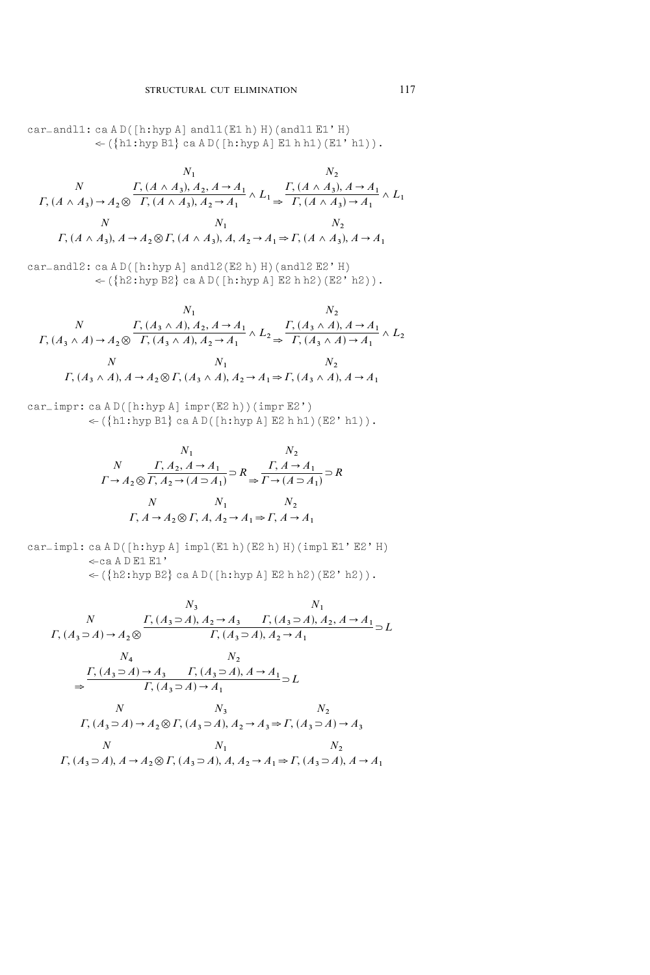car\_andl1: ca AD([h:hyp A] andl1(E1 h) H)(andl1 E1'H)  $\leftarrow$  ({h1:hyp B1} ca AD([h:hyp A] E1 h h1)(E1' h1)).

$$
N_1
$$
  
\n
$$
N_2
$$
  
\n
$$
N_1
$$
  
\n
$$
N_2
$$
  
\n
$$
T_1(A \wedge A_3) \rightarrow A_2 \otimes T_1(A \wedge A_3), A_2 \rightarrow A_1 \wedge L_1 \Rightarrow T_1(A \wedge A_3), A \rightarrow A_1 \wedge L_1
$$
  
\n
$$
N_1
$$
  
\n
$$
N_2
$$
  
\n
$$
T_1(A \wedge A_3) \rightarrow A_2 \otimes T_1(A \wedge A_3), A_3 \rightarrow A_1 \Rightarrow T_1(A \wedge A_3), A \rightarrow A_1
$$
  
\n
$$
N_2
$$
  
\n
$$
T_1(A \wedge A_3), A \rightarrow A_2 \otimes T_1(A \wedge A_3), A_1 \rightarrow A_1 \Rightarrow T_1(A \wedge A_3), A \rightarrow A_1
$$

car\_andl2: ca AD([h:hyp A] andl2(E2 h) H)(andl2 E2'H)  $\leftarrow$  ({h2:hyp B2} ca AD([h:hyp A] E2 h h2)(E2' h2)).

$$
N_1
$$
  
\n
$$
N_2
$$
  
\n
$$
N_1
$$
  
\n
$$
N_2
$$
  
\n
$$
T, (A_3 \wedge A) \rightarrow A_2 \otimes T, (A_3 \wedge A), A_2 \rightarrow A_1
$$
  
\n
$$
N
$$
  
\n
$$
N_1
$$
  
\n
$$
N_2
$$
  
\n
$$
N_1
$$
  
\n
$$
N_2
$$
  
\n
$$
T, (A_3 \wedge A) \rightarrow A_1 \wedge L_2
$$
  
\n
$$
N_1
$$
  
\n
$$
N_2
$$
  
\n
$$
T, (A_3 \wedge A), A \rightarrow A_2 \otimes T, (A_3 \wedge A), A_2 \rightarrow A_1 \Rightarrow T, (A_3 \wedge A), A \rightarrow A_1
$$

 $car\_impr: ca \land D([h:hyp A] \text{impr}(E2 h)) (impr E2')$  $\leftarrow$  ({h1:hyp B1} ca AD([h:hyp A] E2 h h1)(E2' h1)).

$$
N_1 \t N_2
$$
  
\n
$$
\Gamma \to A_2 \otimes \overline{\Gamma, A_2, A \to A_1} \to R \xrightarrow{\Gamma, A \to A_1} \overline{\Gamma \to (A \to A_1)} \to R
$$
  
\n
$$
N \t N_1 \t N_2
$$
  
\n
$$
\Gamma, A \to A_2 \otimes \Gamma, A, A_2 \to A_1 \Rightarrow \Gamma, A \to A_1
$$

car\_impl: ca AD([h:hyp A] impl(E1 h)(E2 h) H)(impl E1'E2'H)  $\leftarrow$ ca A D E1 E1'  $\leftarrow$  ({h2:hyp B2} ca AD([h:hyp A] E2 h h2)(E2' h2)).

$$
N_3 \t N_1
$$
\n
$$
N_1
$$
\n
$$
N_1
$$
\n
$$
T, (A_3 \supset A) \to A_2 \otimes \frac{\Gamma, (A_3 \supset A), A_2 \to A_3 \quad \Gamma, (A_3 \supset A), A_2, A \to A_1}{\Gamma, (A_3 \supset A), A_2 \to A_1} \supset L
$$
\n
$$
\Rightarrow \frac{\Gamma, (A_3 \supset A) \to A_3 \quad \Gamma, (A_3 \supset A), A \to A_1}{\Gamma, (A_3 \supset A) \to A_1} \supset L
$$
\n
$$
N_1
$$
\n
$$
N_2
$$
\n
$$
N_1
$$
\n
$$
N_2
$$
\n
$$
N_1
$$
\n
$$
N_2
$$
\n
$$
N_1
$$
\n
$$
N_2
$$
\n
$$
N_1
$$
\n
$$
N_2
$$
\n
$$
N_1
$$
\n
$$
N_2
$$
\n
$$
N_1
$$
\n
$$
N_2
$$
\n
$$
N_1
$$
\n
$$
N_2
$$
\n
$$
N_1
$$
\n
$$
N_2
$$
\n
$$
N_1
$$
\n
$$
N_2
$$
\n
$$
N_1
$$
\n
$$
N_2
$$
\n
$$
N_1
$$
\n
$$
N_2
$$
\n
$$
N_1
$$
\n
$$
N_2
$$
\n
$$
N_1
$$
\n
$$
N_2
$$
\n
$$
N_1
$$
\n
$$
N_2
$$
\n
$$
N_1
$$
\n
$$
N_2
$$
\n
$$
N_1
$$
\n
$$
N_2
$$
\n
$$
N_1
$$
\n
$$
N_2
$$
\n
$$
N_1
$$
\n
$$
N_2
$$
\n
$$
N_1
$$
\n
$$
N_2
$$
\n
$$
N_1
$$
\n
$$
N_2
$$
\n<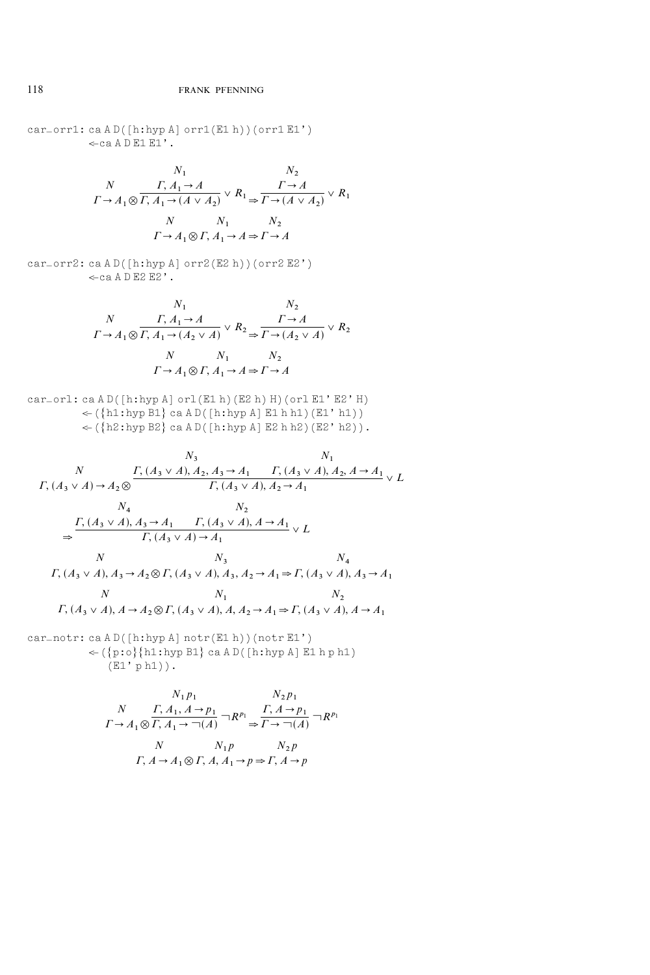$car_{\text{corr1: caAD([h:hyp A] orr1(E1 h))(orr1 E1')}}$  $\leftarrow$ ca A D E1 E1'.

$$
\begin{array}{ccc}\nN_1 & N_2 \\
N & \overline{I}, A_1 \to A \\
\hline\nT \to A_1 \otimes \overline{I}, A_1 \to (A \lor A_2)} \lor R_1 \to \overline{I \to (A \lor A_2)} \lor R_1 \\
& N & N_1 & N_2 \\
& \overline{I \to A_1 \otimes I}, A_1 \to A \to \overline{I \to A}\n\end{array}
$$

car\_orr2: ca AD([h:hyp A] orr2(E2 h))(orr2 E2')  $\leftarrow$ ca ADE2E2'.

$$
\begin{array}{ccc}\nN_1 & N_2 \\
N & \Gamma, A_1 \rightarrow A \\
\Gamma \rightarrow A_1 \otimes \overline{\Gamma}, A_1 \rightarrow (A_2 \vee A) & N_2 \Rightarrow \overline{\Gamma \rightarrow (A_2 \vee A)} \vee R_2 \\
N & N_1 & N_2 \\
\Gamma \rightarrow A_1 \otimes \Gamma, A_1 \rightarrow A \Rightarrow \Gamma \rightarrow A\n\end{array}
$$

$$
car_{-}or1: ca \land D([h:hyp A] or l(EL h) (E2 h) H) (or l E1' E2' H)
$$
  

$$
\leftarrow (\{h1:hyp B1\} ca \land D([h:hyp A] E1 h h1) (E1' h1))
$$

$$
\leftarrow (\{h2:hyp B2\} ca \land D([h:hyp A] E2 h h2) (E2' h2)).
$$

$$
N_{3}
$$
  
\n
$$
N_{1}
$$
  
\n
$$
N_{1}
$$
  
\n
$$
N_{1}
$$
  
\n
$$
N_{1}
$$
  
\n
$$
N_{1}
$$
  
\n
$$
N_{1}
$$
  
\n
$$
N_{2}
$$
  
\n
$$
N_{3}
$$
  
\n
$$
N_{4}
$$
  
\n
$$
N_{2}
$$
  
\n
$$
N_{4}
$$
  
\n
$$
N_{2}
$$
  
\n
$$
N_{1}
$$
  
\n
$$
N_{2}
$$
  
\n
$$
N_{1}
$$
  
\n
$$
N_{2}
$$
  
\n
$$
N_{1}
$$
  
\n
$$
N_{2}
$$
  
\n
$$
N_{1}
$$
  
\n
$$
N_{2}
$$
  
\n
$$
N_{3}
$$
  
\n
$$
N_{4}
$$
  
\n
$$
N_{1}
$$
  
\n
$$
N_{2}
$$
  
\n
$$
N_{3}
$$
  
\n
$$
N_{4}
$$
  
\n
$$
N_{1}
$$
  
\n
$$
N_{2}
$$
  
\n
$$
N_{1}
$$
  
\n
$$
N_{2}
$$
  
\n
$$
N_{1}
$$
  
\n
$$
N_{2}
$$
  
\n
$$
N_{1}
$$
  
\n
$$
N_{2}
$$
  
\n
$$
N_{1}
$$
  
\n
$$
N_{2}
$$
  
\n
$$
N_{1}
$$
  
\n
$$
N_{2}
$$
  
\n
$$
N_{1}
$$
  
\n
$$
N_{2}
$$
  
\n
$$
N_{1}
$$
  
\n
$$
N_{2}
$$
  
\n
$$
N_{1}
$$
  
\n
$$
N_{2}
$$
  
\n
$$
N_{1}
$$
  
\n
$$
N_{2}
$$
  
\n
$$
N_{1}
$$
  
\n
$$
N_{2}
$$
  
\n
$$
N_{1}
$$
  
\n
$$
N_{2}
$$
  
\n

 $\langle \{p : o\} \{h1 : hyp B1\}$  ca AD([h:hyp A] E1 h p h1)  $(E1'ph1)).$ 

$$
N_1 p_1
$$
  
\n
$$
N_2 p_1
$$
  
\n
$$
\Gamma \rightarrow A_1 \otimes \overline{\Gamma}, A_1 \rightarrow \neg(A) \rightarrow R^{p_1}
$$
  
\n
$$
N
$$
  
\n
$$
N_1 p
$$
  
\n
$$
N_2 p_1
$$
  
\n
$$
\Gamma \rightarrow A_1 \otimes \overline{\Gamma}, A_1 \rightarrow \neg(A) \rightarrow R^{p_1}
$$
  
\n
$$
N_1 p
$$
  
\n
$$
N_2 p
$$
  
\n
$$
\Gamma, A \rightarrow A_1 \otimes \Gamma, A, A_1 \rightarrow p \Rightarrow \Gamma, A \rightarrow p
$$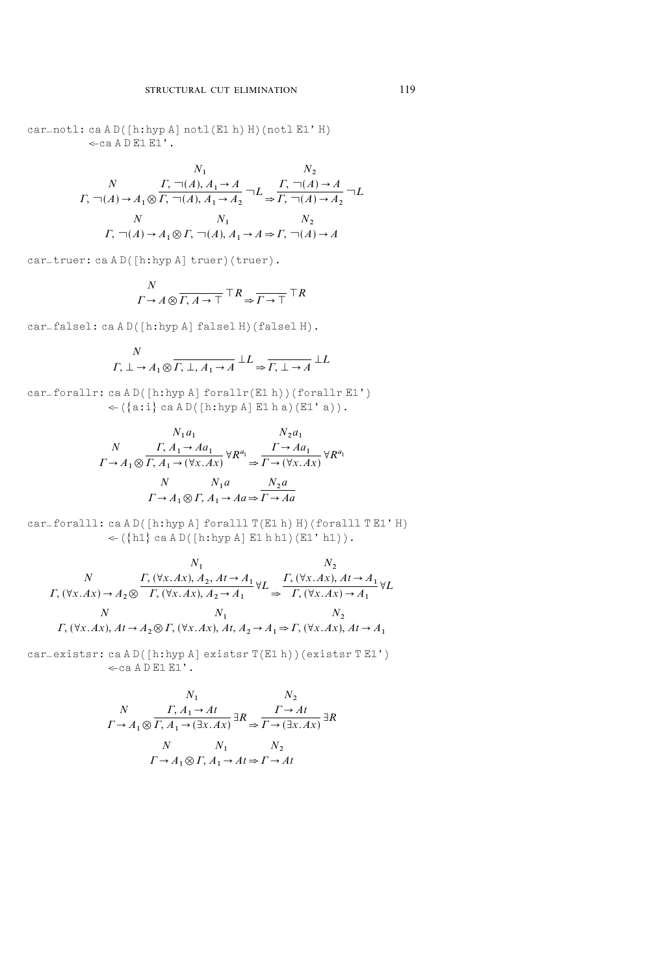car\_notl: ca AD([h:hyp A] notl(E1 h) H)(notl E1'H)  $\leftarrow$ ca ADE1E1'.

$$
N_1
$$
  
\n
$$
N_2
$$
  
\n
$$
N_1
$$
  
\n
$$
N_2
$$
  
\n
$$
T, \neg(A) \to A_1 \otimes \overline{\Gamma}, \neg(A), A_1 \to A_2
$$
  
\n
$$
N
$$
  
\n
$$
N_1
$$
  
\n
$$
N_2
$$
  
\n
$$
N_1
$$
  
\n
$$
N_2
$$
  
\n
$$
T, \neg(A) \to A_2
$$
  
\n
$$
N_1
$$
  
\n
$$
N_2
$$
  
\n
$$
T, \neg(A) \to A_2
$$
  
\n
$$
N_1
$$
  
\n
$$
N_2
$$
  
\n
$$
T, \neg(A) \to A_2
$$

car\_truer: ca AD([h:hyp A] truer)(truer).

$$
\frac{N}{\Gamma \to A \otimes \Gamma, A \to \top} \top R \xrightarrow[\Gamma \to \Gamma \to \top]{} \top R
$$

car\_falsel: ca AD([h:hyp A] falsel H)(falsel H).

$$
\frac{N}{\Gamma, \perp \to A_1 \otimes \overline{\Gamma, \perp, A_1 \to A}} \perp L \xrightarrow[\Gamma, \perp \to A]{} \perp L
$$

car\_forallr: ca AD([h:hyp A] forallr(E1 h))(forallr E1')  $\leftarrow$  ({a:i} ca A D([h:hyp A] E1 h a) (E1'a)).

$$
N_1 a_1
$$
  
\n
$$
N_2 a_1
$$
  
\n
$$
\Gamma \to A_1 \otimes \overline{\Gamma, A_1 \to (\forall x. Ax)} \forall R^{a_1} \to \overline{\Gamma \to A a_1} \forall R^{a_2}
$$
  
\n
$$
N
$$
  
\n
$$
N_1 a
$$
  
\n
$$
\Gamma \to A_1 \otimes \Gamma, A_1 \to A a \to \overline{\Gamma \to A a}
$$
  
\n
$$
N_2 a_1
$$
  
\n
$$
N_2 a_2
$$
  
\n
$$
\Gamma \to A_1 \otimes \Gamma, A_1 \to A a \to \overline{\Gamma \to A a}
$$

car\_foralll: ca AD([h:hyp A] foralll T(E1 h) H) (foralll TE1'H)  $\leftarrow (\{h1\} \text{ ca } \text{AD}(\text{[h:hyp A] E1 h h1})(E1' h1)).$ 

$$
N_1
$$
  
\n
$$
N_2
$$
  
\n
$$
N_1
$$
  
\n
$$
N_2
$$
  
\n
$$
N_1
$$
  
\n
$$
N_2
$$
  
\n
$$
T, (\forall x. Ax), A_2, At \to A_1
$$
  
\n
$$
T_1
$$
  
\n
$$
T_2
$$
  
\n
$$
T_3
$$
  
\n
$$
T_4
$$
  
\n
$$
T_5
$$
  
\n
$$
T_5
$$
  
\n
$$
T_6
$$
  
\n
$$
T_7
$$
  
\n
$$
N_1
$$
  
\n
$$
N_2
$$
  
\n
$$
T_3
$$
  
\n
$$
T_4
$$
  
\n
$$
T_5
$$
  
\n
$$
N_1
$$
  
\n
$$
N_2
$$
  
\n
$$
T_5
$$
  
\n
$$
T_6
$$
  
\n
$$
N_1
$$
  
\n
$$
N_2
$$
  
\n
$$
T_5
$$
  
\n
$$
T_6
$$
  
\n
$$
N_2
$$
  
\n
$$
T_5
$$
  
\n
$$
N_2
$$
  
\n
$$
T_3
$$
  
\n
$$
T_4
$$
  
\n
$$
T_5
$$
  
\n
$$
T_6
$$
  
\n
$$
T_7
$$
  
\n
$$
T_8
$$
  
\n
$$
T_7
$$
  
\n
$$
T_8
$$
  
\n
$$
T_9
$$
  
\n
$$
T_9
$$
  
\n
$$
T_1
$$
  
\n
$$
T_2
$$
  
\n
$$
T_3
$$
  
\n
$$
T_4
$$
  
\n
$$
T_5
$$
  
\n
$$
T_7
$$
  
\n
$$
T_8
$$
  
\n
$$
T_9
$$
  
\n
$$
T_1
$$
  
\n

car\_existsr: ca AD([h:hyp A] existsr T(E1 h))(existsr TE1')  $\leftarrow$ ca ADE1E1'.

$$
\begin{array}{ccc}\nN_1 & N_2 \\
N & \Gamma, A_1 \to At \\
\Gamma \to A_1 \otimes \overline{\Gamma, A_1 \to (\exists x. Ax)} \exists R \\
N & N_1 & N_2 \\
\Gamma \to A_1 \otimes \Gamma, A_1 \to At \Rightarrow \Gamma \to At\n\end{array} \exists R
$$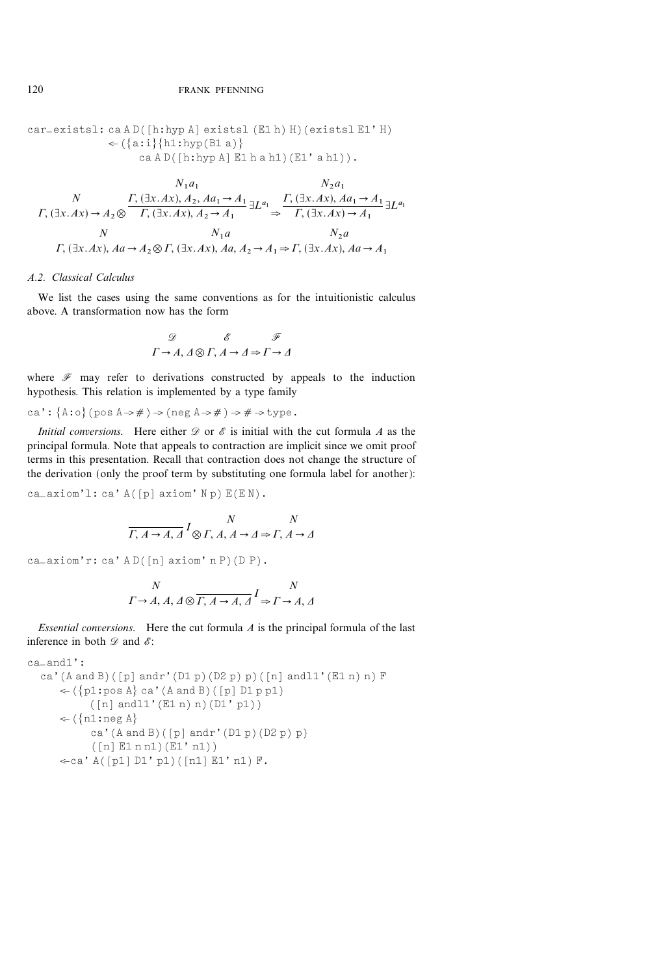$$
car\text{-exists: } \text{caA D}([h: hyp A] \text{ exists1 (E1 h) H}(\text{exists E1' H})
$$

$$
\leftarrow (\{a: i\} \{h1: hyp (B1 a)\}
$$

$$
\text{caA D}([h: hyp A] E1 h a h1) (E1' a h1)).
$$

$$
N_{1}a_{1}
$$
\n
$$
N_{2}a_{1}
$$
\n
$$
N_{1}a_{1} \longrightarrow K_{2}a_{1}
$$
\n
$$
T_{2}a_{1} \longrightarrow T_{1} \oplus K_{2}a_{1}
$$
\n
$$
T_{3}a_{1} \longrightarrow A_{2} \otimes T_{1} \oplus K_{2}a_{1}
$$
\n
$$
N_{1}a \longrightarrow N_{1}a
$$
\n
$$
N_{2}a
$$
\n
$$
T_{1}a \longrightarrow N_{2}a
$$
\n
$$
T_{2}a
$$
\n
$$
T_{2}a
$$
\n
$$
T_{3}a \longrightarrow A_{2} \otimes T_{1} \oplus K_{2}a
$$
\n
$$
T_{2}a
$$
\n
$$
T_{3}a \longrightarrow A_{1} \Rightarrow T_{1}a
$$
\n
$$
N_{2}a
$$
\n
$$
T_{3}a \longrightarrow A_{1}a
$$
\n
$$
N_{1}a
$$
\n
$$
N_{2}a
$$
\n
$$
T_{3}a \longrightarrow A_{1}a
$$
\n
$$
N_{1}a
$$
\n
$$
N_{2}a
$$
\n
$$
T_{3}a \longrightarrow A_{1}a
$$
\n
$$
N_{1}a
$$
\n
$$
N_{2}a
$$

## A.2. Classical Calculus

We list the cases using the same conventions as for the intuitionistic calculus above. A transformation now has the form

$$
\begin{array}{cc}\n\mathscr{D} & \mathscr{E} & \mathscr{F} \\
\Gamma \to A, \, \varDelta \otimes \Gamma, \, A \to \varDelta \Rightarrow \Gamma \to \varDelta\n\end{array}
$$

where  $\mathcal F$  may refer to derivations constructed by appeals to the induction hypothesis. This relation is implemented by a type family

ca': {A:o} (pos A  $\Rightarrow$  #)  $\Rightarrow$  (neg A  $\Rightarrow$  #)  $\Rightarrow$  #  $\Rightarrow$  type.

*Initial conversions.* Here either  $\mathscr D$  or  $\mathscr E$  is initial with the cut formula A as the principal formula. Note that appeals to contraction are implicit since we omit proof terms in this presentation. Recall that contraction does not change the structure of the derivation (only the proof term by substituting one formula label for another):

ca\_axiom'l: ca' A([p] axiom' Np) E(EN).

$$
\frac{N}{\Gamma, A \to A, \Delta} I_{\bigotimes \Gamma, A, A \to \Delta \Rightarrow \Gamma, A \to \Delta}
$$

ca\_axiom'r: ca'  $AD([n]$  axiom' n P  $(D P)$ .

$$
\begin{array}{c}\nN \\
\Gamma \to A, A, \Delta \otimes \overline{\Gamma, A \to A, \Delta} \, I \to \Gamma \to A, \Delta\n\end{array}
$$

*Essential conversions.* Here the cut formula  $\vec{A}$  is the principal formula of the last inference in both  $\mathscr D$  and  $\mathscr E$ :

$$
\begin{aligned}\n\text{ca-and1':} \\
\text{ca'}(\text{A and B})([\text{p}] \text{ and } \text{r'}(\text{D1 p})(\text{D2 p}) p)([\text{n}] \text{ and } \text{11'}(\text{E1 n}) n) \mathbb{F} \\
&\leftarrow (\{\text{p1:pos A}\} \text{ca'}(\text{A and B})([\text{p}] \text{D1 p p1}) \\
&\quad \text{(n]} \text{ and } \text{11'}(\text{E1 n}) n)(\text{D1'} p1)) \\
&\leftarrow (\{\text{n1:neg A}\} \text{ca'}(\text{A and B})([\text{p}] \text{ and } \text{r'}(\text{D1 p})(\text{D2 p}) p) \\
&\quad \text{(n]} \text{E1 n n1)}(\text{E1'} n1)) \\
&\leftarrow \text{ca'}(\text{A}([\text{p1}] \text{D1'} p1)([\text{n1}] \text{E1'} n1) \mathbb{F}.\n\end{aligned}
$$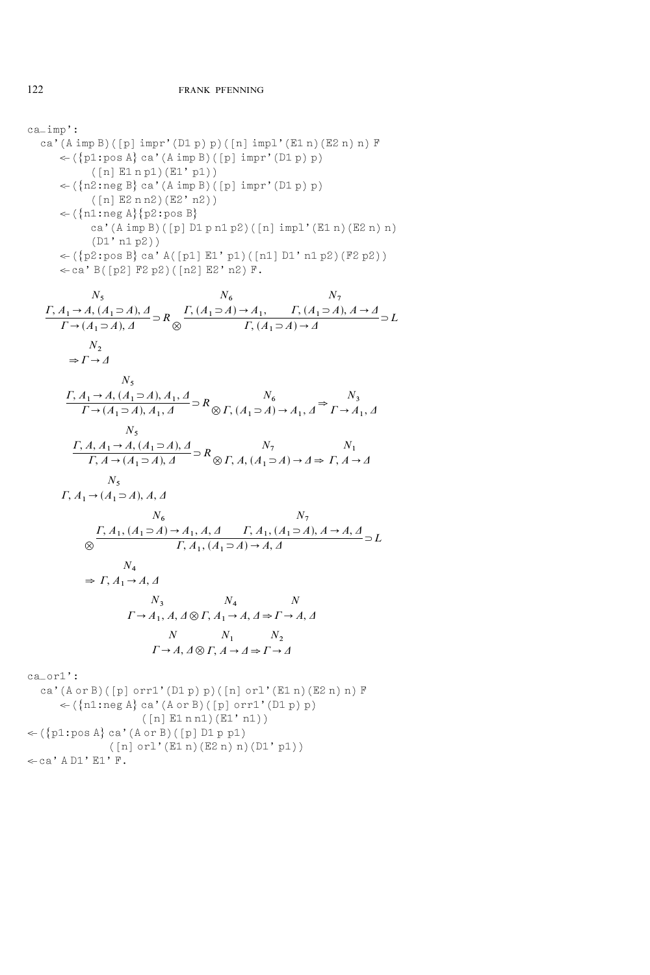$$
ca\_{imp'':\nca'(A\_{imp}B)([p]\_{impr'}(D1\,p)\,p)([n]1\_{p}D'(E1\,n)(E2\,n)\,n) F\n\leftarrow ({p1:pos A} ca'(A\_{imp}B)([p]1\_{mp}P'(D1\,p)\,p)\n ([n] E1\,np1)(E1'\,p1))\n\leftarrow ({n2:neg B} ca'(A\,imp B)([p]1\_{mp}P'(D1\,p)\,p)\n ([n] E2\,nn2)(E2'\,n2))\n\leftarrow ({n1:neg A} p2:pos B\n ca'(A\,imp B)([p]D1\,p\,n1\,p2)([n]1\_{mp}P'(E1\,n)(E2\,n)\,n)\n (D1'\,n1\,p2))\n\leftarrow ({p2:pos B} ca'A([p1] E1'\,p1)([n1] D1'\,n1\,p2)(F2\,p2))\n\leftarrow ca'B([p2] F2\,p2)([n2] E2'\,n2) F.
$$

$$
N_{5} \t N_{6} \t N_{7}
$$
\n
$$
\frac{\Gamma, A_{1} \rightarrow A, (A_{1} \supseteq A), A \rightarrow A}{\Gamma \rightarrow (A_{1} \supseteq A), A} = R_{\bigotimes} \frac{\Gamma, (A_{1} \supseteq A) \rightarrow A_{1}, \Gamma, (A_{1} \supseteq A), A \rightarrow A}{\Gamma, (A_{1} \supseteq A) \rightarrow A} = L
$$
\n
$$
N_{2}
$$
\n
$$
\Rightarrow \Gamma \rightarrow A
$$
\n
$$
N_{5}
$$
\n
$$
\frac{\Gamma, A_{1} \rightarrow A, (A_{1} \supseteq A), A_{1}, A \rightarrow A \otimes \Gamma, (A_{1} \supseteq A) \rightarrow A_{1}, A \Rightarrow \Gamma \rightarrow A_{1}, A \times A_{1} \wedge A_{1} \wedge A_{1} \wedge A_{1} \wedge A_{1} \wedge A_{1} \wedge A_{1} \wedge A_{1} \wedge A_{1} \wedge A_{1} \wedge A_{1} \wedge A_{1} \wedge A_{1} \wedge A_{1} \wedge A_{1} \wedge A_{1} \wedge A_{1} \wedge A_{1} \wedge A_{1} \wedge A_{1} \wedge A_{1} \wedge A_{1} \wedge A_{1} \wedge A_{1} \wedge A_{1} \wedge A_{1} \wedge A_{1} \wedge A_{1} \wedge A_{1} \wedge A_{1} \wedge A_{1} \wedge A_{1} \wedge A_{1} \wedge A_{1} \wedge A_{1} \wedge A_{1} \wedge A_{1} \wedge A_{1} \wedge A_{1} \wedge A_{1} \wedge A_{1} \wedge A_{1} \wedge A_{1} \wedge A_{1} \wedge A_{1} \wedge A_{1} \wedge A_{1} \wedge A_{1} \wedge A_{1} \wedge A_{1} \wedge A_{1} \wedge A_{1} \wedge A_{1} \wedge A_{1} \wedge A_{1} \wedge A_{1} \wedge A_{1} \wedge A_{1} \wedge A_{1} \wedge A_{1} \wedge A_{1} \wedge A_{1} \wedge A_{1} \wedge A_{1} \wedge A_{1} \wedge A_{1} \wedge A_{1} \wedge A_{1} \wedge A_{1} \wedge A_{1} \wedge A_{1} \wedge A_{1
$$

$$
ca'(A \text{ or } B) ([p] \text{ or } 1'(D1 p) p) ([n] \text{ or } 1'(E1 n) (E2 n) n) F
$$
  

$$
\leftarrow (\{n1 \text{ .} \text{neg } A\} ca'(A \text{ or } B) ([p] \text{ or } 1'(D1 p) p)
$$
  

$$
([n] E1 n n 1) (E1' n 1))
$$
  

$$
\leftarrow (\{p1 \text{ .} \text{pos } A\} ca'(A \text{ or } B) ([p] D1 p p 1)
$$
  

$$
([n] \text{ or } 1'(E1 n) (E2 n) n) (D1' p 1))
$$
  

$$
\leftarrow ca' A D1' E1' F.
$$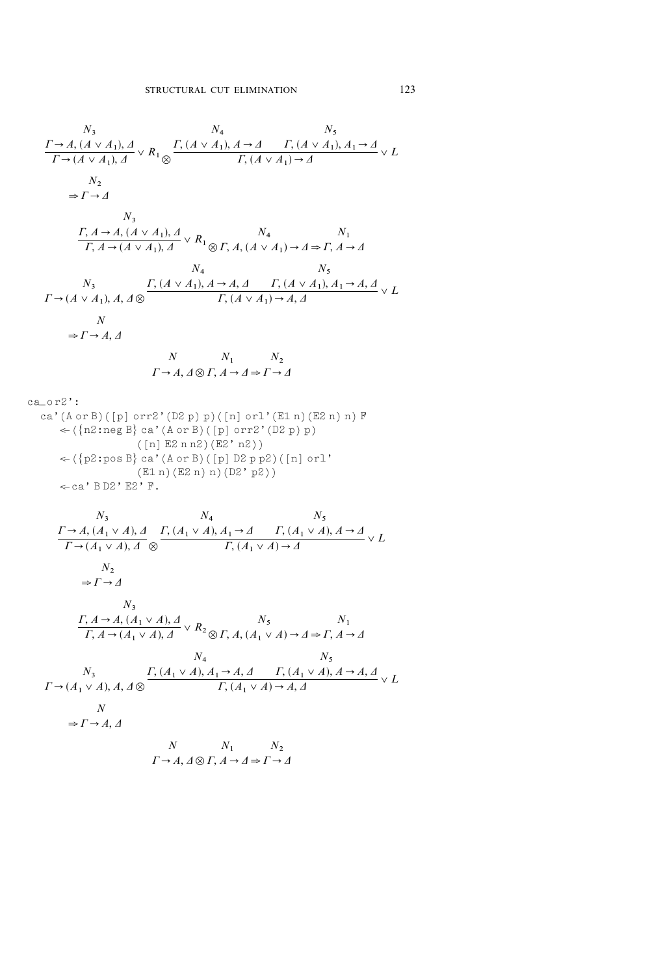$$
N_{3} \t N_{4} \t N_{5}
$$
\n
$$
\frac{\Gamma \rightarrow A, (A \vee A_{1}), \Delta}{\Gamma \rightarrow (A \vee A_{1}), A} \vee R_{1} \otimes \frac{\Gamma, (A \vee A_{1}), A \rightarrow A}{\Gamma, (A \vee A_{1}) \rightarrow A} \cdot \frac{\Gamma, (A \vee A_{1}), A_{1} \rightarrow A}{\Gamma, A \rightarrow A} \vee L
$$
\n
$$
N_{2}
$$
\n
$$
\Rightarrow \Gamma \rightarrow A
$$
\n
$$
N_{3}
$$
\n
$$
\frac{\Gamma, A \rightarrow A, (A \vee A_{1}), \Delta}{\Gamma, A \rightarrow (A \vee A_{1}), A} \vee R_{1} \otimes \Gamma, A, (A \vee A_{1}) \rightarrow A \Rightarrow \Gamma, A \rightarrow A
$$
\n
$$
N_{3} \t N_{3} \t N_{3} \t N_{3} \t N_{3} \t N_{3} \t N_{3} \t N_{3} \t N_{3} \t N_{3} \t N_{3} \t N_{3} \t N_{3} \t N_{3} \t N_{3} \t N_{3} \t N_{3} \t N_{3} \t N_{3} \t N_{3} \t N_{3} \t N_{3} \t N_{3} \t N_{3} \t N_{3} \t N_{3} \t N_{3} \t N_{3} \t N_{3} \t N_{3} \t N_{3} \t N_{3} \t N_{3} \t N_{3} \t N_{3} \t N_{3} \t N_{3} \t N_{3} \t N_{3} \t N_{3} \t N_{3} \t N_{3} \t N_{3} \t N_{3} \t N_{3} \t N_{3} \t N_{3} \t N_{3} \t N_{3} \t N_{3} \t N_{3} \t N_{3} \t N_{3} \t N_{3} \t N_{3} \t N_{3} \t N_{3} \t N_{3} \t N_{3} \t N_{3} \t N_{3} \t N_{3} \t N_{3} \t N_{3} \t N_{3} \t N_{3} \t N_{3} \t N_{3} \t N_{3} \t N_{3} \t N_{3} \t N_{3} \t N_{3} \t N_{3} \t N_{3} \t N_{3} \t N_{3} \t N_{3} \t N_{3} \t N_{3} \t N_{3
$$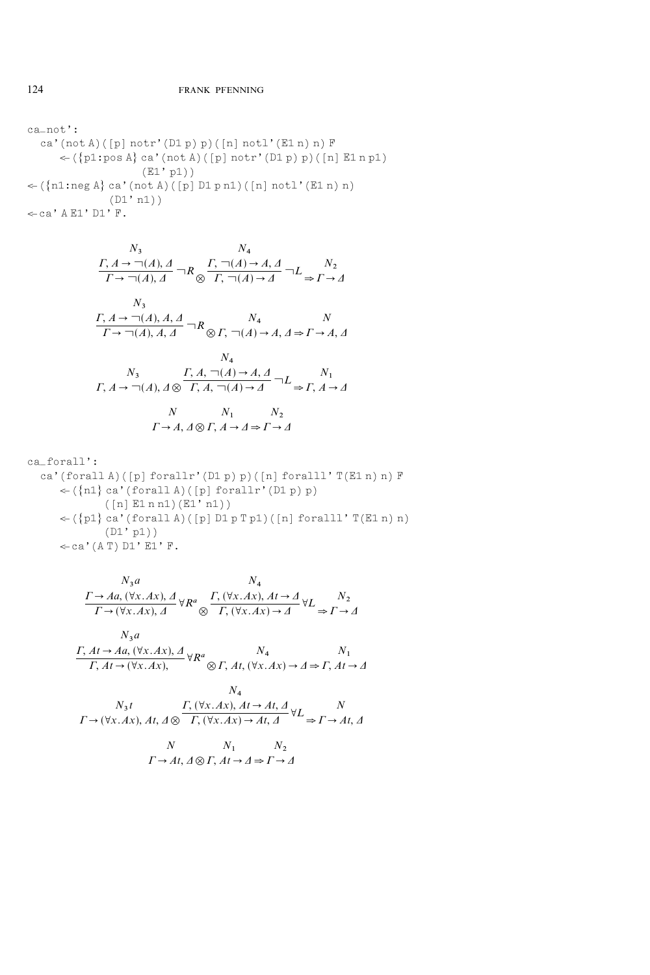ca\_not': ca'(not A)([p] notr'(D1 p)p)([n] notl'(E1 n) n) F  $\leftarrow$  ({p1:pos A} ca'(not A)([p] notr'(D1 p) p)([n] E1 n p1)  $(E1'p1))$  $\leftarrow$  ({n1:neg A} ca'(not A)([p] D1 p n1)([n] notl'(E1 n) n)  $(D1' n1))$  $\leftarrow$  ca' AE1' D1' F.

$$
\frac{N_3}{\Gamma \to \neg(A), \Delta} \neg R \bigotimes \frac{\Gamma, \neg(A) \to A, \Delta}{\Gamma, \neg(A) \to \Delta} \neg L \xrightarrow[N_2]{N_4} N_2
$$
  

$$
N_3
$$

$$
\frac{\Gamma, A \to \neg(A), A, \Delta}{\Gamma \to \neg(A), A, \Delta} \neg R \bigotimes \Gamma, \neg(A) \to A, \Delta \Rightarrow \Gamma \to A, \Delta
$$

$$
N_4
$$
  
\n
$$
N_3
$$
\n
$$
\Gamma, A \to \neg(A), A \otimes \overline{\Gamma, A}, \neg(A) \to A, A \to I
$$
\n
$$
N
$$
\n
$$
N
$$
\n
$$
N_1
$$
\n
$$
N_2
$$
\n
$$
\Gamma \to A, A \otimes \Gamma, A \to A \Rightarrow \Gamma \to A
$$

$$
\begin{array}{ll}\n\texttt{ca-forall'}: \\
\texttt{ca'}(\texttt{forall A})([p] for all r' (D1 p) p)([n] for all l' T(E1 n) n) F \\
&\quad\quad \leftarrow (\{n1\} \texttt{ca'}(\texttt{forall A})([p] for all r' (D1 p) p) \\
&\quad\quad \left(\texttt{[n] E1 n n1)}(\texttt{E1'} n1)\right) \\
&\quad\quad \leftarrow (\{p1\} \texttt{ca'}(\texttt{forall A})([p] D1 p T p1)([n] for all l' T(E1 n) n) \\
&\quad\quad \left(\texttt{D1'} p1)\right) \\
&\quad\quad \leftarrow \texttt{ca'}(\texttt{A T}) D1' \texttt{E1'} F.\n\end{array}
$$

$$
N_3 a \t N_4
$$
  
\n
$$
\frac{\Gamma \to Aa, (\forall x.Ax), \Delta}{\Gamma \to (\forall x.Ax), \Delta} \forall R^a \otimes \frac{\Gamma, (\forall x.Ax), At \to \Delta}{\Gamma, (\forall x.Ax) \to \Delta} \forall L \Rightarrow \Gamma \to \Delta
$$
  
\n
$$
N_3 a
$$
  
\n
$$
\frac{\Gamma, At \to Aa, (\forall x.Ax), \Delta}{\Gamma, At \to (\forall x.Ax), \Delta} \forall R^a \otimes \Gamma, At, (\forall x.Ax) \to \Delta \Rightarrow \Gamma, At \to \Delta
$$
  
\n
$$
N_4
$$
  
\n
$$
N_3 t \qquad \frac{\Gamma, (\forall x.Ax), At \to At, \Delta}{\Gamma, (\forall x.Ax) \to At, \Delta} \forall L \Rightarrow \Gamma \to At, \Delta
$$
  
\n
$$
N \qquad N_1 \qquad N_2
$$
  
\n
$$
\Gamma \to At, \Delta \otimes \Gamma, At \to \Delta \Rightarrow \Gamma \to \Delta
$$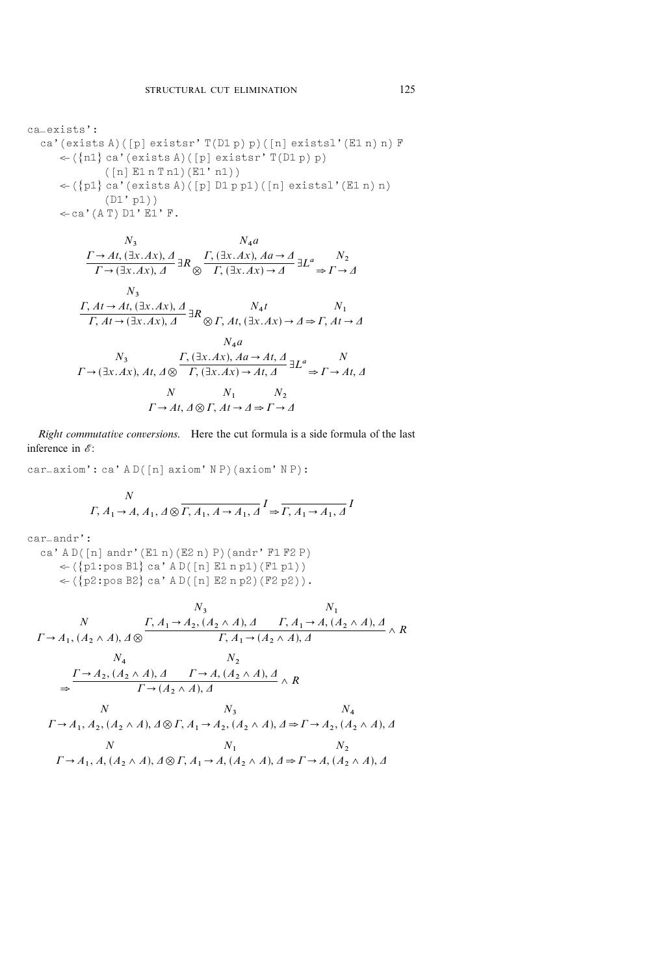$$
\begin{aligned}\n\text{ca-exists'}: \\
&\text{ca'}(\text{exists A})([p] \text{ exists } r^T(D1 p) p)([n] \text{ exists } l^T(E1 n) n) \to \\
&\lt; (\{n1\} \text{ca'}(\text{exists A})([p] \text{ exists } r^T(D1 p) p) \\
&\quad \quad ([n] \text{ E1 n T n1)}(E1' n1)) \\
&\lt; (\{p1\} \text{ca'}(\text{exists A})([p] D1 p p1)([n] \text{ exists } l^T(E1 n) n) \\
&\quad \quad (D1' p1)) \\
&\lt; \text{ca'}(A T) D1' E1' F.\n\end{aligned}
$$
\n
$$
N, \qquad N, d
$$

$$
\frac{\Gamma \to At, (\exists x. Ax), \Delta}{\Gamma \to (\exists x. Ax), \Delta} \exists R \bigotimes \frac{\Gamma, (\exists x. Ax), Aa \to \Delta}{\Gamma, (\exists x. Ax) \to \Delta} \exists L^a \xrightarrow{} \Gamma \to \Delta
$$
\n
$$
\frac{N_3}{N_3}
$$
\n
$$
\frac{\Gamma, At \to At, (\exists x. Ax), \Delta}{\Gamma, At \to (\exists x. Ax), \Delta} \exists R \bigotimes \Gamma, At, (\exists x. Ax) \to \Delta \Rightarrow \Gamma, At \to \Delta
$$
\n
$$
\frac{N_4 a}{N_4 a}
$$
\n
$$
\frac{N_3}{\Gamma \to (\exists x. Ax), At, \Delta \bigotimes \frac{\Gamma, (\exists x. Ax), Aa \to At, \Delta}{\Gamma, (\exists x. Ax) \to At, \Delta} \exists L^a \xrightarrow{} \Gamma \to At, \Delta
$$
\n
$$
\frac{N}{N_1} \qquad \frac{N_2}{N_2}
$$
\n
$$
\Gamma \to At, \Delta \bigotimes \Gamma, At \to \Delta \Rightarrow \Gamma \to \Delta
$$

Right commutative conversions. Here the cut formula is a side formula of the last inference in  $\mathscr{E}$ :

car\_axiom': ca' AD([n] axiom' NP)(axiom' NP):

$$
\begin{aligned}\nN & I, A_1 \rightarrow A, A_1, \Delta \otimes \overline{\Gamma, A_1, A \rightarrow A_1, \Delta}^I \Rightarrow \overline{\Gamma, A_1 \rightarrow A_1, \Delta}^I\n\end{aligned}
$$

car\_andr': ca' AD([n] andr' (E1 n) (E2 n) P) (andr' F1 F2 P)  $\leftarrow$  ({p1:pos B1} ca' A D([n] E1 n p1)(F1 p1))  $\leftarrow$  ({p2:pos B2} ca' AD([n] E2 n p2)(F2 p2)).

$$
N_3
$$
  
\n
$$
N_1
$$
  
\n
$$
\Gamma \rightarrow A_1, (A_2 \wedge A), \Delta \otimes \frac{\Gamma, A_1 \rightarrow A_2, (A_2 \wedge A), \Delta \Gamma, A_1 \rightarrow A, (A_2 \wedge A), \Delta}{\Gamma, A_1 \rightarrow (A_2 \wedge A), \Delta} \wedge R
$$
  
\n
$$
\Rightarrow \frac{\Gamma \rightarrow A_2, (A_2 \wedge A), \Delta \Gamma \rightarrow A, (A_2 \wedge A), \Delta}{\Gamma \rightarrow (A_2 \wedge A), \Delta} \wedge R
$$
  
\n
$$
N
$$
  
\n
$$
\Gamma \rightarrow A_1, A_2, (A_2 \wedge A), \Delta \otimes \Gamma, A_1 \rightarrow A_2, (A_2 \wedge A), \Delta \Rightarrow \Gamma \rightarrow A_2, (A_2 \wedge A), \Delta
$$
  
\n
$$
N
$$
  
\n
$$
\Gamma \rightarrow A_1, A, (A_2 \wedge A), \Delta \otimes \Gamma, A_1 \rightarrow A, (A_2 \wedge A), \Delta \Rightarrow \Gamma \rightarrow A, (A_2 \wedge A), \Delta
$$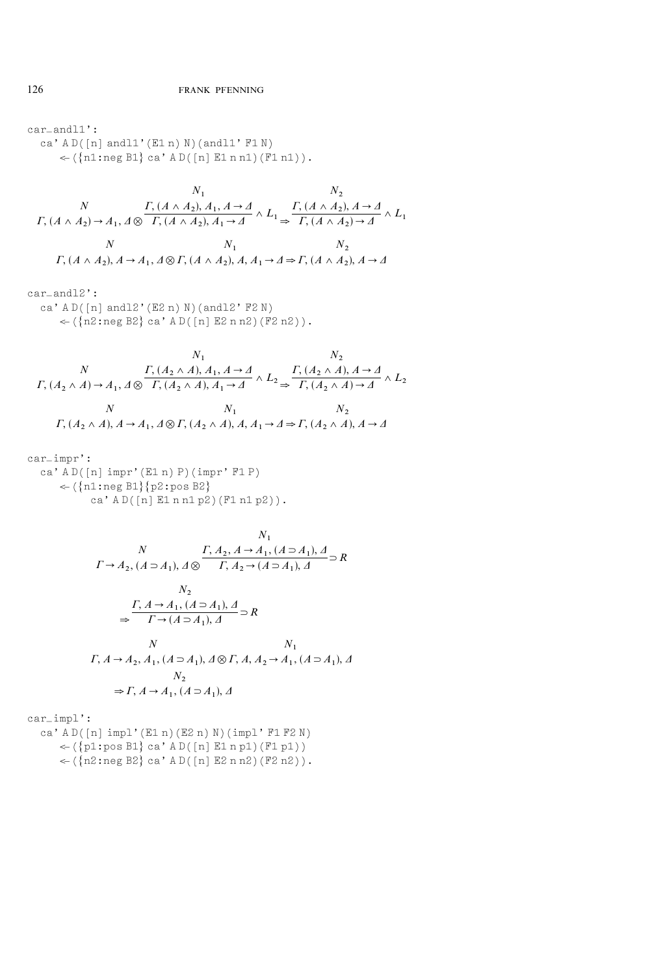car\_andl1': ca' AD([n] and<br>11' (E1 n) N) (and<br>11' F1 N)  $\leftarrow$  ({n1:neg B1} ca' AD([n] E1 n n1)(F1 n1)).

$$
N_1
$$
  
\n
$$
N_2
$$
  
\n
$$
\Gamma, (A \wedge A_2) \rightarrow A_1, \Delta \otimes \overline{\Gamma, (A \wedge A_2), A_1 \rightarrow A} \wedge L_1 \Rightarrow \overline{\Gamma, (A \wedge A_2), A \rightarrow A} \wedge L_1
$$
  
\n
$$
N
$$
  
\n
$$
N_1
$$
  
\n
$$
N_2
$$
  
\n
$$
N_1
$$
  
\n
$$
N_2
$$
  
\n
$$
\Gamma, (A \wedge A_2), A \rightarrow A_1, \Delta \otimes \Gamma, (A \wedge A_2), A, A_1 \rightarrow A \Rightarrow \Gamma, (A \wedge A_2), A \rightarrow A
$$

car\_andl2': ca' AD( $[n]$  and 12' (E2n) N)(and 12' F2N)  $\leftarrow$  ({n2:neg B2} ca' AD([n] E2 n n2)(F2 n2)).

$$
N_1
$$
\n
$$
N_2
$$
\n
$$
I, (A_2 \wedge A) \rightarrow A_1, \Delta \otimes I, (A_2 \wedge A), A_1 \rightarrow A \wedge L_2 \Rightarrow \frac{\Gamma, (A_2 \wedge A), A \rightarrow A}{\Gamma, (A_2 \wedge A) \rightarrow A} \wedge L_2
$$
\n
$$
N
$$
\n
$$
N
$$
\n
$$
I, (A_2 \wedge A), A \rightarrow A_1, \Delta \otimes I, (A_2 \wedge A), A, A_1 \rightarrow A \Rightarrow I, (A_2 \wedge A), A \rightarrow A
$$
\n
$$
N_2
$$

$$
car\_impr':\nca' AD([n] impr'(E1 n) P)(impr' F1 P)\n~([n1:neg B1]\{p2:pos B2\}\nca' AD([n] E1 n n1 p2)(F1 n1 p2)).
$$

$$
N_{1}
$$
\n
$$
N_{1}
$$
\n
$$
\Gamma \to A_{2}, (A \supset A_{1}), \Delta \otimes T, A_{2} \to (A \supset A_{1}), \Delta \to R
$$
\n
$$
N_{2}
$$
\n
$$
\Rightarrow \frac{\Gamma, A \to A_{1}, (A \supset A_{1}), \Delta}{\Gamma \to (A \supset A_{1}), \Delta} \supset R
$$
\n
$$
N_{1}
$$
\n
$$
\Gamma, A \to A_{2}, A_{1}, (A \supset A_{1}), \Delta \otimes \Gamma, A, A_{2} \to A_{1}, (A \supset A_{1}), \Delta
$$
\n
$$
N_{2}
$$
\n
$$
\Rightarrow \Gamma, A \to A_{1}, (A \supset A_{1}), \Delta
$$

$$
car\_impl':\nca' AD([n] impl'(E1 n) (E2 n) N)(impl' F1 F2 N)\n\leftarrow (\{p1:pos B1\} ca' AD([n] E1 n p1) (F1 p1))\n\leftarrow (\{n2:neg B2\} ca' AD([n] E2 n n2) (F2 n2)).
$$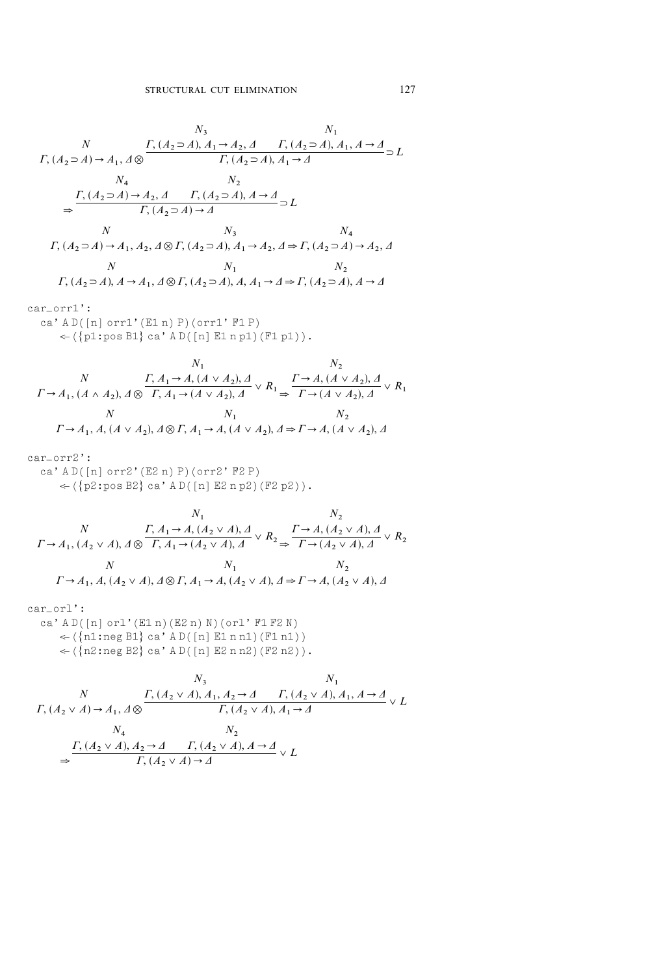$$
N_{3}
$$
\n
$$
N_{1}
$$
\n
$$
N_{1}
$$
\n
$$
N_{1}
$$
\n
$$
N_{1}
$$
\n
$$
T_{1}(A_{2} \supset A) \to A_{1}, A \otimes
$$
\n
$$
T_{1}(A_{2} \supset A), A_{1} \to A_{2}, A \quad T_{1}(A_{2} \supset A), A_{1} \to A \to A_{2}
$$
\n
$$
= \frac{\sum_{i=1}^{n} (A_{2} \supset A) \to A_{2}, A \quad T_{1}(A_{2} \supset A), A \to A_{2}}{\sum_{i=1}^{n} (A_{2} \supset A) \to A_{2}}
$$
\n
$$
= \frac{\sum_{i=1}^{n} (A_{2} \supset A) \to A_{1}}{\sum_{i=1}^{n} (A_{2} \supset A) \to A_{2}}
$$
\n
$$
= \frac{\sum_{i=1}^{n} (A_{2} \supset A) \to A_{1}}{\sum_{i=1}^{n} (A_{2} \supset A) \to A_{1}} \to A_{2}, A \Rightarrow T_{1}(A_{2} \supset A) \to A_{2}, A \to A_{1}
$$
\n
$$
= \frac{\sum_{i=1}^{n} (A_{2} \supset A) \to A_{1}}{\sum_{i=1}^{n} (A_{2} \supset A) \to A_{1}} \to A \circ A_{1}, A \otimes T_{1}(A_{2} \supset A), A \to A \to A_{1}
$$
\n
$$
= \frac{\sum_{i=1}^{n} (A_{2} \supset A) \to A_{2}}{\sum_{i=1}^{n} (A_{2} \supset A) \to A_{2}} \to A_{2}
$$
\n
$$
= \frac{\sum_{i=1}^{n} (A_{2} \supset A) \to A_{2}}{\sum_{i=1}^{n} (A_{2} \supset A) \to A_{2}}
$$
\n
$$
= \frac{\sum_{i=1}^{n} (A_{2} \supset A) \to A_{2}}{\sum_{i=1}^{n} (A_{2} \supset A) \to A_{2}}
$$
\n
$$
= \frac{\sum_{i=1}^{n} (A_{2} \supset A) \to A_{2}}{\sum_{i=1}^{n} (A_{2} \supset A) \to A
$$

$$
\begin{aligned}\nN & \xrightarrow{\Gamma} A_1 \rightarrow A, (A \vee A_2), \Delta \\
\downarrow \xrightarrow{\Gamma} A_1, (A \wedge A_2), \Delta \otimes \overline{\Gamma}, A_1 \rightarrow (A \vee A_2), \Delta \\
N & \xrightarrow{\Gamma} \xrightarrow{\Gamma} (A \vee A_2), \Delta\n\end{aligned} \vee R_1 \xrightarrow{\Gamma} \overline{\Gamma} \rightarrow (A \vee A_2), \Delta \vee R_1
$$
\n
$$
\begin{aligned}\nN & \xrightarrow{\Gamma} \\
N_1 & \xrightarrow{\Gamma} \\
N_2 & \xrightarrow{\Gamma} \xrightarrow{\Gamma} A_1, A, (A \vee A_2), \Delta \otimes \Gamma, A_1 \rightarrow A, (A \vee A_2), \Delta \Rightarrow \Gamma \rightarrow A, (A \vee A_2), \Delta\n\end{aligned}
$$

$$
\mathtt{car\_orr2'}:
$$

ca' AD( $[n]$  orr $2'$  $(E2 n) P$ )(orr $2'$  $F2 P$ )  $\leftarrow$  ({p2:pos B2} ca' AD([n] E2 n p2)(F2 p2)).

$$
N_1
$$
  
\n
$$
N_2
$$
  
\n
$$
\Gamma \rightarrow A_1, (A_2 \vee A), \Delta \otimes T, A_1 \rightarrow (A_2 \vee A), \Delta
$$
  
\n
$$
N
$$
  
\n
$$
N
$$
  
\n
$$
N
$$
  
\n
$$
N_1
$$
  
\n
$$
N_2
$$
  
\n
$$
T \rightarrow A_1, A, (A_2 \vee A), \Delta \otimes T, A_1 \rightarrow (A_2 \vee A), \Delta
$$
  
\n
$$
N_1
$$
  
\n
$$
N_2
$$
  
\n
$$
T \rightarrow A_1, A, (A_2 \vee A), \Delta \otimes T, A_1 \rightarrow A, (A_2 \vee A), \Delta \Rightarrow T \rightarrow A, (A_2 \vee A), \Delta
$$

$$
car_{or1}':\nca' AD([n] or1' (E1 n) (E2 n) N) (or1' F1 F2 N)\n
$$
\leftarrow (\{n1:neg B1\} ca' AD([n] E1 n n1) (F1 n1))\n
$$
\leftarrow (\{n2:neg B2\} ca' AD([n] E2 n n2) (F2 n2)).
$$
$$
$$

$$
N_3
$$
  
\n
$$
N_1
$$
  
\n
$$
\Gamma, (A_2 \vee A) \rightarrow A_1, \Delta \otimes \frac{\Gamma, (A_2 \vee A), A_1, A_2 \rightarrow \Delta \quad \Gamma, (A_2 \vee A), A_1, A \rightarrow \Delta}{\Gamma, (A_2 \vee A), A_1 \rightarrow \Delta} \vee L
$$
  
\n
$$
\Rightarrow \frac{\Gamma, (A_2 \vee A), A_2 \rightarrow \Delta \quad \Gamma, (A_2 \vee A), A \rightarrow \Delta}{\Gamma, (A_2 \vee A) \rightarrow \Delta} \vee L
$$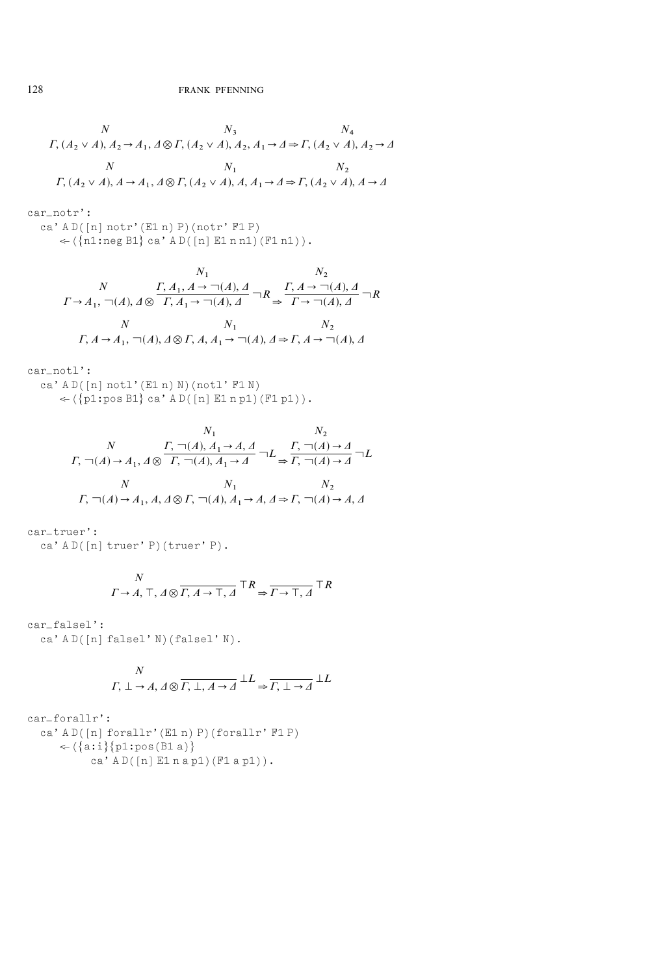$$
N
$$
  
\n
$$
N_1
$$
  
\n
$$
N_4
$$
  
\n
$$
T, (A_2 \vee A), A_2 \rightarrow A_1, \Delta \otimes \Gamma, (A_2 \vee A), A_2, A_1 \rightarrow A \Rightarrow \Gamma, (A_2 \vee A), A_2 \rightarrow A
$$
  
\n
$$
N
$$
  
\n
$$
N_1
$$
  
\n
$$
N_2
$$
  
\n
$$
T, (A_2 \vee A), A \rightarrow A_1, \Delta \otimes \Gamma, (A_2 \vee A), A, A_1 \rightarrow A \Rightarrow \Gamma, (A_2 \vee A), A \rightarrow A
$$

car\_notr':

ca' AD( $[n]$ notr' (E1n) P)(notr' F1P)  $\leftarrow (\{n1:neg\ B1\} ca' AD([n] E1 nn1) (F1 n1)).$ 

$$
N_1
$$
  
\n
$$
N_2
$$
  
\n
$$
\Gamma \to A_1, \ \neg(A), \ \mathcal{A} \otimes \overline{T, \ A_1 \to \neg(A), \ \mathcal{A}} \ \neg R \xrightarrow{r, \ \mathcal{A} \to \neg(A), \ \mathcal{A}} \neg R
$$
  
\n
$$
N
$$
  
\n
$$
N
$$
  
\n
$$
N_1
$$
  
\n
$$
N_2
$$
  
\n
$$
T, \ \mathcal{A} \to \mathcal{A}_1, \ \neg(A), \ \mathcal{A} \otimes T, \ \mathcal{A}, \ \mathcal{A}_1 \to \neg(A), \ \mathcal{A} \Rightarrow T, \ \mathcal{A} \to \neg(A), \ \mathcal{A}
$$

car\_notl': ca' AD( $[n]$ notl' $(E1 n)$ N) $(not1'$ F1N)  $\leftarrow (\text{p1:pos B1} \text{ ca'} \text{ A D([n] E1 n p1) (F1 p1))}.$ 

$$
N_1
$$
  
\n
$$
N_2
$$
  
\n
$$
N_1
$$
  
\n
$$
N_2
$$
  
\n
$$
T, \neg(A) \rightarrow A_1, \varDelta \otimes T, \neg(A), A_1 \rightarrow \varDelta \qquad \neg L \Rightarrow \overline{\Gamma, \neg(A) \rightarrow \varDelta} \neg L
$$
  
\n
$$
N
$$
  
\n
$$
N_1
$$
  
\n
$$
N_2
$$
  
\n
$$
N_1
$$
  
\n
$$
N_2
$$
  
\n
$$
T, \neg(A) \rightarrow A_1, \varDelta \otimes T, \neg(A), A_1 \rightarrow \varDelta, \varDelta \Rightarrow T, \neg(A) \rightarrow \varDelta, \varDelta
$$
  
\n
$$
T_1
$$
  
\n
$$
N_2
$$
  
\n
$$
T_3
$$
  
\n
$$
N_1
$$
  
\n
$$
N_2
$$
  
\n
$$
T_3
$$
  
\n
$$
T_4
$$
  
\n
$$
T_5
$$
  
\n
$$
T_6
$$
  
\n
$$
T_7
$$
  
\n
$$
T_8
$$
  
\n
$$
T_9
$$
  
\n
$$
T_1
$$
  
\n
$$
T_2
$$
  
\n
$$
T_3
$$
  
\n
$$
T_4
$$
  
\n
$$
T_5
$$
  
\n
$$
T_6
$$
  
\n
$$
T_7
$$
  
\n
$$
T_8
$$
  
\n
$$
T_9
$$
  
\n
$$
T_9
$$
  
\n
$$
T_1
$$
  
\n
$$
T_2
$$
  
\n
$$
T_3
$$
  
\n
$$
T_4
$$
  
\n
$$
T_5
$$
  
\n
$$
T_6
$$
  
\n
$$
T_7
$$
  
\n
$$
T_8
$$
  
\n
$$
T_9
$$
  
\n
$$
T_9
$$
  
\n
$$
T_9
$$
  
\n<

car\_truer': ca' AD([n] truer' P)(truer' P).

$$
\frac{N}{\Gamma \to A, \top, \Delta \otimes \Gamma, A \to \top, \Delta} \top R \Rightarrow \frac{}{\Gamma \to \top, \Delta} \top R
$$

car\_falsel': ca' AD([n] falsel' N)(falsel' N).

$$
\frac{N}{\Gamma, \perp \to A, \, \Delta \otimes \Gamma, \, \perp, \, A \to \Delta} \perp L \xrightarrow[\text{I}, \, \perp \to \Delta]{} \perp L
$$

$$
car_{for allr'}:\nca' AD([n] for allr'(E1 n) P)(for allr' F1 P)\n~(a:i){p1:pos(B1 a)}\nca' AD([n] E1 n ap1)(F1 ap1)).
$$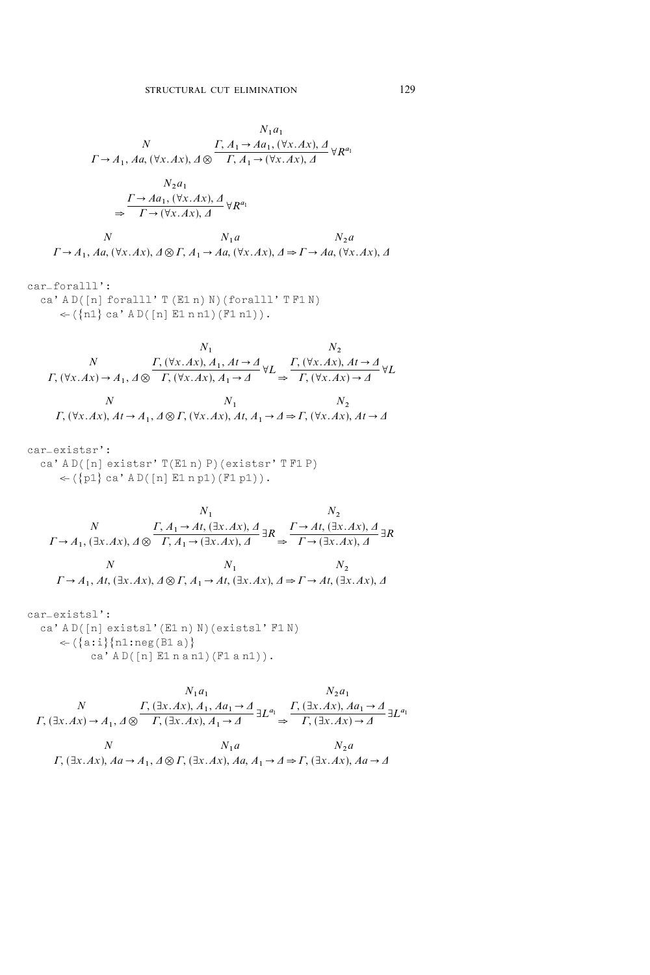$\mathbf{r}$ 

$$
N_{1}a_{1}
$$
\n
$$
\Gamma \rightarrow A_{1}, Aa, (\forall x.Ax), A \otimes T, A_{1} \rightarrow ( \forall x.Ax), A \forall R^{a_{1}}
$$
\n
$$
N_{2}a_{1}
$$
\n
$$
\Rightarrow \frac{\Gamma \rightarrow Aa_{1}, (\forall x.Ax), A}{\Gamma \rightarrow ( \forall x.Ax), A} \forall R^{a_{1}}
$$
\n
$$
\Rightarrow \frac{\Gamma \rightarrow Aa_{1}, (\forall x.Ax), A}{\Gamma \rightarrow ( \forall x.Ax), A} \forall R^{a_{1}}
$$
\n
$$
N_{1}a
$$
\n
$$
N_{2}a
$$
\n
$$
\Gamma \rightarrow A_{1}, Aa, (\forall x.Ax), A \otimes \Gamma, A_{1} \rightarrow Aa, (\forall x.Ax), A \Rightarrow \Gamma \rightarrow Aa, (\forall x.Ax), A \Rightarrow \Gamma \rightarrow Aa
$$

$$
car_{for all1':ca' AD([n] for all1' T (E1n) N) (for all1' T F1 N) ~({n1} ca' AD([n] E1 n n1) (F1 n1)).
$$

$$
N_1
$$
  
\n
$$
N_2
$$
  
\n
$$
N_1
$$
  
\n
$$
N_2
$$
  
\n
$$
N_1
$$
  
\n
$$
N_2
$$
  
\n
$$
T, (\forall x. Ax) \to A_1, A \otimes T, (\forall x. Ax), A_1 \to A \qquad \forall L \Rightarrow T, (\forall x. Ax) \to A \qquad \forall L
$$
  
\n
$$
N
$$
  
\n
$$
N_1
$$
  
\n
$$
N_2
$$
  
\n
$$
T, (\forall x. Ax) \to A \qquad \forall L \Rightarrow T, (\forall x. Ax) \to A
$$
  
\n
$$
N_2
$$
  
\n
$$
T, (\forall x. Ax) \to A \to A_1, A \otimes T, (\forall x. Ax), At, A_1 \to A \Rightarrow T, (\forall x. Ax), At \to A
$$

car\_existsr': ca' AD([n] existsr' T(E1 n) P)(existsr' TF1 P)  $\leftarrow (\text{pl} \cdot \text{ca'} \land D \mid \text{ln} \cdot E1 \text{ n p1}) \cdot (F1 \text{ p1})$ .

$$
N_1
$$
  
\n
$$
N_2
$$
  
\n
$$
\Gamma \rightarrow A_1, (\exists x. Ax), A \otimes T, A_1 \rightarrow (\exists x. Ax), A
$$
  
\n
$$
T_1 \rightarrow A_2, (\exists x. Ax), A \otimes T_2, A_1 \rightarrow (\exists x. Ax), A
$$
  
\n
$$
N_1
$$
  
\n
$$
N_2
$$
  
\n
$$
N_1
$$
  
\n
$$
N_2
$$
  
\n
$$
T_1 \rightarrow (\exists x. Ax), A \otimes T_2, A_1 \rightarrow A_2, (\exists x. Ax), A \Rightarrow T_1 \rightarrow A_2, (\exists x. Ax), A
$$

$$
\text{car}_{\text{exists}'}:
$$
\n
$$
\text{ca'} \text{AD}([\text{n}] \text{ exists1'} (\text{E1 n}) \text{N}) (\text{exists'} \text{F1 N})
$$
\n
$$
\leftarrow (\{a : i\} {\text{nl}: \text{neg(B1 a)}} \text{ca'} \text{AD}([\text{n}] \text{E1 n an1}) (\text{F1 a n1})).
$$

 $\begin{array}{c} N_1a_1\\ N_2a_1\\ \hline\\ \Gamma,(\exists x.Ax)\rightarrow A_1,\,A\otimes\overbrace{\quad\quad\quad}\, \Gamma,(\exists x.Ax),\,A_1\rightarrow A}^{N_1a_1} \exists L^{a_1}\rightarrow\overbrace{\quad\quad\quad}\, \Gamma,(\exists x.Ax),\,Aa_1\rightarrow A}^{N_2a_1} \exists L^{a_1}\\ \end{array}$ 

 $N_1a$  $N_2$ a  $\Gamma$ ,  $(\exists x.Ax)$ ,  $Aa \rightarrow A_1$ ,  $\Delta \otimes \Gamma$ ,  $(\exists x.Ax)$ ,  $Aa$ ,  $A_1 \rightarrow \Delta \Rightarrow \Gamma$ ,  $(\exists x.Ax)$ ,  $Aa \rightarrow \Delta$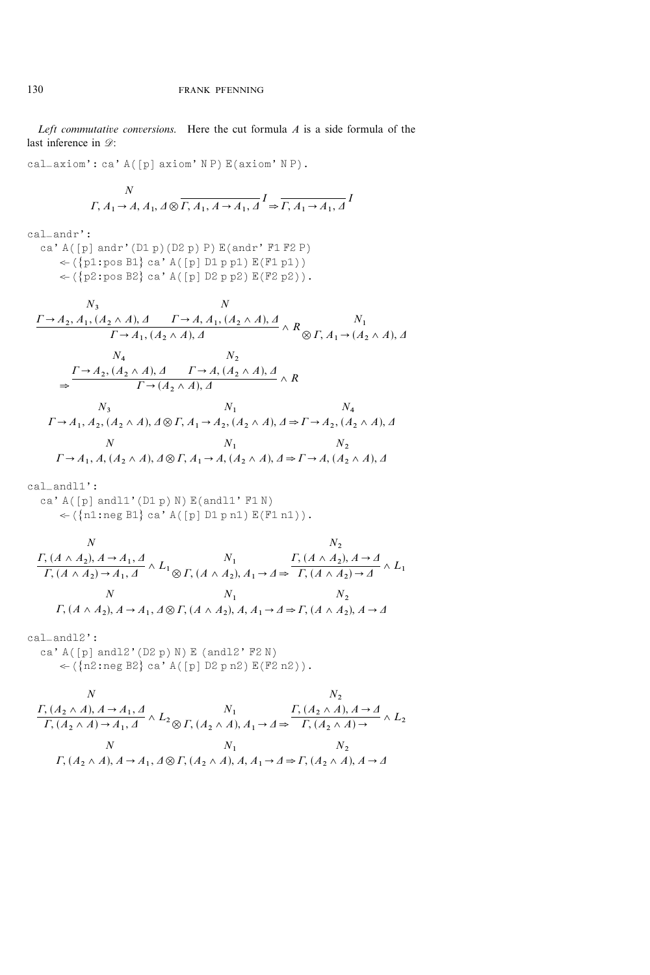Left commutative conversions. Here the cut formula  $A$  is a side formula of the last inference in  $\mathcal{D}$ :

cal\_axiom': ca' A([p] axiom' NP) E(axiom' NP).

$$
\frac{N}{\Gamma, A_1 \to A, A_1, \Delta \otimes \overline{\Gamma, A_1, A \to A_1, \Delta}} I \Rightarrow \overline{\Gamma, A_1 \to A_1, \Delta} I
$$

 $cal$ -andr': ca' A([p] andr' (D1 p) (D2 p) P) E(andr' F1 F2 P)  $\leftarrow$  ({p1:pos B1} ca' A([p] D1 p p1) E(F1 p1))  $\leftarrow$  ({p2:pos B2} ca' A([p] D2 p p2) E(F2 p2)).

 $\frac{\Gamma \rightarrow A_2, A_1, (A_2 \wedge A), \Delta \qquad \Gamma \rightarrow A, A_1, (A_2 \wedge A), \Delta}{\Gamma \rightarrow A_1, (A_2 \wedge A), \Delta} \wedge R \otimes \Gamma, A_1 \rightarrow (A_2 \wedge A), \Delta$  $\Rightarrow \frac{\Gamma \rightarrow A_2, (A_2 \wedge A), \Delta \qquad \Gamma \rightarrow A, (A_2 \wedge A), \Delta}{\Gamma \rightarrow (A_2 \wedge A), \Delta} \wedge R$  $N_{A}$  $\Gamma \to A_1, A_2, (A_2 \wedge A), \Delta \otimes \Gamma, A_1 \to A_2, (A_2 \wedge A), \Delta \Rightarrow \Gamma \to A_2, (A_2 \wedge A), \Delta$  $\Gamma \rightarrow A_1, A, (A_2 \wedge A), \Delta \otimes \Gamma, A_1 \rightarrow A, (A_2 \wedge A), \Delta \Rightarrow \Gamma \rightarrow A, (A_2 \wedge A), \Delta$ 

cal\_andl1': ca'  $A([p] and 11'(D1 p) N) E(and 11' F1 N)$  $\leftarrow$  ({n1:neg B1} ca' A([p] D1 p n1) E(F1 n1)).

$$
N
$$
\n
$$
I, (A \wedge A_2), A \rightarrow A_1, A
$$
\n
$$
I, (A \wedge A_2) \rightarrow A_1, A
$$
\n
$$
N
$$
\n
$$
N
$$
\n
$$
N
$$
\n
$$
N
$$
\n
$$
N
$$
\n
$$
N
$$
\n
$$
N
$$
\n
$$
N
$$
\n
$$
N
$$
\n
$$
N
$$
\n
$$
N
$$
\n
$$
N
$$
\n
$$
N
$$
\n
$$
N
$$
\n
$$
N
$$
\n
$$
N
$$
\n
$$
N
$$
\n
$$
N
$$
\n
$$
N
$$
\n
$$
N
$$
\n
$$
N
$$
\n
$$
N
$$
\n
$$
N
$$
\n
$$
N
$$
\n
$$
N
$$
\n
$$
N
$$
\n
$$
N
$$
\n
$$
N
$$
\n
$$
N
$$
\n
$$
N
$$
\n
$$
N
$$
\n
$$
N
$$
\n
$$
N
$$
\n
$$
N
$$
\n
$$
N
$$
\n
$$
N
$$
\n
$$
N
$$
\n
$$
N
$$
\n
$$
N
$$
\n
$$
N
$$
\n
$$
N
$$
\n
$$
N
$$
\n
$$
N
$$
\n
$$
N
$$
\n
$$
N
$$
\n
$$
N
$$
\n
$$
N
$$
\n
$$
N
$$
\n
$$
N
$$
\n
$$
N
$$
\n
$$
N
$$
\n
$$
N
$$
\n
$$
N
$$
\n
$$
N
$$
\n
$$
N
$$
\n
$$
N
$$
\n
$$
N
$$
\n
$$
N
$$
\n
$$
N
$$
\n
$$
N
$$
\n
$$
N
$$
\n
$$
N
$$
\n
$$
N
$$
\n<math display="</math>

cal\_andl2':

ca'  $A([p] \text{ and } 12'(D2 p) N) E(\text{ and } 12' F2 N)$  $\leftarrow (\{n2:neg B2\} ca' A([p] D2 p n2) E(F2 n2)).$ 

$$
N_1
$$
\n
$$
N_2
$$
\n
$$
I, (A_2 \wedge A), A \rightarrow A_1, \Delta \wedge L_2 \otimes \Gamma, (A_2 \wedge A), A_1 \rightarrow \Delta \Rightarrow \frac{\Gamma, (A_2 \wedge A), A \rightarrow \Delta}{\Gamma, (A_2 \wedge A) \rightarrow} \wedge L_2
$$
\n
$$
N
$$
\n
$$
N
$$
\n
$$
N
$$
\n
$$
N_1
$$
\n
$$
N_2
$$
\n
$$
I, (A_2 \wedge A), A \rightarrow A_1, \Delta \otimes \Gamma, (A_2 \wedge A), A, A_1 \rightarrow \Delta \Rightarrow \Gamma, (A_2 \wedge A), A \rightarrow \Delta
$$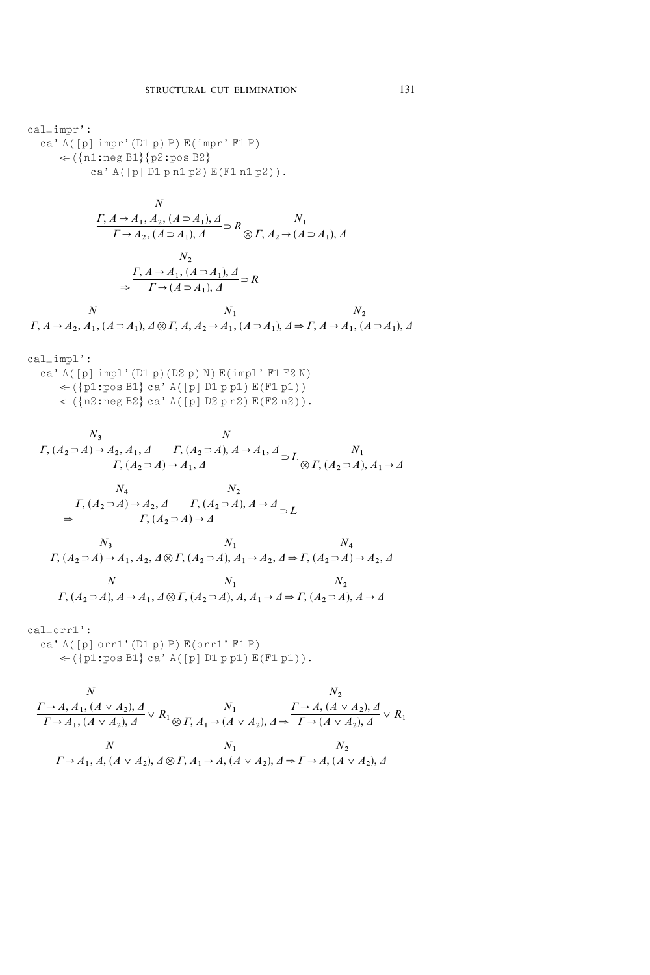$$
\begin{aligned}\n\text{cal-impr'}: \\
\text{ca'} A([p] impr'(D1 p) P) E(impr' F1 P) \\
&\lt;\quad \{ \text{nl:neg B1} \{ \text{p2:pos B2} \} \\
\text{ca'} A([p] D1 p n1 p2) E(F1 n1 p2)).\n\end{aligned}
$$

$$
\frac{N}{\Gamma, A \to A_1, A_2, (A \supseteq A_1), A} \to R \frac{N_1}{\sqrt{\Gamma \to A_2, (A \supseteq A_1), A}} \to R \otimes \Gamma, A_2 \to (A \supseteq A_1), A
$$
\n
$$
\frac{N_2}{\Rightarrow \Gamma \to (A \supseteq A_1), A} \to R
$$

N<br>  $N_1$ <br>  $N_2$ <br>  $T, A \rightarrow A_2, A_1, (A \supset A_1), A \otimes T, A, A_2 \rightarrow A_1, (A \supset A_1), A \Rightarrow T, A \rightarrow A_1, (A \supset A_1), A$ 

$$
\text{calimpl'}: \text{ca1} \text{impl'} \text{cl} \text{impl'} \text{[D1 p)} \text{([D2 p) N)} \text{E} \text{(\text{impl'} F1 F2 N)} \text{[C1 p1]} \text{[D2 p]} \text{[D1 p]} \text{[C2 p]} \text{[D1 p]} \text{[C2 p]} \text{[C1 p]} \text{[D2 p]} \text{[C2 p]} \text{[C2 p]} \text{[C2 p]} \text{[C2 p]} \text{[C2 p]} \text{[C2 p]} \text{[C2 p]} \text{[C2 p]} \text{[C2 p]} \text{[C2 p]} \text{[C2 p]} \text{[C2 p]} \text{[C2 p]} \text{[C2 p]} \text{[C2 p]} \text{[C2 p]} \text{[C2 p]} \text{[C2 p]} \text{[C2 p]} \text{[C2 p]} \text{[C2 p]} \text{[C2 p]} \text{[C2 p]} \text{[C2 p]} \text{[C2 p]} \text{[C2 p]} \text{[C2 p]} \text{[C2 p]} \text{[C2 p]} \text{[C2 p]} \text{[C2 p]} \text{[C2 p]} \text{[C2 p]} \text{[C2 p]} \text{[C2 p]} \text{[C2 p]} \text{[C2 p]} \text{[C2 p]} \text{[C2 p]} \text{[C2 p]} \text{[C2 p]} \text{[C2 p]} \text{[C2 p]} \text{[C2 p]} \text{[C2 p]} \text{[C2 p]} \text{[C2 p]} \text{[C2 p]} \text{[C2 p]} \text{[C2 p]} \text{[C2 p]} \text{[C2 p]} \text{[C2 p]} \text{[C2 p]} \text{[C2 p]} \text{[C2 p]} \text{[C2 p]} \text{[C2 p]} \text{[C2 p]} \text{[C2 p]} \text{[C2 p]} \text{[C2 p]} \text{[C2 p]} \text{[C2 p]} \text{[C2 p]} \text{[C2 p]} \text{[C2 p]} \text{[C2 p]} \text{[C2 p]} \text{[C2 p]} \text{[C2 p]} \text{[C2 p]} \text{[C2 p]} \text{[C2 p]} \text{[C2 p]} \text{[C2 p]} \text{[C2 p]} \text{[C2 p]} \text{[C
$$

$$
\frac{N_3}{\Gamma, (A_2 \supset A) \to A_2, A_1, \Delta} \frac{N}{\Gamma, (A_2 \supset A), A \to A_1, \Delta} \supset L \frac{N_1}{\mathcal{D} \Gamma, (A_2 \supset A) \to A_1, \Delta} \frac{N_1}{\Gamma, (A_2 \supset A) \to A_1, \Delta} \frac{N_2}{\Gamma, (A_2 \supset A), A_1 \to A_2}
$$

$$
N_4
$$
  
\n
$$
\Rightarrow \frac{\Gamma,(A_2 \supset A) \to A_2, \Delta \qquad \Gamma,(A_2 \supset A), \Delta \to \Delta}{\Gamma,(A_2 \supset A) \to \Delta} \to L
$$

$$
\begin{array}{c}\nN_3 & N_1 & N_4 \\
\hline\nF, (A_2 \supset A) \to A_1, A_2, \Delta \otimes F, (A_2 \supset A), A_1 \to A_2, \Delta \Rightarrow F, (A_2 \supset A) \to A_2, \Delta\n\end{array}
$$

$$
\begin{array}{ccc}\nN & N_1 & N_2 \\
\Gamma, (A_2 \supset A), A \to A_1, \Delta \otimes \Gamma, (A_2 \supset A), A, A_1 \to \Delta \Rightarrow \Gamma, (A_2 \supset A), A \to \Delta\n\end{array}
$$

$$
\text{cal\_orr1'}: \\
 \text{ca'} A([\text{p}] \text{ or } \text{r1'} (\text{D1 p}) \text{ P}) \text{ E}(\text{orr1'} \text{ F1 P}) \\
 \leftarrow (\{\text{p1:pos B1}\} \text{ ca'} A([\text{p}] \text{ D1 p p1}) \text{ E}(\text{F1 p1})).
$$

$$
N
$$
  
\n
$$
\frac{\Gamma \rightarrow A, A_1, (A \vee A_2), \Delta}{\Gamma \rightarrow A_1, (A \vee A_2), \Delta} \vee R_1 \otimes \Gamma, A_1 \rightarrow (A \vee A_2), \Delta \Rightarrow \frac{\Gamma \rightarrow A, (A \vee A_2), \Delta}{\Gamma \rightarrow (A \vee A_2), \Delta} \vee R_1
$$
  
\n
$$
N
$$
\n
$$
\Gamma \rightarrow A_1, A, (A \vee A_2), \Delta \otimes \Gamma, A_1 \rightarrow A, (A \vee A_2), \Delta \Rightarrow \Gamma \rightarrow A, (A \vee A_2), \Delta
$$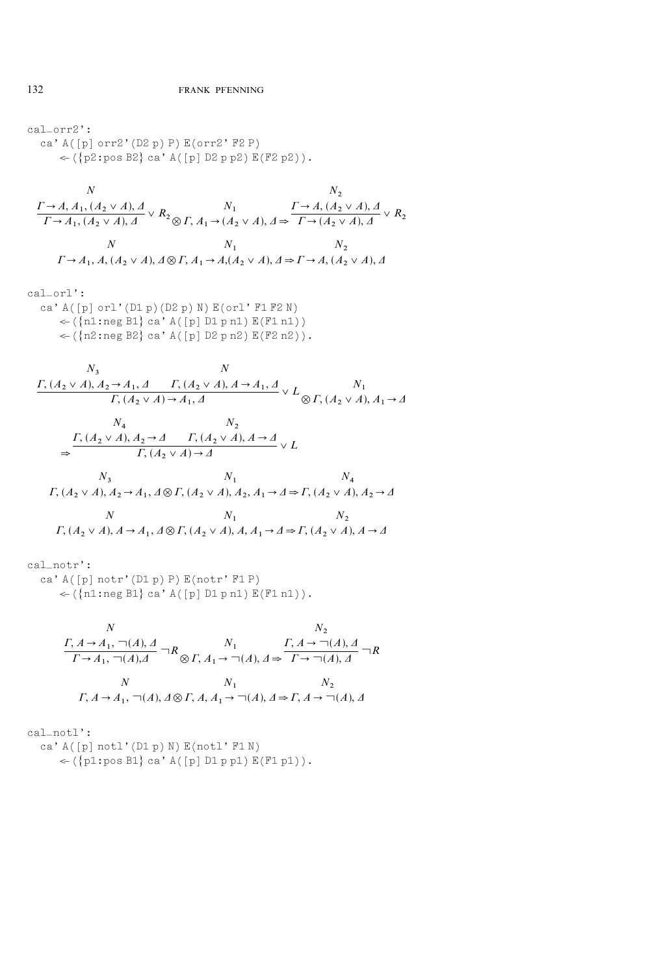cal\_orr2': ca' A([p] orr2' (D2 p) P) E(orr2' F2 P)  $\leftarrow$  ({p2:pos B2} ca' A([p] D2 p p2) E(F2 p2)).

$$
N
$$
  
\n
$$
\frac{\Gamma \to A, A_1, (A_2 \lor A), A}{\Gamma \to A_1, (A_2 \lor A), A} \lor R_2 \otimes \Gamma, A_1 \to (A_2 \lor A), A \Rightarrow \frac{\Gamma \to A, (A_2 \lor A), A}{\Gamma \to (A_2 \lor A), A} \lor R_2
$$
  
\n
$$
N
$$
  
\n
$$
\frac{N}{\Gamma \to A_1, A, (A_2 \lor A), A \otimes \Gamma, A_1 \to A, (A_2 \lor A), A \Rightarrow \Gamma \to A, (A_2 \lor A), A}
$$

$$
\text{cal\_orl'}: \text{ca'} A([p] \text{ or } l' (D1 p) (D2 p) N) E(\text{orl'} F1 F2 N) < (\{n1 \text{:neg } B1\} \text{ca'} A([p] D1 p n1) E(F1 n1)) < (\{n2 \text{:neg } B2\} \text{ca'} A([p] D2 p n2) E(F2 n2)).
$$

$$
\frac{N_3}{\Gamma, (A_2 \vee A), A_2 \to A_1, \Delta} \xrightarrow{\Gamma} \frac{N}{\Gamma, (A_2 \vee A), A \to A_1, \Delta} \vee L \xrightarrow{\Gamma} \frac{N_1}{\Gamma, (A_2 \vee A) \to A_1, \Delta} \times \frac{N_2}{\Gamma, (A_2 \vee A), A_2 \to \Delta} \xrightarrow{\Gamma} \frac{N_2}{\Gamma, (A_2 \vee A) \to \Delta} \vee L
$$

$$
N_3
$$
  
\n
$$
N_1
$$
  
\n
$$
N_4
$$
  
\n
$$
T, (A_2 \vee A), A_2 \rightarrow A_1, \Delta \otimes \Gamma, (A_2 \vee A), A_2, A_1 \rightarrow A \Rightarrow \Gamma, (A_2 \vee A), A_2 \rightarrow A
$$
  
\n
$$
N
$$
  
\n
$$
N_1
$$
  
\n
$$
N_2
$$
  
\n
$$
T, (A_2 \vee A), A \rightarrow A_1, \Delta \otimes \Gamma, (A_2 \vee A), A, A_1 \rightarrow A \Rightarrow \Gamma, (A_2 \vee A), A \rightarrow A
$$

$$
\begin{aligned}\n\text{cal}=\text{notr'}: \\
\text{ca'} A([p] \text{ notr'} (D1 p) P) E(\text{notr'} F1 P) \\
&\lt;\text{(fn1:neg B1} \text{ca'} A([p] D1 p n1) E(F1 n1)).\n\end{aligned}
$$

$$
N
$$
  
\n
$$
\frac{\Gamma, A \to A_1, \neg(A), A}{\Gamma \to A_1, \neg(A), A} \neg R
$$
  
\n
$$
N
$$
  
\n
$$
N
$$
  
\n
$$
N
$$
  
\n
$$
N
$$
  
\n
$$
N
$$
  
\n
$$
N
$$
  
\n
$$
N
$$
  
\n
$$
N
$$
  
\n
$$
N
$$
  
\n
$$
N
$$
  
\n
$$
N
$$
  
\n
$$
N
$$
  
\n
$$
N
$$
  
\n
$$
N
$$
  
\n
$$
N
$$
  
\n
$$
N
$$
  
\n
$$
N
$$
  
\n
$$
N
$$
  
\n
$$
N
$$
  
\n
$$
N
$$
  
\n
$$
N
$$
  
\n
$$
N
$$
  
\n
$$
N
$$
  
\n
$$
N
$$
  
\n
$$
N
$$
  
\n
$$
N
$$
  
\n
$$
N
$$
  
\n
$$
N
$$
  
\n
$$
N
$$
  
\n
$$
N
$$
  
\n
$$
N
$$
  
\n
$$
N
$$
  
\n
$$
N
$$
  
\n
$$
N
$$
  
\n
$$
N
$$
  
\n
$$
N
$$
  
\n
$$
N
$$
  
\n
$$
N
$$
  
\n
$$
N
$$
  
\n
$$
N
$$
  
\n
$$
N
$$
  
\n
$$
N
$$
  
\n
$$
N
$$
  
\n
$$
N
$$
  
\n
$$
N
$$
  
\n
$$
N
$$
  
\n
$$
N
$$
  
\n
$$
N
$$
  
\n
$$
N
$$
  
\n
$$
N
$$
  
\n
$$
N
$$
  
\n
$$
N
$$
  
\n
$$
N
$$
  
\n
$$
N
$$
  
\n<math display="</math>

$$
\text{cal\_notl'}: \text{ca'} \text{A([p] notl'(D1 p) N) E(notl' F1 N)} \leftarrow (\{p1:pos B1\} ca' A([p] D1 pp1) E(F1 p1)).
$$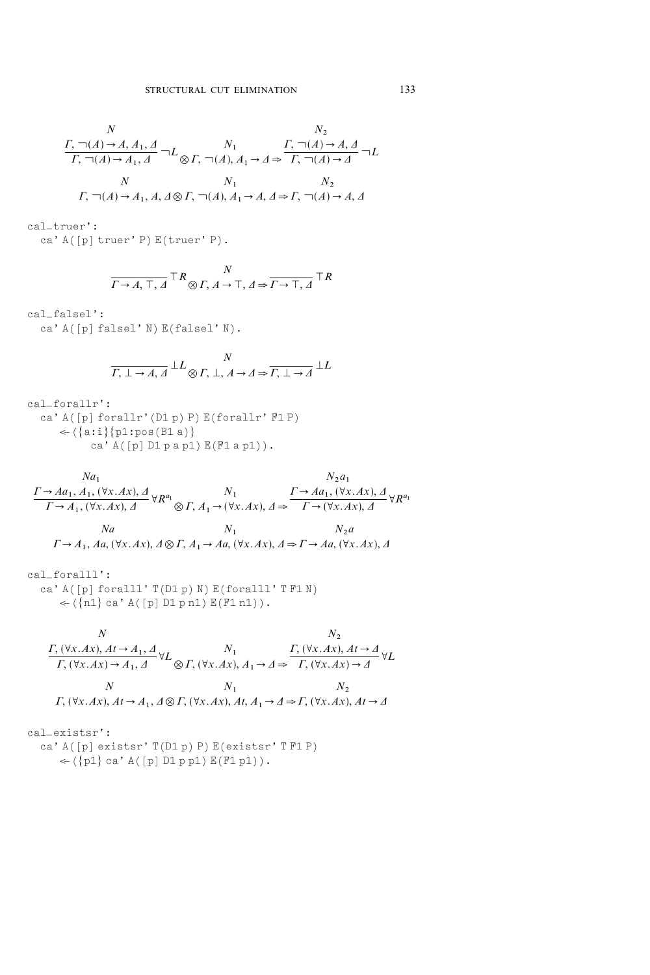$$
N
$$
  
\n
$$
\frac{\Gamma, \neg(A) \to A, A_1, \Delta}{\Gamma, \neg(A) \to A_1, \Delta} \neg L \underset{\bigotimes \Gamma, \neg(A), A_1 \to \Delta}{N_1} \xrightarrow{I, \neg(A) \to A, \Delta} \neg L
$$
  
\n
$$
N
$$
  
\n
$$
\frac{N}{\Gamma, \neg(A) \to A_1, A, \Delta \otimes \Gamma, \neg(A), A_1 \to A, \Delta \Rightarrow \Gamma, \neg(A) \to A, \Delta}
$$
  
\n
$$
N_1
$$
  
\n
$$
N_2
$$
  
\n
$$
\Gamma, \neg(A) \to A_1, A, \Delta \otimes \Gamma, \neg(A), A_1 \to A, \Delta \Rightarrow \Gamma, \neg(A) \to A, \Delta
$$

cal\_truer':

ca' A([p] truer' P) E(truer' P).

$$
\overline{\Gamma \to A, \top, \Delta} \top R \otimes \Gamma, A \to \top, \Delta \Rightarrow \overline{\Gamma \to \top, \Delta} \top R
$$

$$
\frac{N}{\Gamma, \perp \to A, \perp} \perp L \otimes \Gamma, \perp, A \to A \Rightarrow \overline{\Gamma, \perp \to A} \perp L
$$

cal\_forallr': ca' A([p] forallr' (D1 p) P) E(forallr' F1 P)  $\leftarrow (\{a:i\} \{p1:pos(B1 a)\})$ ca' A([p] D1 p a p1) E(F1 a p1)).

$$
Na_1
$$
\n
$$
\frac{N_2 a_1}{\Gamma \to A_1, (\forall x. Ax), \Delta} \forall R^{a_1} \otimes \Gamma, A_1 \to (\forall x. Ax), \Delta \to \frac{\Gamma \to A a_1, (\forall x. Ax), \Delta}{\Gamma \to (\forall x. Ax), \Delta} \forall R^{a_1}
$$
\n
$$
Na
$$
\n
$$
Na
$$
\n
$$
\frac{N_1}{\Gamma \to A_1, Aa, (\forall x. Ax), \Delta \otimes \Gamma, A_1 \to Aa, (\forall x. Ax), \Delta \to \Gamma \to Aa, (\forall x. Ax), \Delta
$$

cal\_foralll': ca' A([p] foralll' T(D1 p) N) E(foralll' TF1 N)  $\leftarrow (\{n1\} ca' A([p] D1 p n1) E(Fln1)).$ 

$$
N
$$
  
\n
$$
\frac{N_2}{\Gamma, (\forall x.Ax), At \to A_1, \Delta} \forall L
$$
  
\n
$$
\frac{N_1}{\Gamma, (\forall x.Ax) \to A_1, \Delta} \forall L
$$
  
\n
$$
\frac{N_1}{\Gamma, (\forall x.Ax), At \to \Delta} \frac{\Gamma, (\forall x.Ax), At \to \Delta}{\Gamma, (\forall x.Ax) \to \Delta} \forall L
$$
  
\n
$$
N
$$
  
\n
$$
\frac{N_1}{\Gamma, (\forall x.Ax), At \to \Delta} \frac{N_2}{\Gamma, (\forall x.Ax), At \to \Delta}
$$

cal\_existsr': ca' A([p] existsr' T(D1p) P) E(existsr' TF1P)  $\leftarrow (\text{p1} \text{ ca'} \text{A} (\text{p} \text{ D1 p p1}) \text{ E} (\text{F1 p1})).$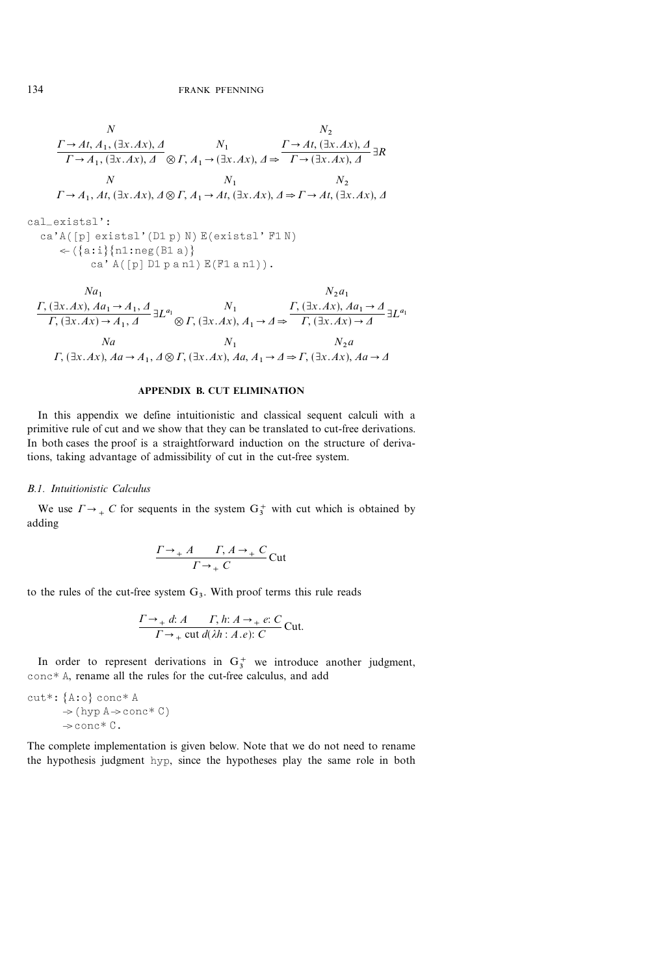$$
N
$$
\n
$$
\frac{\Gamma \rightarrow At, A_1, (\exists x.Ax), A}{\Gamma \rightarrow A_1, (\exists x.Ax), A} \otimes \Gamma, A_1 \rightarrow (\exists x.Ax), A \Rightarrow \Gamma \rightarrow At, (\exists x.Ax), A \exists R
$$
\n
$$
N
$$
\n
$$
\frac{\Gamma}{\Gamma} \rightarrow A_1, At, (\exists x.Ax), A \otimes \Gamma, A_1 \rightarrow (\exists x.Ax), A \Rightarrow \Gamma \rightarrow At, (\exists x.Ax), A
$$
\n
$$
\frac{\Gamma}{\Gamma} \rightarrow A_1, At, (\exists x.Ax), A \otimes \Gamma, A_1 \rightarrow At, (\exists x.Ax), A \Rightarrow \Gamma \rightarrow At, (\exists x.Ax), A
$$
\ncal\_e xistsl':  
\nca' A([p] exists1' (D1 p) N) E(existsl' F1 N)  
\n
$$
\leftarrow (\{a:i\} \{n1:neg(B1 a)\}
$$
\nca' A([p] D1 p a n1) E(F1 a n1)).\n
$$
N_1
$$
\n
$$
\frac{\Gamma, (\exists x.Ax), Aa_1 \rightarrow A_1, A}{\Gamma, (\exists x.Ax) \rightarrow A_1, A} \exists L^{a_1} \qquad N_1
$$
\n
$$
\frac{\Gamma, (\exists x.Ax), Aa_1 \rightarrow A}{\Gamma, (\exists x.Ax) \rightarrow A_1, A} \otimes \Gamma, (\exists x.Ax), A_1 \rightarrow A \Rightarrow \Gamma, (\exists x.Ax), Aa \rightarrow A
$$
\n
$$
N_1
$$
\n
$$
N_2 a
$$
\n
$$
\Gamma, (\exists x.Ax), Aa \rightarrow A_1, A \otimes \Gamma, (\exists x.Ax), Aa, A_1 \rightarrow A \Rightarrow \Gamma, (\exists x.Ax), Aa \rightarrow A
$$

#### **APPENDIX B. CUT ELIMINATION**

In this appendix we define intuitionistic and classical sequent calculi with a primitive rule of cut and we show that they can be translated to cut-free derivations. In both cases the proof is a straightforward induction on the structure of derivations, taking advantage of admissibility of cut in the cut-free system.

#### **B.1.** Intuitionistic Calculus

We use  $\Gamma \rightarrow$   $\rightarrow$  C for sequents in the system G<sub>3</sub><sup>+</sup> with cut which is obtained by adding

$$
\frac{\Gamma \to_+ A \qquad \Gamma, A \to_+ C}{\Gamma \to_+ C}
$$
Cut

to the rules of the cut-free system  $G_3$ . With proof terms this rule reads

$$
\frac{\Gamma \to_+ d: A \qquad \Gamma, h: A \to_+ e: C}{\Gamma \to_+ \text{cut } d(\lambda h: A.e): C} \text{Cut}.
$$

In order to represent derivations in  $G_3^+$  we introduce another judgment, conc\* A, rename all the rules for the cut-free calculus, and add

$$
\begin{aligned} \text{cut}^* : \{ \text{A} : \text{o} \} \text{ conc}^* \text{ A} \\ &\rightarrow (\text{hyp A} \rightarrow \text{conc}^* \text{ C}) \\ &\rightarrow \text{conc}^* \text{ C}. \end{aligned}
$$

The complete implementation is given below. Note that we do not need to rename the hypothesis judgment hyp, since the hypotheses play the same role in both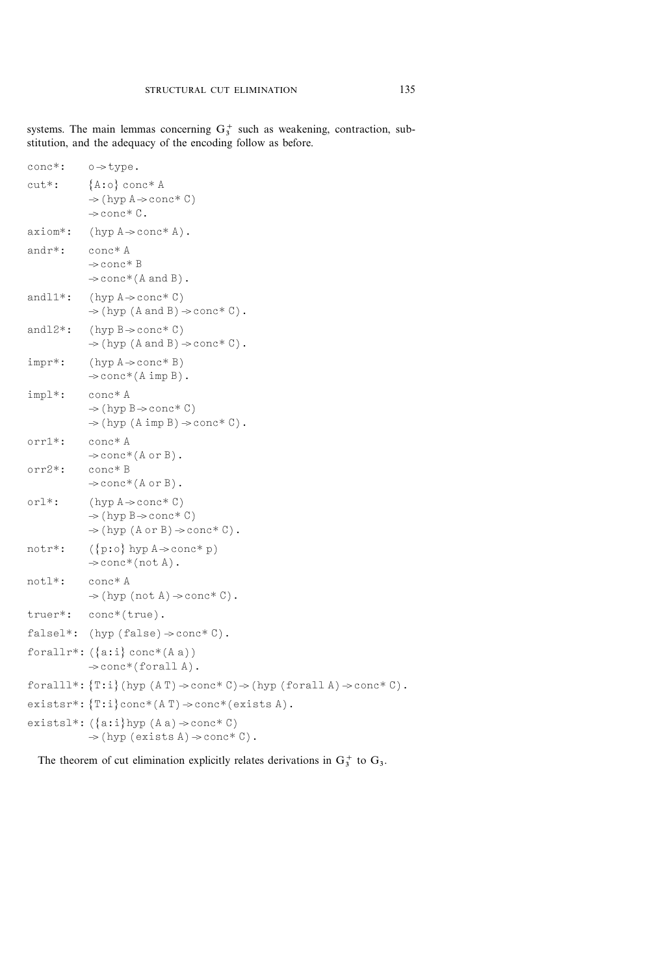systems. The main lemmas concerning  $G_3^+$  such as weakening, contraction, substitution, and the adequacy of the encoding follow as before.

| $cone^*$ : $o \rightarrow type$ . |                                                                                                                                      |
|-----------------------------------|--------------------------------------------------------------------------------------------------------------------------------------|
|                                   | cut*: ${A: \circ}$ conc* A<br>$\Rightarrow$ (hyp A $\Rightarrow$ conc* C)<br>$\rightarrow$ conc* $C$ .                               |
|                                   | $axiom^*: (hyp A \rightarrow conc^* A).$                                                                                             |
| and $r^*$ :                       | conc* A<br>$\rightarrow$ conc* B<br>$\Rightarrow$ conc*(A and B).                                                                    |
| and $11*$ :                       | (hyp A⇒conc* C)<br>$\Rightarrow$ (hyp (A and B) $\Rightarrow$ conc* C).                                                              |
| and $12*$ :                       | (hyp B⇒conc* C)<br>$\Rightarrow$ (hyp (A and B) $\Rightarrow$ conc* C).                                                              |
| impr*:                            | $(hyp A \rightarrow conc * B)$<br>$\rightarrow$ conc*(A imp B).                                                                      |
| $imp1*$ :                         | conc* A<br>$\Rightarrow$ (hyp B $\Rightarrow$ conc* C)<br>$\Rightarrow$ (hyp (A imp B) $\Rightarrow$ conc* C).                       |
| $\text{orr1*}:$                   | conc* A                                                                                                                              |
| $orr2*$ :                         | $\rightarrow$ conc*(A or B).<br>conc* B<br>$\rightarrow$ conc*(A or B).                                                              |
| $or 1*$ :                         | $(hyp A \rightarrow cone * C)$<br>$\Rightarrow$ (hyp B $\Rightarrow$ conc* C)<br>$\Rightarrow$ (hyp (A or B) $\Rightarrow$ conc* C). |
| notr*:                            | $({p: o} \nvert p; \neg p)$<br>$\rightarrow$ conc*(not A).                                                                           |
| notl*:                            | conc* A<br>$\Rightarrow$ (hyp (not A) $\Rightarrow$ conc* C).                                                                        |
|                                   | truer*: conc*(true).                                                                                                                 |
|                                   | falsel*: $(hyp (false) \rightarrow conc* C)$ .                                                                                       |
|                                   | forallr*: $(\{a:i\}$ conc* $(A a))$<br>$\Rightarrow$ conc*(forall A).                                                                |
|                                   | foralll*: ${T : i}(hyp (AT) \rightarrow conc* C) \rightarrow (hyp (for all A) \rightarrow conc* C)$ .                                |
|                                   | existsr*: ${T:i} \cong (A T) \rightarrow \text{conc*} (\text{exists } A)$ .                                                          |
|                                   | existsl*: $({a:i}$ hyp $(Aa) \rightarrow conc*C)$<br>$\Rightarrow$ (hyp (exists A) $\Rightarrow$ conc* C).                           |

The theorem of cut elimination explicitly relates derivations in  $G_3^+$  to  $G_3$ .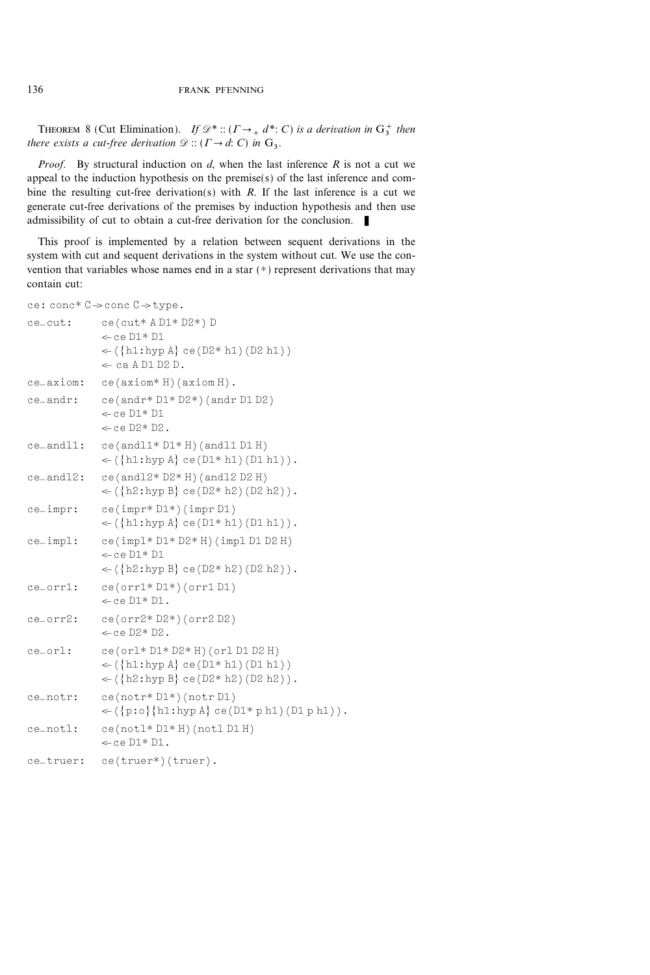THEOREM 8 (Cut Elimination). If  $\mathscr{D}^*$  ::  $(\Gamma \rightarrow \{ +d^* : C)$  is a derivation in  $G_3^+$  then there exists a cut-free derivation  $\mathcal{D}$  ::  $(\Gamma \rightarrow d: C)$  in  $G_3$ .

*Proof.* By structural induction on  $d$ , when the last inference  $R$  is not a cut we appeal to the induction hypothesis on the premise(s) of the last inference and combine the resulting cut-free derivation(s) with  $R$ . If the last inference is a cut we generate cut-free derivations of the premises by induction hypothesis and then use admissibility of cut to obtain a cut-free derivation for the conclusion.  $\blacksquare$ 

This proof is implemented by a relation between sequent derivations in the system with cut and sequent derivations in the system without cut. We use the convention that variables whose names end in a star (\*) represent derivations that may contain cut:

```
ce: conc* C⇒conc C⇒type.
ce_{\text{cut}}: ce(\text{cut} * AD1 * D2*) D
              \leftarrow ce D1* D1
              \leftarrow ({h1:hyp A} ce(D2* h1)(D2 h1))
              \leftarrow ca A D1 D2 D.
ceaxiom: ce(axiom* H)(axiom H).
ce_andr: ce(andr*D1*D2*)(andrDID2)\leftarrow ce D1* D1
              \leftarrow ce D2* D2.
ce_andl1: ce(andl1*D1*H)(andl1D1H)
              \leftarrow ({h1:hyp A} ce(D1* h1)(D1 h1)).
ce\_and12: ce(and12*D2*H)(and12 D2 H)\leftarrow ({h2:hyp B} ce(D2* h2)(D2 h2)).
ceimpr: ce(impr* D1*)(impr D1)
              \leftarrow ({h1:hyp A} ce(D1* h1)(D1 h1)).
ce_impl: ce(\text{impl* } D1* D2* H)(\text{impl D1 } D2 H)\leftarrow ce D1* D1
              \leftarrow ({h2:hyp B} ce(D2* h2)(D2 h2)).
ce_orr1: ce(orr1*D1*)(orr1D1)
              \leftarrow ce D1* D1.
ce\_orr2: ce(orr2 * D2*) (orr2 D2)\leftarrow ce D2* D2.
ce\_or1: ce(or1 * D1 * D2 * H)(or1 D1 D2 H)\leftarrow ({h1:hyp A} ce(D1* h1)(D1 h1))
              \leftarrow ({h2:hyp B} ce(D2* h2)(D2 h2)).
cenotr: ce(notr* D1*)(notr D1)
              \leftarrow ({p:o}{h1:hyp A} ce(D1* p h1)(D1 p h1)).
ce_notl: ce(notl* D1* H)(notl D1 H)
              \leftarrow ce D1* D1.
ce_truer: ce(truer*)(truer).
```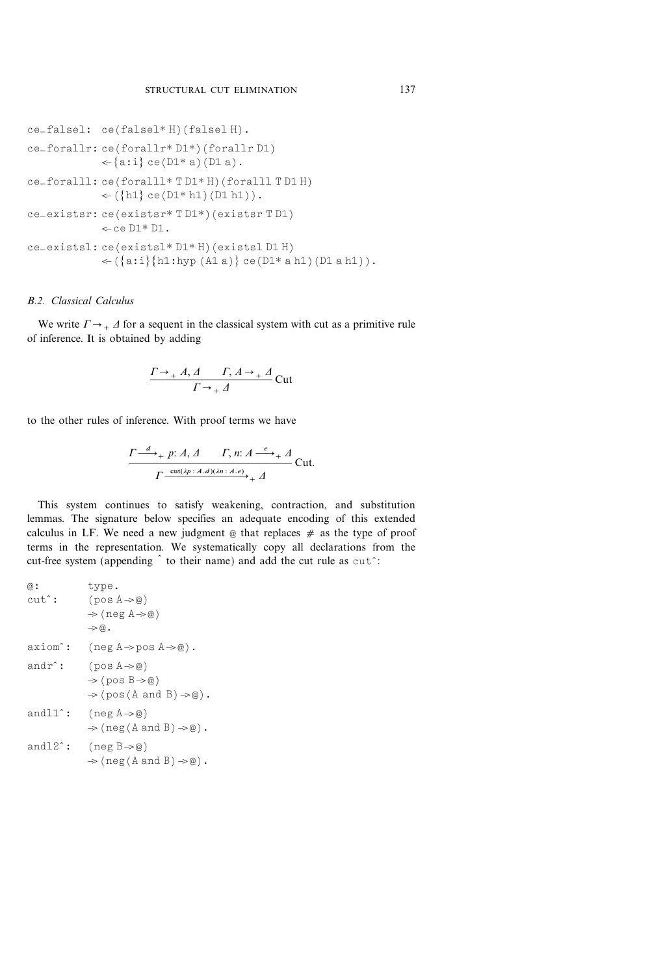cefalsel: ce(falsel\* H)(falsel H). ceforallr: ce(forallr\* D1\*)(forallr D1) <&[a:i] ce(D1\* a)(D1 a). ceforalll: ce(foralll\* T D1\* H)(foralll T D1 H) <&([h1] ce(D1\* h1)(D1 h1)). ceexistsr: ce(existsr\* T D1\*)(existsr T D1) <&ce D1\* D1. ceexistsl: ce(existsl\* D1\* H)(existsl D1 H) <&([a:i][h1:hyp (A1 a)] ce(D1\* a h1)(D1 a h1)).

## B.2. Classical Calculus

We write  $\Gamma \rightarrow \Lambda$  for a sequent in the classical system with cut as a primitive rule of inference. It is obtained by adding

$$
\frac{\Gamma \rightarrow_+ A, \Delta \qquad \Gamma, A \rightarrow_+ \Delta}{\Gamma \rightarrow_+ \Delta}
$$
Cut

to the other rules of inference. With proof terms we have

$$
\frac{\Gamma \xrightarrow{d} p: A, \Delta \qquad \Gamma, n: A \xrightarrow{e} A}{\Gamma \xrightarrow{cut(\lambda p: A.d)(\lambda n: A.e)} A} \text{Cut}.
$$

This system continues to satisfy weakening, contraction, and substitution lemmas. The signature below specifies an adequate encoding of this extended calculus in LF. We need a new judgment  $\omega$  that replaces  $#$  as the type of proof terms in the representation. We systematically copy all declarations from the cut-free system (appending  $\hat{ }$  to their name) and add the cut rule as  $cut \hat{ }$ :

| @:<br>$cut$ :           | type.<br>$(pos A \rightarrow \textcircled{a})$<br>$\Rightarrow$ (neg A $\Rightarrow$ @)<br>$\Rightarrow$ $\omega$ .             |
|-------------------------|---------------------------------------------------------------------------------------------------------------------------------|
| axiom <sup>o</sup> :    | $(neg A \rightarrow pos A \rightarrow @)$ .                                                                                     |
| andr^:                  | $(pos A \rightarrow \textcircled{a})$<br>$\Rightarrow$ (pos B $\Rightarrow$ @)<br>$\Rightarrow$ (pos(A and B) $\Rightarrow$ @). |
| andl1^:                 | $(neg A \rightarrow \textcircled{a})$<br>$\Rightarrow$ (neg (A and B) $\Rightarrow$ @).                                         |
| and $12$ <sup>o</sup> : | $(neg\ B \rightarrow \emptyset)$<br>$\Rightarrow$ (neg (A and B) $\Rightarrow$ @).                                              |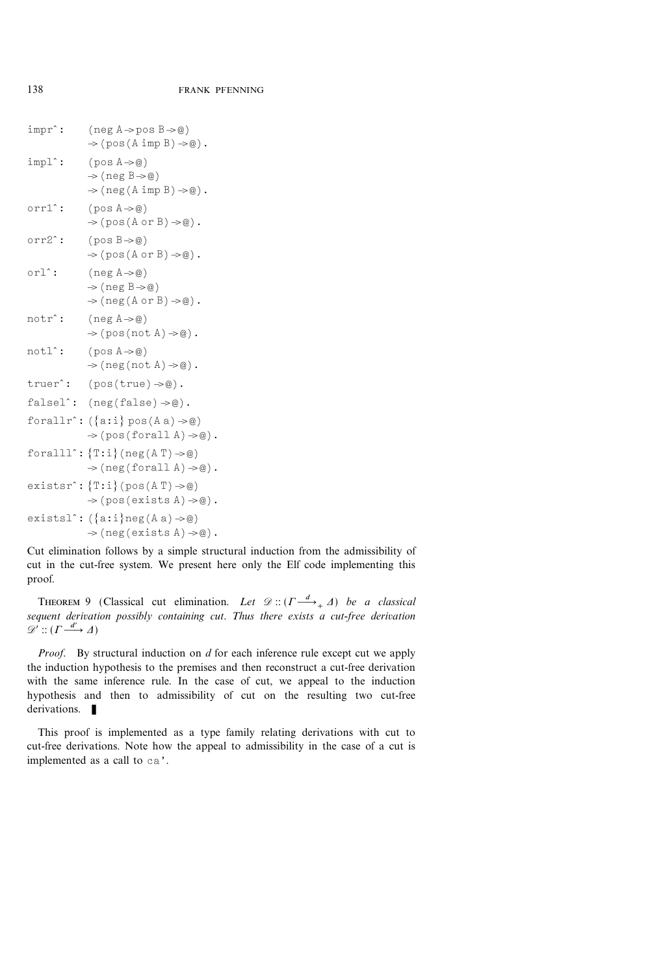| impr <sup>o</sup> :  | $(neg A \rightarrow pos B \rightarrow @)$<br>$\Rightarrow$ (pos(A imp B) $\Rightarrow$ @).                                      |
|----------------------|---------------------------------------------------------------------------------------------------------------------------------|
| impl^:               | $(pos A \rightarrow \textcircled{a})$<br>$\Rightarrow$ (neg B $\Rightarrow$ @)<br>$\Rightarrow$ (neg(A imp B) $\Rightarrow$ @). |
| orr1^:               | $(pos A \rightarrow \textcircled{a})$<br>$\Rightarrow$ (pos(A or B) $\Rightarrow$ @).                                           |
| orr2^:               | $(pos B \rightarrow \varpi)$<br>$\Rightarrow$ (pos(A or B) $\Rightarrow$ @).                                                    |
| orl^:                | $(neg A \rightarrow \textcircled{a})$<br>$\Rightarrow$ (neg B $\Rightarrow$ @)<br>$\Rightarrow$ (neg(A or B) $\Rightarrow$ @).  |
| notr^:               | $(neg A \rightarrow \textcircled{a})$<br>$\Rightarrow$ (pos(not A) $\Rightarrow$ @).                                            |
| notl^:               | $(pos A \rightarrow \textcircled{a})$<br>$\Rightarrow$ (neg (not A) $\Rightarrow$ @).                                           |
| truer <sup>o</sup> : | $(pos(true) \rightarrow @).$                                                                                                    |
| falsel^:             | $(neg(false) \rightarrow \textcircled{a}).$                                                                                     |
|                      | forallr <sup>*</sup> : ({a:i} pos(A a) $\rightarrow \textcircled{a}$ )<br>$\Rightarrow$ (pos(forall A) $\Rightarrow$ @).        |
|                      | foralll': ${T:i} (neg(A T) \rightarrow \textcircled{a})$<br>$\Rightarrow$ (neg(forall A) $\Rightarrow$ @).                      |
|                      | $exists r': \{T:i\} (pos(A T) \rightarrow \textcircled{a})$<br>$\Rightarrow$ (pos(exists A) $\Rightarrow$ @).                   |
|                      | existsl^: $(\{a:i\}$ neg $(A a) \rightarrow \emptyset)$<br>$\Rightarrow$ (neg (exists A) $\Rightarrow$ @).                      |

Cut elimination follows by a simple structural induction from the admissibility of cut in the cut-free system. We present here only the Elf code implementing this proof.

THEOREM 9 (Classical cut elimination. Let  $\mathscr{D}$  ::  $(\Gamma \stackrel{d}{\longrightarrow}_+ \Delta)$  be a classical sequent derivation possibly containing cut. Thus there exists a cut-free derivation  $\mathscr{D}' :: (\Gamma \longrightarrow^{d'} \mathscr{A})$ 

Proof. By structural induction on d for each inference rule except cut we apply the induction hypothesis to the premises and then reconstruct a cut-free derivation with the same inference rule. In the case of cut, we appeal to the induction hypothesis and then to admissibility of cut on the resulting two cut-free derivations.  $\blacksquare$ 

This proof is implemented as a type family relating derivations with cut to cut-free derivations. Note how the appeal to admissibility in the case of a cut is implemented as a call to ca'.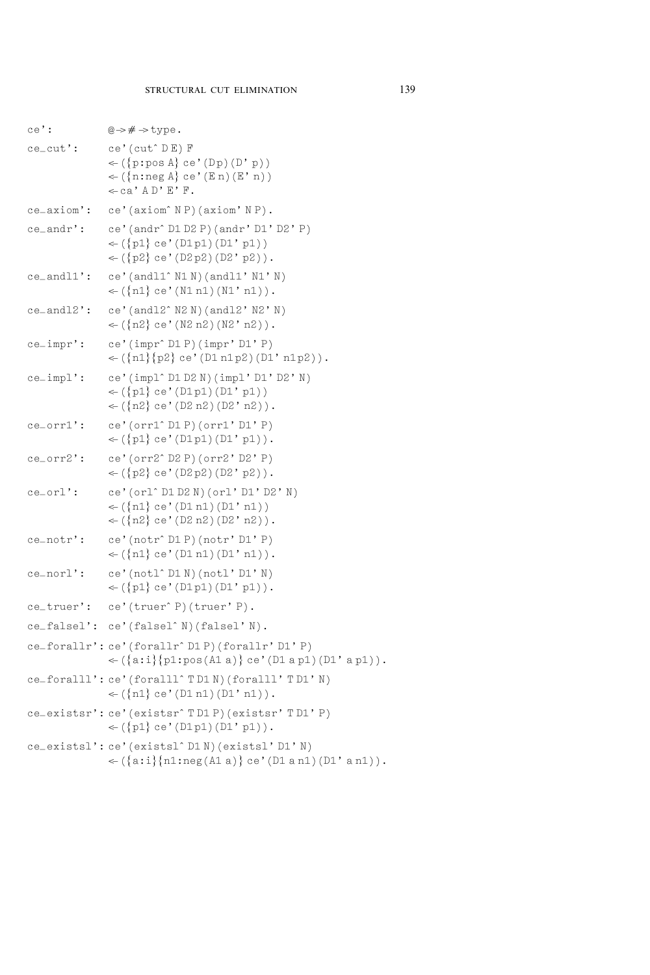| $ce$ :          | $@{\rightarrow} \# \rightarrow \text{type}.$                                                                                                   |
|-----------------|------------------------------------------------------------------------------------------------------------------------------------------------|
| $ce_{cut}$ :    | ce'(cut^DE)F                                                                                                                                   |
|                 | $\leftarrow$ ({p:pos A} ce'(Dp)(D'p))<br>$\leftarrow$ ({n:neg A} ce'(En)(E'n))                                                                 |
|                 | $\leftarrow$ ca' AD' E' F.                                                                                                                     |
|                 | ce_axiom': ce'(axiom^NP)(axiom'NP).                                                                                                            |
| ce_andr':       | ce'(andr^D1D2P)(andr'D1'D2'P)<br>$\leftarrow (\text{p1} \text{ ce'} (\text{D1p1}) (\text{D1'} \text{p1}))$                                     |
|                 | $\leftarrow (\{p2\} ce'(D2p2)(D2'p2)).$                                                                                                        |
| ce_andl1':      | ce'(andl1^ N1 N)(andl1' N1' N)<br>$\leftarrow (\text{ln1} \text{ ce'} (\text{N1 n1}) (\text{N1'} \text{ n1})).$                                |
|                 |                                                                                                                                                |
| $ce\_and12$ ':  | ce'(andl2^ $N2 N$ )(andl2' $N2 N$ )<br>$\leftarrow (\{n2\}$ ce'(N2 n2)(N2' n2)).                                                               |
| $ce\_impr$ :    | ce'(impr^D1P)(impr'D1'P)                                                                                                                       |
|                 | $\leftarrow (\{n1\}\{p2\}$ ce'(D1 n1p2)(D1' n1p2)).                                                                                            |
| $ce\_imp1$ :    | ce'(impl^D1D2N)(impl'D1'D2'N)                                                                                                                  |
|                 | $\leftarrow (\text{p1} \text{ ce'} (\text{D1p1}) (\text{D1'} \text{p1}))$<br>$\leftarrow (\{n2\} \text{ ce'} (\text{D2 n2}) (\text{D2'} n2)).$ |
| $ce_{corr1}'$ : | ce'(orr1' D1 P)(orr1' D1' P)                                                                                                                   |
|                 | $\leftarrow (\text{p1} \text{ ce'} (\text{D1p1}) (\text{D1'} \text{p1})).$                                                                     |
| $ce_{corr2}$ :  | ce'(orr2^D2P)(orr2'D2'P)                                                                                                                       |
|                 | $\leftarrow (\{p2\} ce'(D2p2)(D2'p2)).$                                                                                                        |
| $ce_{-}$ orl':  | ce'(orl'D1D2N)(orl'D1'D2'N)                                                                                                                    |
|                 | $\leftarrow (\{n1\} ce'(D1 n1)(D1' n1))$<br>$\leftarrow (\{n2\} \text{ ce'} (\text{D2 n2}) (\text{D2'} n2)).$                                  |
| ce_notr':       | ce'(notr' D1 P) (notr' D1' P)                                                                                                                  |
|                 | $\leftarrow (\{n1\} ce'(D1 n1)(D1' n1)).$                                                                                                      |
| ce_norl':       | ce'(notl'D1 $N$ )(notl'D1' $N$ )                                                                                                               |
|                 | $\leftarrow (\text{p1} \text{ ce'} (\text{D1p1}) (\text{D1'} \text{p1})).$                                                                     |
|                 | $ce_{t}$ ruer': ce'(truer $\text{P}$ )(truer' $\text{P}$ ).                                                                                    |
|                 | ce_falsel': ce'(falsel'N)(falsel'N).                                                                                                           |
|                 | ce_forallr': ce'(forallr'D1P)(forallr'D1'P)                                                                                                    |
|                 | $\leftarrow$ ({a:i}{p1:pos(A1 a)} ce'(D1 a p1)(D1' a p1)).                                                                                     |
|                 | ce_foralll': ce'(foralll'TD1N)(foralll'TD1'N)<br>$\leftarrow (\{n1\} ce'(D1 n1)(D1' n1)).$                                                     |
|                 | ce_existsr': ce'(existsr'TD1P)(existsr'TD1'P)                                                                                                  |
|                 | $\leftarrow (\text{p1} \text{ ce'} (\text{D1p1}) (\text{D1'} \text{p1})).$                                                                     |
|                 | ce_existsl': ce'(existsl'D1N)(existsl'D1'N)                                                                                                    |
|                 | $\leftarrow$ ({a:i}{n1:neg(A1 a)} ce'(D1 a n1)(D1' a n1)).                                                                                     |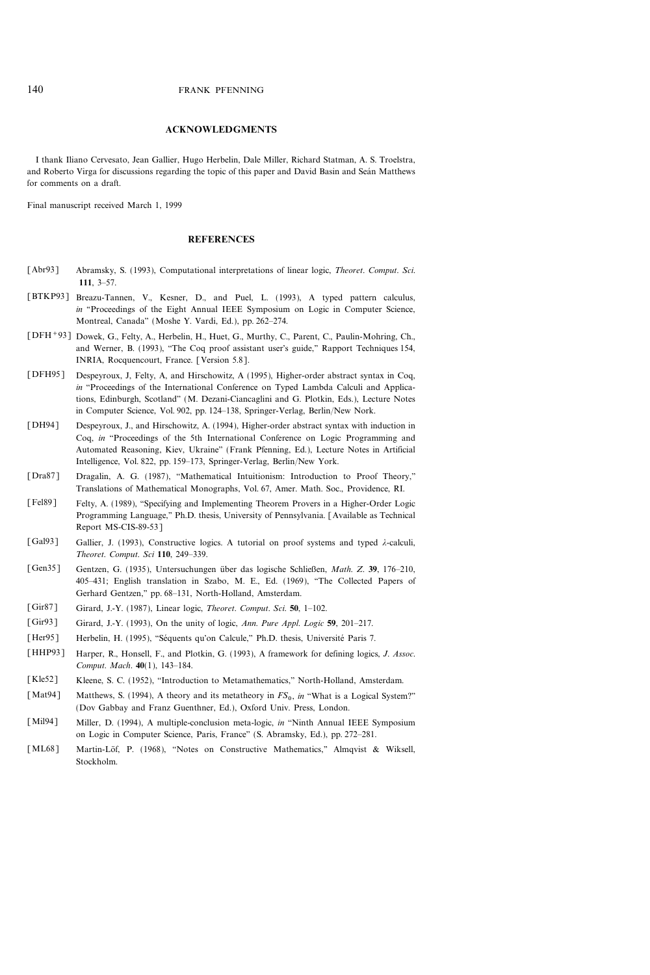#### ACKNOWLEDGMENTS

I thank Iliano Cervesato, Jean Gallier, Hugo Herbelin, Dale Miller, Richard Statman, A. S. Troelstra, and Roberto Virga for discussions regarding the topic of this paper and David Basin and Seán Matthews for comments on a draft.

Final manuscript received March 1, 1999

#### **REFERENCES**

- [Abr93] Abramsky, S. (1993), Computational interpretations of linear logic, *Theoret. Comput. Sci.*  $111, 3-57.$
- [BTKP93] Breazu-Tannen, V., Kesner, D., and Puel, L. (1993), A typed pattern calculus, in "Proceedings of the Eight Annual IEEE Symposium on Logic in Computer Science, Montreal, Canada" (Moshe Y. Vardi, Ed.), pp. 262-274.
- [DFH+93] Dowek, G., Felty, A., Herbelin, H., Huet, G., Murthy, C., Parent, C., Paulin-Mohring, Ch., and Werner, B. (1993), "The Coq proof assistant user's guide," Rapport Techniques 154, INRIA, Rocquencourt, France. [Version 5.8].
- [DFH95] Despeyroux, J, Felty, A, and Hirschowitz, A (1995), Higher-order abstract syntax in Coq, in "Proceedings of the International Conference on Typed Lambda Calculi and Applications, Edinburgh, Scotland'' (M. Dezani-Ciancaglini and G. Plotkin, Eds.), Lecture Notes in Computer Science, Vol. 902, pp. 124-138, Springer-Verlag, Berlin/New Nork.
- [DH94] Despeyroux, J., and Hirschowitz, A. (1994), Higher-order abstract syntax with induction in Coq, in "Proceedings of the 5th International Conference on Logic Programming and Automated Reasoning, Kiev, Ukraine'' (Frank Pfenning, Ed.), Lecture Notes in Artificial Intelligence, Vol. 822, pp. 159-173, Springer-Verlag, Berlin/New York.
- [Dra87] Dragalin, A. G. (1987), "Mathematical Intuitionism: Introduction to Proof Theory," Translations of Mathematical Monographs, Vol. 67, Amer. Math. Soc., Providence, RI.
- [Fel89] Felty, A. (1989), "Specifying and Implementing Theorem Provers in a Higher-Order Logic Programming Language,'' Ph.D. thesis, University of Pennsylvania. [Available as Technical Report MS-CIS-89-53]
- [Gal93] Gallier, J. (1993), Constructive logics. A tutorial on proof systems and typed  $\lambda$ -calculi, Theoret. Comput. Sci 110, 249-339.
- [Gen35] Gentzen, G. (1935), Untersuchungen über das logische Schließen, Math. Z. 39, 176-210, 405-431; English translation in Szabo, M. E., Ed. (1969), "The Collected Papers of Gerhard Gentzen," pp. 68-131, North-Holland, Amsterdam.
- [Gir87] Girard, J.-Y. (1987), Linear logic, Theoret. Comput. Sci. 50, 1-102.
- [Gir93] Girard, J.-Y. (1993), On the unity of logic, Ann. Pure Appl. Logic  $59$ , 201-217.
- [Her95] Herbelin, H. (1995), "Séquents qu'on Calcule," Ph.D. thesis, Université Paris 7.
- [HHP93] Harper, R., Honsell, F., and Plotkin, G. (1993), A framework for defining logics, J. Assoc. Comput. Mach. 40(1), 143-184.
- [Kle52] Kleene, S. C. (1952), "Introduction to Metamathematics," North-Holland, Amsterdam.
- [Mat94] Matthews, S. (1994), A theory and its metatheory in  $FS_0$ , in "What is a Logical System?" (Dov Gabbay and Franz Guenthner, Ed.), Oxford Univ. Press, London.
- [Mil94] Miller, D. (1994), A multiple-conclusion meta-logic, in "Ninth Annual IEEE Symposium on Logic in Computer Science, Paris, France" (S. Abramsky, Ed.), pp. 272-281.
- [ML68] Martin-Löf, P. (1968), "Notes on Constructive Mathematics," Almqvist & Wiksell, Stockholm.